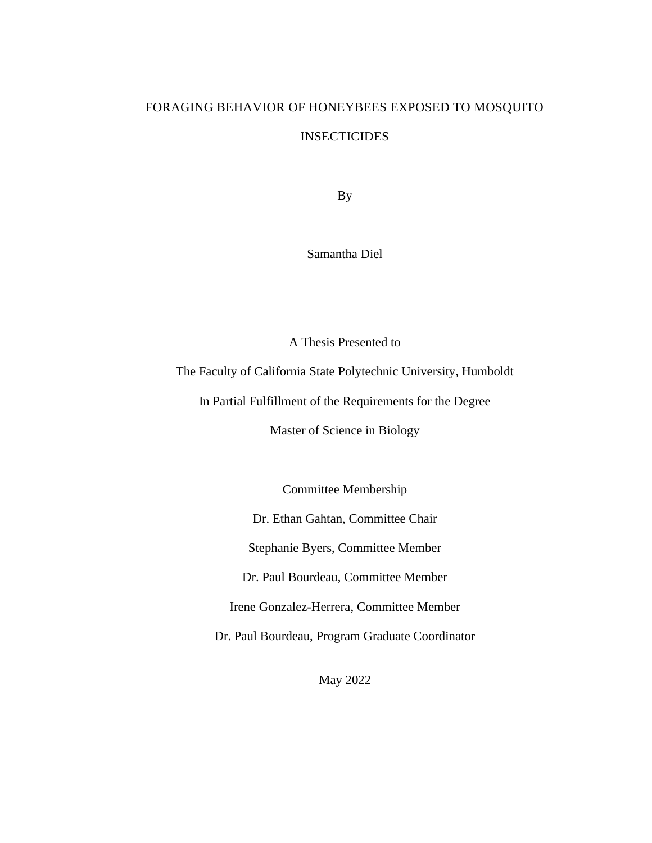# FORAGING BEHAVIOR OF HONEYBEES EXPOSED TO MOSQUITO INSECTICIDES

By

Samantha Diel

A Thesis Presented to

The Faculty of California State Polytechnic University, Humboldt

In Partial Fulfillment of the Requirements for the Degree

Master of Science in Biology

Committee Membership

Dr. Ethan Gahtan, Committee Chair

Stephanie Byers, Committee Member

Dr. Paul Bourdeau, Committee Member

Irene Gonzalez-Herrera, Committee Member

Dr. Paul Bourdeau, Program Graduate Coordinator

May 2022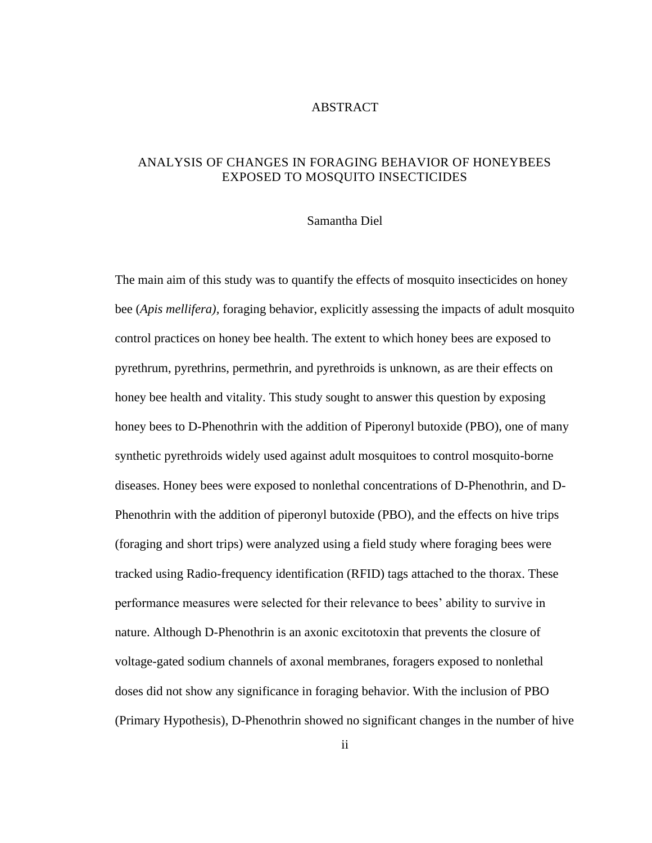### ABSTRACT

# <span id="page-1-0"></span>ANALYSIS OF CHANGES IN FORAGING BEHAVIOR OF HONEYBEES EXPOSED TO MOSQUITO INSECTICIDES

#### Samantha Diel

The main aim of this study was to quantify the effects of mosquito insecticides on honey bee (*Apis mellifera),* foraging behavior, explicitly assessing the impacts of adult mosquito control practices on honey bee health. The extent to which honey bees are exposed to pyrethrum, pyrethrins, permethrin, and pyrethroids is unknown, as are their effects on honey bee health and vitality. This study sought to answer this question by exposing honey bees to D-Phenothrin with the addition of Piperonyl butoxide (PBO), one of many synthetic pyrethroids widely used against adult mosquitoes to control mosquito-borne diseases. Honey bees were exposed to nonlethal concentrations of D-Phenothrin, and D-Phenothrin with the addition of piperonyl butoxide (PBO), and the effects on hive trips (foraging and short trips) were analyzed using a field study where foraging bees were tracked using Radio-frequency identification (RFID) tags attached to the thorax. These performance measures were selected for their relevance to bees' ability to survive in nature. Although D-Phenothrin is an axonic excitotoxin that prevents the closure of voltage-gated sodium channels of axonal membranes, foragers exposed to nonlethal doses did not show any significance in foraging behavior. With the inclusion of PBO (Primary Hypothesis), D-Phenothrin showed no significant changes in the number of hive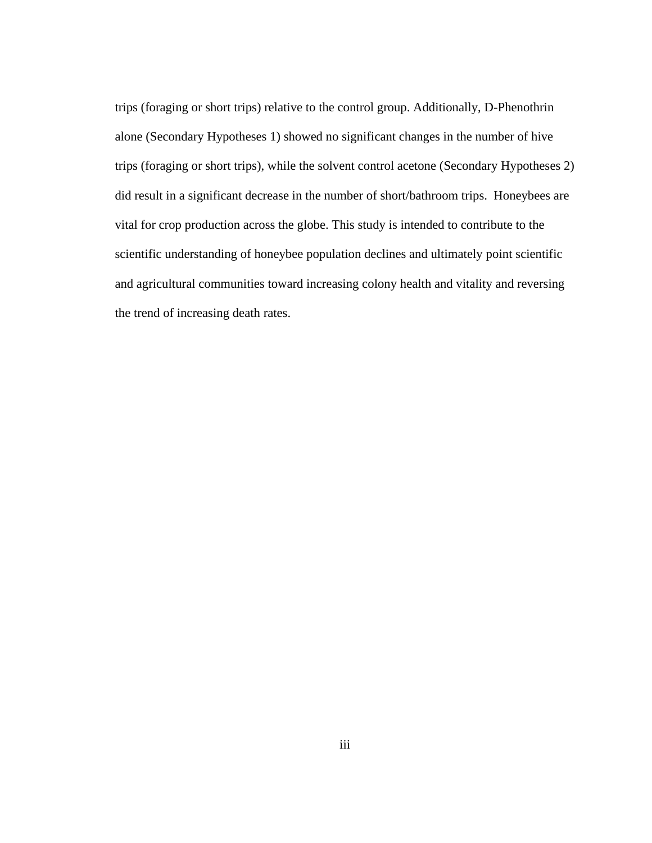trips (foraging or short trips) relative to the control group. Additionally, D-Phenothrin alone (Secondary Hypotheses 1) showed no significant changes in the number of hive trips (foraging or short trips), while the solvent control acetone (Secondary Hypotheses 2) did result in a significant decrease in the number of short/bathroom trips. Honeybees are vital for crop production across the globe. This study is intended to contribute to the scientific understanding of honeybee population declines and ultimately point scientific and agricultural communities toward increasing colony health and vitality and reversing the trend of increasing death rates.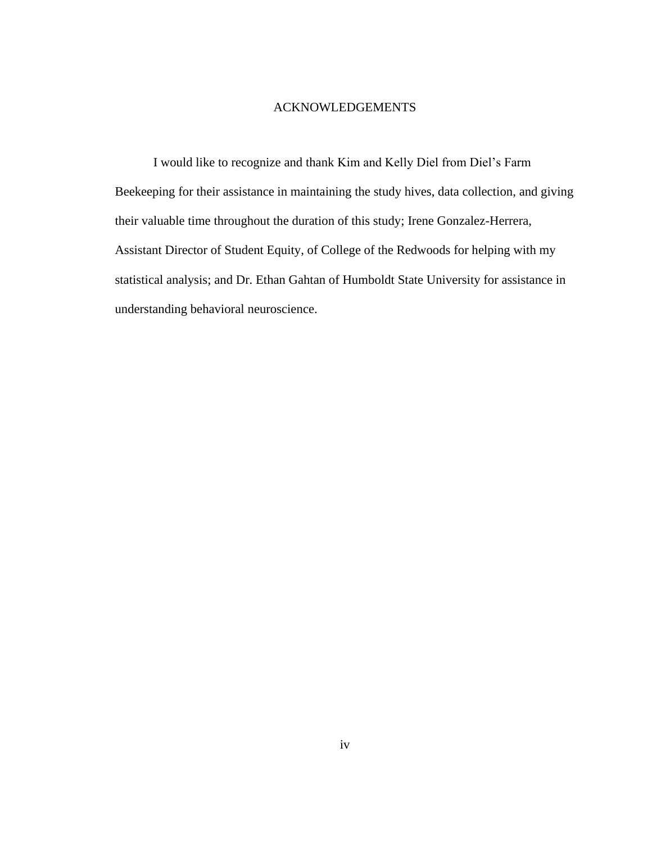### ACKNOWLEDGEMENTS

<span id="page-3-0"></span>I would like to recognize and thank Kim and Kelly Diel from Diel's Farm Beekeeping for their assistance in maintaining the study hives, data collection, and giving their valuable time throughout the duration of this study; Irene Gonzalez-Herrera, Assistant Director of Student Equity, of College of the Redwoods for helping with my statistical analysis; and Dr. Ethan Gahtan of Humboldt State University for assistance in understanding behavioral neuroscience.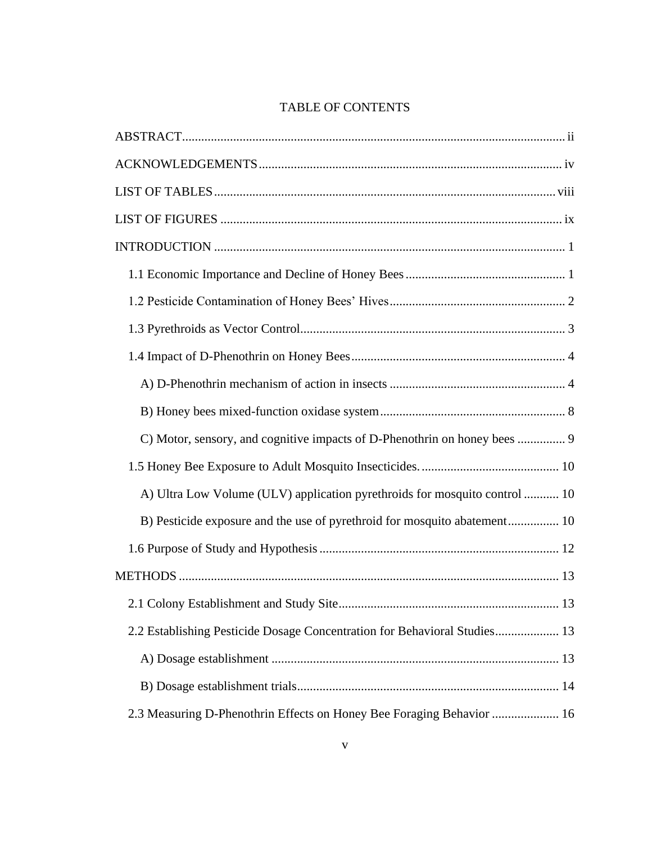# TABLE OF CONTENTS

| C) Motor, sensory, and cognitive impacts of D-Phenothrin on honey bees  9  |
|----------------------------------------------------------------------------|
|                                                                            |
| A) Ultra Low Volume (ULV) application pyrethroids for mosquito control  10 |
| B) Pesticide exposure and the use of pyrethroid for mosquito abatement 10  |
|                                                                            |
|                                                                            |
|                                                                            |
| 2.2 Establishing Pesticide Dosage Concentration for Behavioral Studies 13  |
|                                                                            |
|                                                                            |
| 2.3 Measuring D-Phenothrin Effects on Honey Bee Foraging Behavior  16      |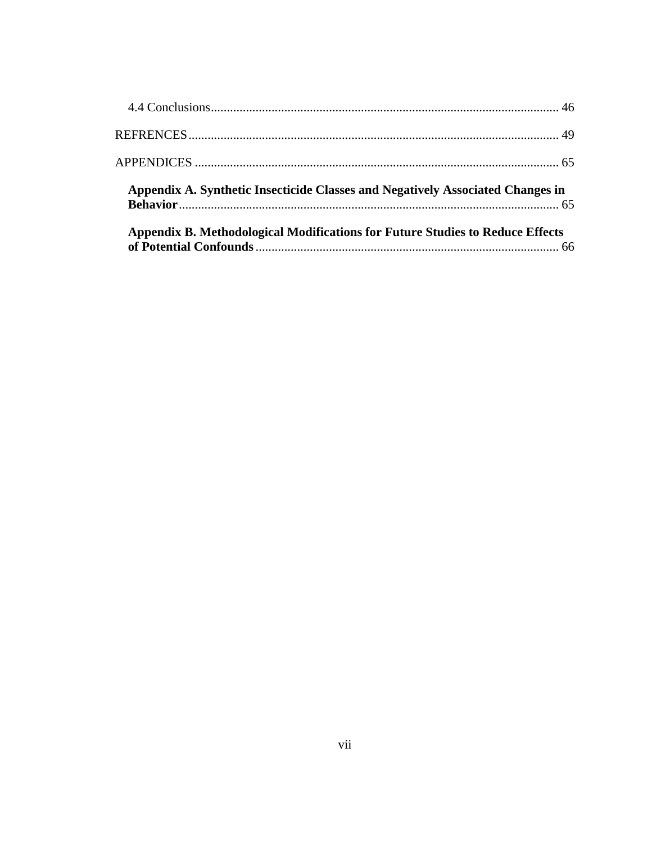| Appendix A. Synthetic Insecticide Classes and Negatively Associated Changes in |  |
|--------------------------------------------------------------------------------|--|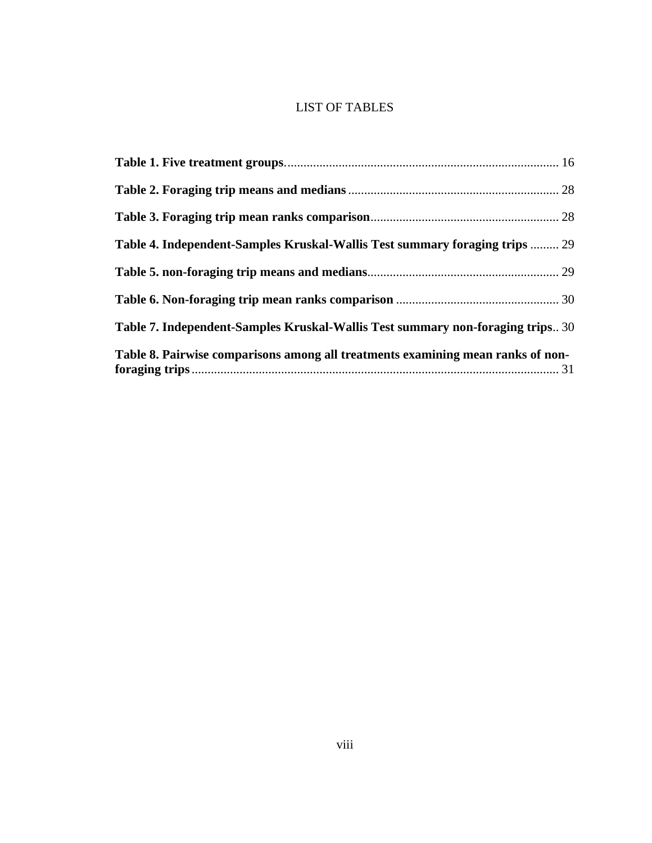# LIST OF TABLES

<span id="page-7-0"></span>

| Table 4. Independent-Samples Kruskal-Wallis Test summary foraging trips  29     |  |
|---------------------------------------------------------------------------------|--|
|                                                                                 |  |
|                                                                                 |  |
| Table 7. Independent-Samples Kruskal-Wallis Test summary non-foraging trips 30  |  |
| Table 8. Pairwise comparisons among all treatments examining mean ranks of non- |  |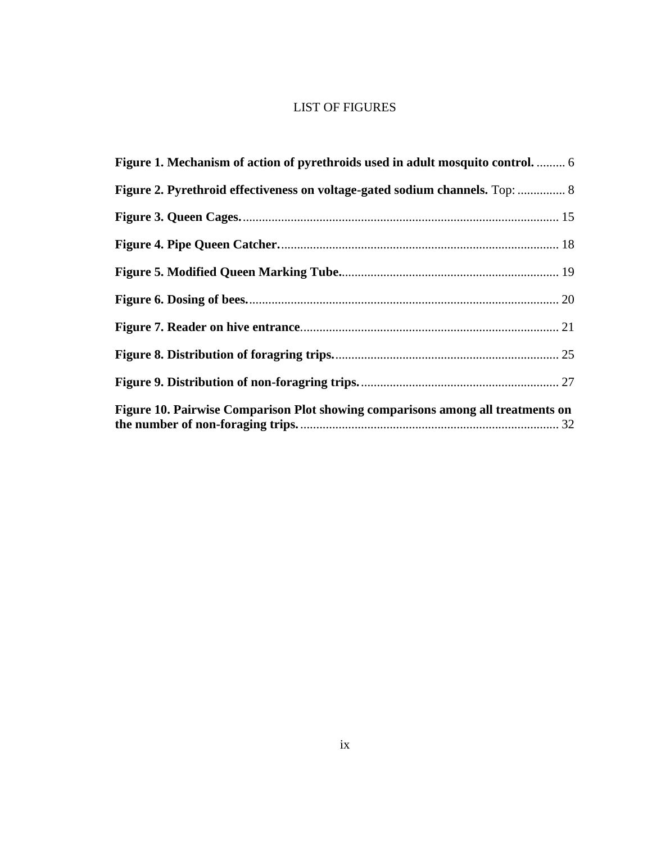# LIST OF FIGURES

<span id="page-8-0"></span>

| Figure 1. Mechanism of action of pyrethroids used in adult mosquito control.  6 |  |
|---------------------------------------------------------------------------------|--|
| Figure 2. Pyrethroid effectiveness on voltage-gated sodium channels. Top:  8    |  |
|                                                                                 |  |
|                                                                                 |  |
|                                                                                 |  |
|                                                                                 |  |
|                                                                                 |  |
|                                                                                 |  |
|                                                                                 |  |
| Figure 10. Pairwise Comparison Plot showing comparisons among all treatments on |  |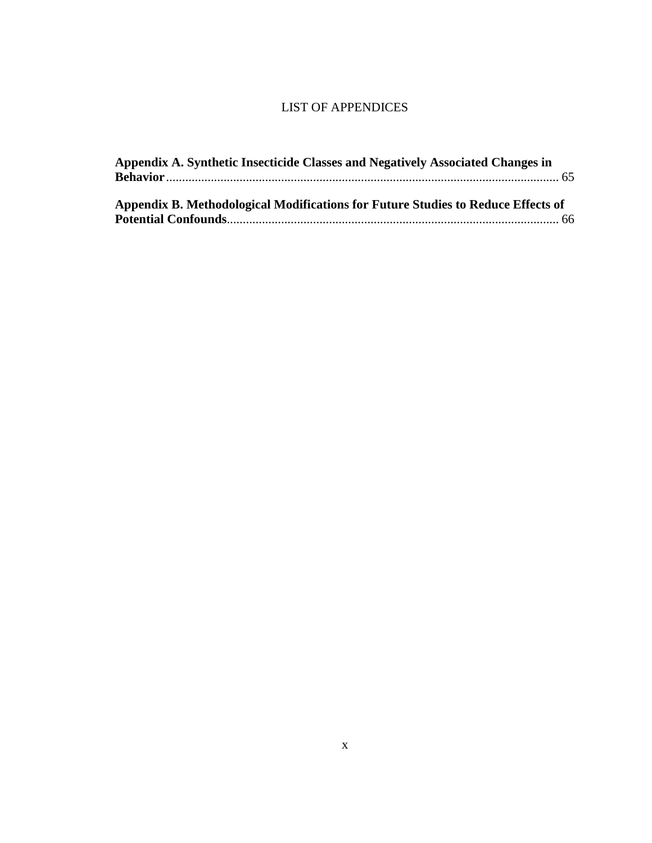# LIST OF APPENDICES

| Appendix A. Synthetic Insecticide Classes and Negatively Associated Changes in   |  |
|----------------------------------------------------------------------------------|--|
|                                                                                  |  |
| Appendix B. Methodological Modifications for Future Studies to Reduce Effects of |  |
|                                                                                  |  |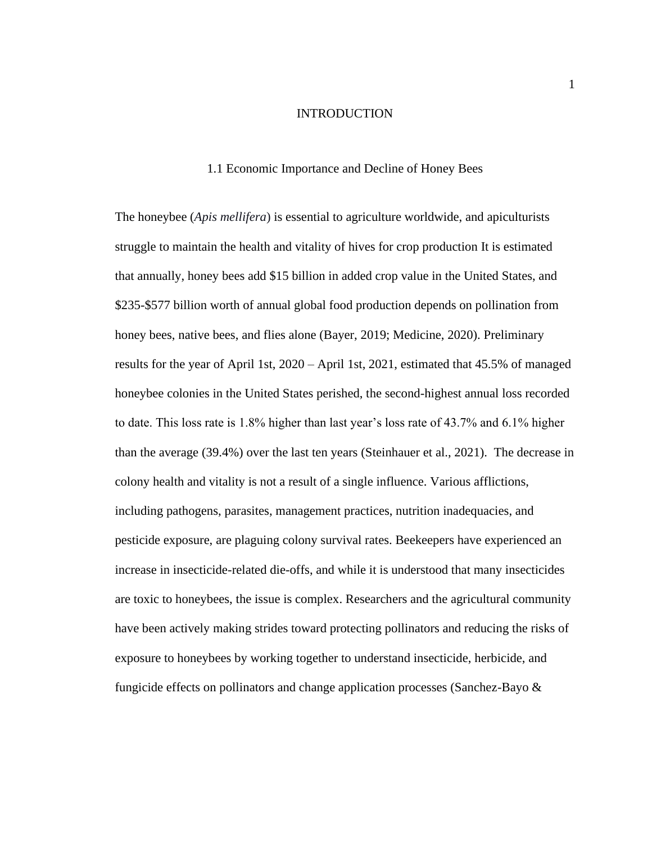#### INTRODUCTION

### 1.1 Economic Importance and Decline of Honey Bees

<span id="page-10-1"></span><span id="page-10-0"></span>The honeybee (*Apis mellifera*) is essential to agriculture worldwide, and apiculturists struggle to maintain the health and vitality of hives for crop production It is estimated that annually, honey bees add \$15 billion in added crop value in the United States, and \$235-\$577 billion worth of annual global food production depends on pollination from honey bees, native bees, and flies alone (Bayer, 2019; Medicine, 2020). Preliminary results for the year of April 1st, 2020 – April 1st, 2021, estimated that 45.5% of managed honeybee colonies in the United States perished, the second-highest annual loss recorded to date. This loss rate is 1.8% higher than last year's loss rate of 43.7% and 6.1% higher than the average (39.4%) over the last ten years (Steinhauer et al., 2021). The decrease in colony health and vitality is not a result of a single influence. Various afflictions, including pathogens, parasites, management practices, nutrition inadequacies, and pesticide exposure, are plaguing colony survival rates. Beekeepers have experienced an increase in insecticide-related die-offs, and while it is understood that many insecticides are toxic to honeybees, the issue is complex. Researchers and the agricultural community have been actively making strides toward protecting pollinators and reducing the risks of exposure to honeybees by working together to understand insecticide, herbicide, and fungicide effects on pollinators and change application processes (Sanchez-Bayo &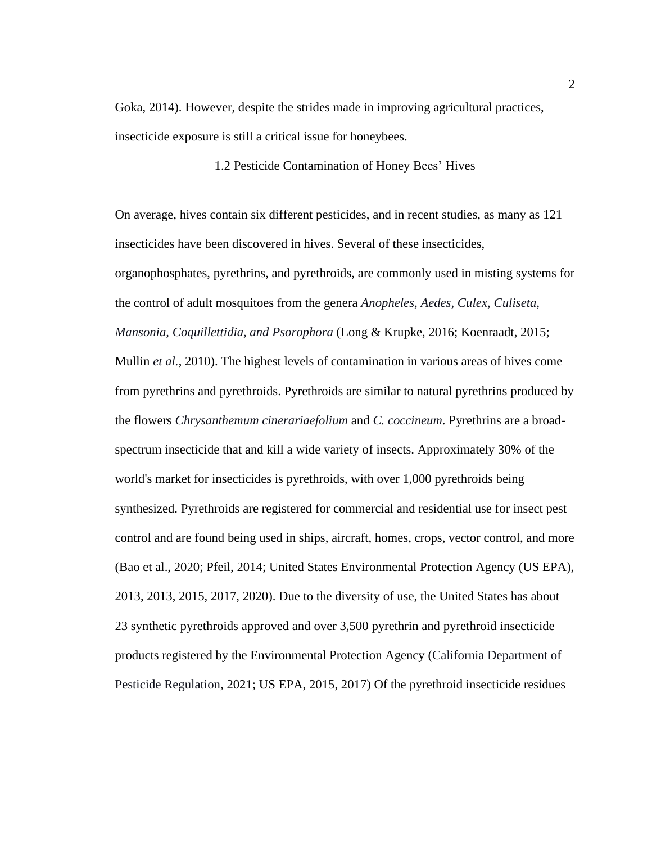Goka, 2014). However, despite the strides made in improving agricultural practices, insecticide exposure is still a critical issue for honeybees.

1.2 Pesticide Contamination of Honey Bees' Hives

<span id="page-11-0"></span>On average, hives contain six different pesticides, and in recent studies, as many as 121 insecticides have been discovered in hives. Several of these insecticides, organophosphates, pyrethrins, and pyrethroids, are commonly used in misting systems for the control of adult mosquitoes from the genera *Anopheles, Aedes, Culex, Culiseta, Mansonia, Coquillettidia, and Psorophora* (Long & Krupke, 2016; Koenraadt, 2015; Mullin *et al.*, 2010). The highest levels of contamination in various areas of hives come from pyrethrins and pyrethroids. Pyrethroids are similar to natural pyrethrins produced by the flowers *Chrysanthemum cinerariaefolium* and *C. coccineum*. Pyrethrins are a broadspectrum insecticide that and kill a wide variety of insects. Approximately 30% of the world's market for insecticides is pyrethroids, with over 1,000 pyrethroids being synthesized. Pyrethroids are registered for commercial and residential use for insect pest control and are found being used in ships, aircraft, homes, crops, vector control, and more (Bao et al., 2020; Pfeil, 2014; United States Environmental Protection Agency (US EPA), 2013, 2013, 2015, 2017, 2020). Due to the diversity of use, the United States has about 23 synthetic pyrethroids approved and over 3,500 pyrethrin and pyrethroid insecticide products registered by the Environmental Protection Agency (California Department of Pesticide Regulation, 2021; US EPA, 2015, 2017) Of the pyrethroid insecticide residues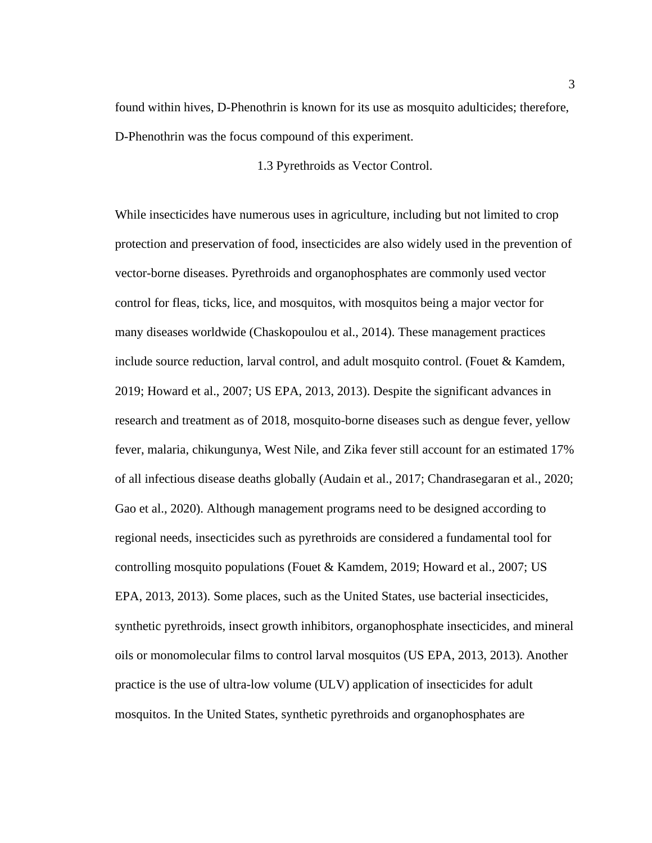found within hives, D-Phenothrin is known for its use as mosquito adulticides; therefore, D-Phenothrin was the focus compound of this experiment.

### 1.3 Pyrethroids as Vector Control.

<span id="page-12-0"></span>While insecticides have numerous uses in agriculture, including but not limited to crop protection and preservation of food, insecticides are also widely used in the prevention of vector-borne diseases. Pyrethroids and organophosphates are commonly used vector control for fleas, ticks, lice, and mosquitos, with mosquitos being a major vector for many diseases worldwide (Chaskopoulou et al., 2014). These management practices include source reduction, larval control, and adult mosquito control. (Fouet  $\&$  Kamdem, 2019; Howard et al., 2007; US EPA, 2013, 2013). Despite the significant advances in research and treatment as of 2018, mosquito-borne diseases such as dengue fever, yellow fever, malaria, chikungunya, West Nile, and Zika fever still account for an estimated 17% of all infectious disease deaths globally (Audain et al., 2017; Chandrasegaran et al., 2020; Gao et al., 2020). Although management programs need to be designed according to regional needs, insecticides such as pyrethroids are considered a fundamental tool for controlling mosquito populations (Fouet & Kamdem, 2019; Howard et al., 2007; US EPA, 2013, 2013). Some places, such as the United States, use bacterial insecticides, synthetic pyrethroids, insect growth inhibitors, organophosphate insecticides, and mineral oils or monomolecular films to control larval mosquitos (US EPA, 2013, 2013). Another practice is the use of ultra-low volume (ULV) application of insecticides for adult mosquitos. In the United States, synthetic pyrethroids and organophosphates are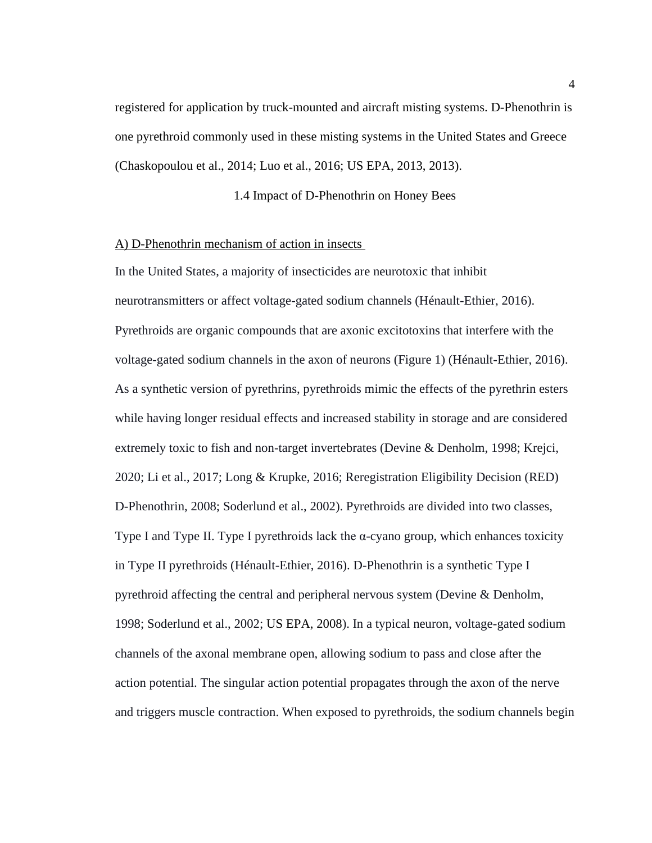registered for application by truck-mounted and aircraft misting systems. D-Phenothrin is one pyrethroid commonly used in these misting systems in the United States and Greece (Chaskopoulou et al., 2014; Luo et al., 2016; US EPA, 2013, 2013).

1.4 Impact of D-Phenothrin on Honey Bees

### <span id="page-13-1"></span><span id="page-13-0"></span>A) D-Phenothrin mechanism of action in insects

In the United States, a majority of insecticides are neurotoxic that inhibit neurotransmitters or affect voltage-gated sodium channels (Hénault-Ethier, 2016). Pyrethroids are organic compounds that are axonic excitotoxins that interfere with the voltage-gated sodium channels in the axon of neurons (Figure 1) (Hénault-Ethier, 2016). As a synthetic version of pyrethrins, pyrethroids mimic the effects of the pyrethrin esters while having longer residual effects and increased stability in storage and are considered extremely toxic to fish and non-target invertebrates (Devine & Denholm, 1998; Krejci, 2020; Li et al., 2017; Long & Krupke, 2016; Reregistration Eligibility Decision (RED) D-Phenothrin, 2008; Soderlund et al., 2002). Pyrethroids are divided into two classes, Type I and Type II. Type I pyrethroids lack the  $\alpha$ -cyano group, which enhances toxicity in Type II pyrethroids (Hénault-Ethier, 2016). D-Phenothrin is a synthetic Type I pyrethroid affecting the central and peripheral nervous system (Devine & Denholm, 1998; Soderlund et al., 2002; US EPA, 2008). In a typical neuron, voltage-gated sodium channels of the axonal membrane open, allowing sodium to pass and close after the action potential. The singular action potential propagates through the axon of the nerve and triggers muscle contraction. When exposed to pyrethroids, the sodium channels begin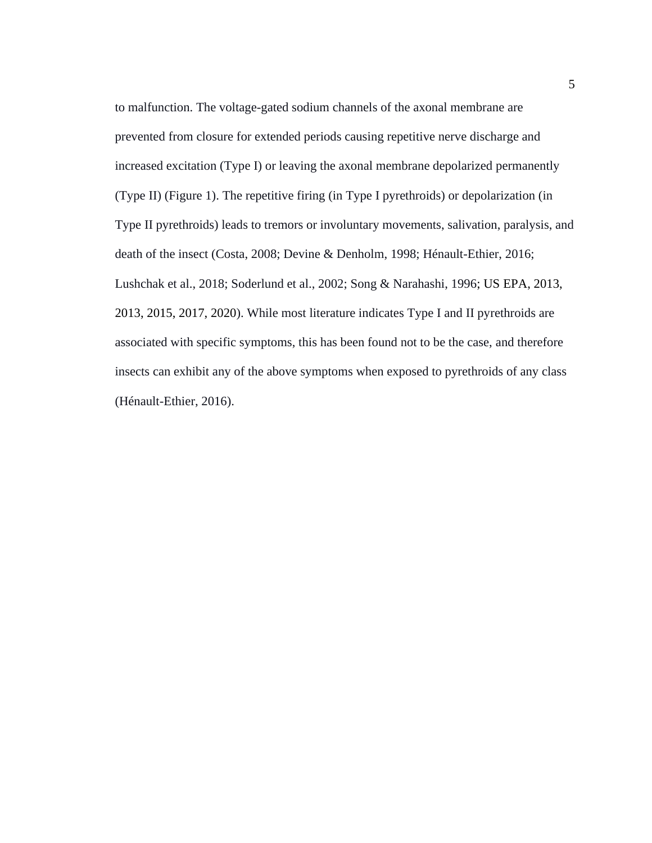to malfunction. The voltage-gated sodium channels of the axonal membrane are prevented from closure for extended periods causing repetitive nerve discharge and increased excitation (Type I) or leaving the axonal membrane depolarized permanently (Type II) (Figure 1). The repetitive firing (in Type I pyrethroids) or depolarization (in Type II pyrethroids) leads to tremors or involuntary movements, salivation, paralysis, and death of the insect (Costa, 2008; Devine & Denholm, 1998; Hénault-Ethier, 2016; Lushchak et al., 2018; Soderlund et al., 2002; Song & Narahashi, 1996; US EPA, 2013, 2013, 2015, 2017, 2020). While most literature indicates Type I and II pyrethroids are associated with specific symptoms, this has been found not to be the case, and therefore insects can exhibit any of the above symptoms when exposed to pyrethroids of any class (Hénault-Ethier, 2016).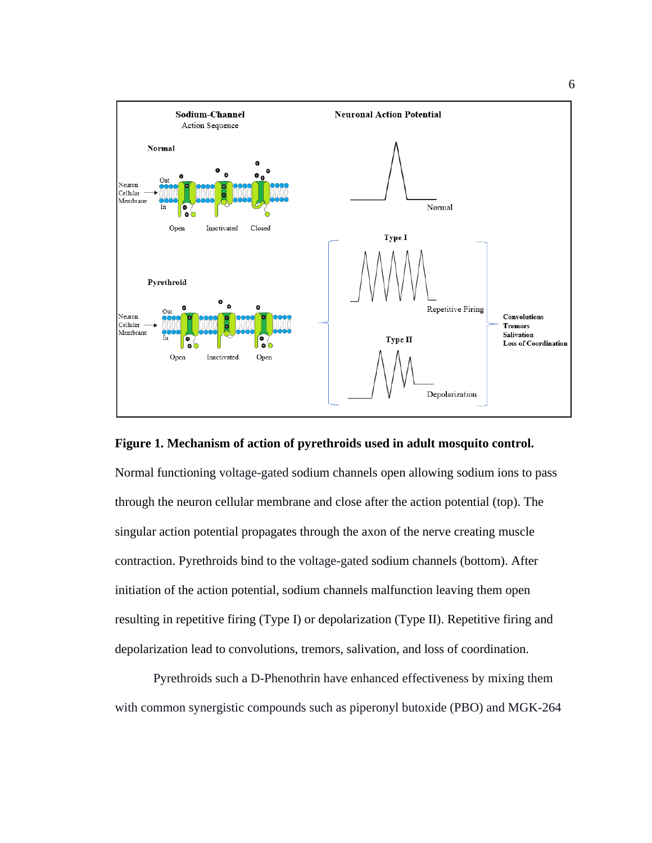

<span id="page-15-0"></span>**Figure 1. Mechanism of action of pyrethroids used in adult mosquito control.**

Normal functioning voltage-gated sodium channels open allowing sodium ions to pass through the neuron cellular membrane and close after the action potential (top). The singular action potential propagates through the axon of the nerve creating muscle contraction. Pyrethroids bind to the voltage-gated sodium channels (bottom). After initiation of the action potential, sodium channels malfunction leaving them open resulting in repetitive firing (Type I) or depolarization (Type II). Repetitive firing and depolarization lead to convolutions, tremors, salivation, and loss of coordination.

Pyrethroids such a D-Phenothrin have enhanced effectiveness by mixing them with common synergistic compounds such as piperonyl butoxide (PBO) and MGK-264

6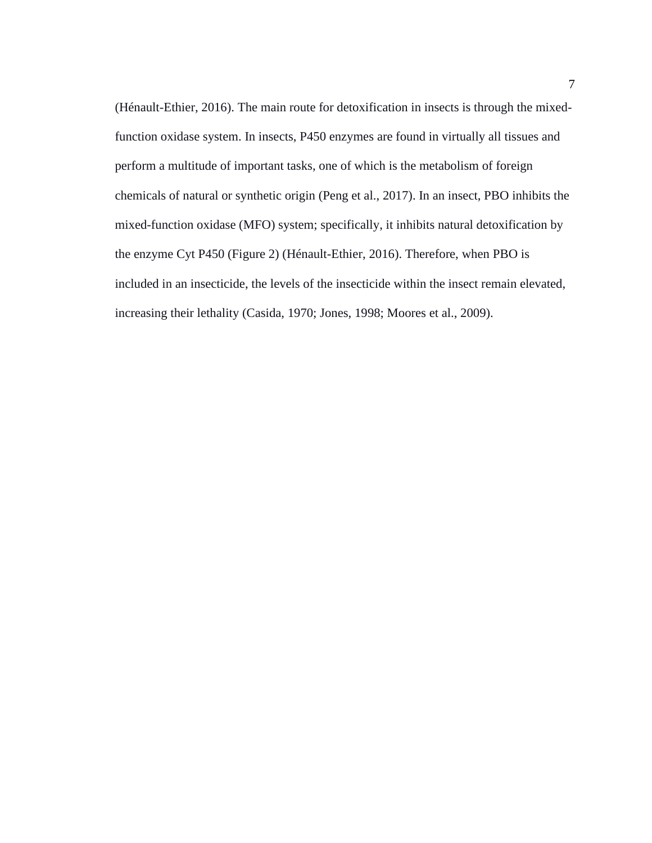(Hénault-Ethier, 2016). The main route for detoxification in insects is through the mixedfunction oxidase system. In insects, P450 enzymes are found in virtually all tissues and perform a multitude of important tasks, one of which is the metabolism of foreign chemicals of natural or synthetic origin (Peng et al., 2017). In an insect, PBO inhibits the mixed-function oxidase (MFO) system; specifically, it inhibits natural detoxification by the enzyme Cyt P450 (Figure 2) (Hénault-Ethier, 2016). Therefore, when PBO is included in an insecticide, the levels of the insecticide within the insect remain elevated, increasing their lethality (Casida, 1970; Jones, 1998; Moores et al., 2009).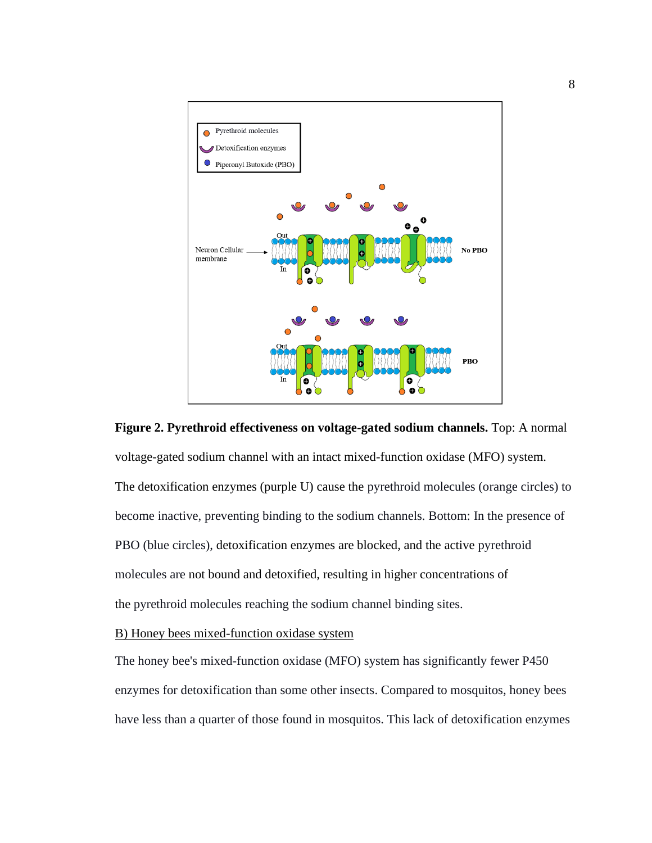

<span id="page-17-1"></span>**Figure 2. Pyrethroid effectiveness on voltage-gated sodium channels.** Top: A normal voltage-gated sodium channel with an intact mixed-function oxidase (MFO) system. The detoxification enzymes (purple U) cause the pyrethroid molecules (orange circles) to become inactive, preventing binding to the sodium channels. Bottom: In the presence of PBO (blue circles), detoxification enzymes are blocked, and the active pyrethroid molecules are not bound and detoxified, resulting in higher concentrations of the pyrethroid molecules reaching the sodium channel binding sites.

<span id="page-17-0"></span>B) Honey bees mixed-function oxidase system

The honey bee's mixed-function oxidase (MFO) system has significantly fewer P450 enzymes for detoxification than some other insects. Compared to mosquitos, honey bees have less than a quarter of those found in mosquitos. This lack of detoxification enzymes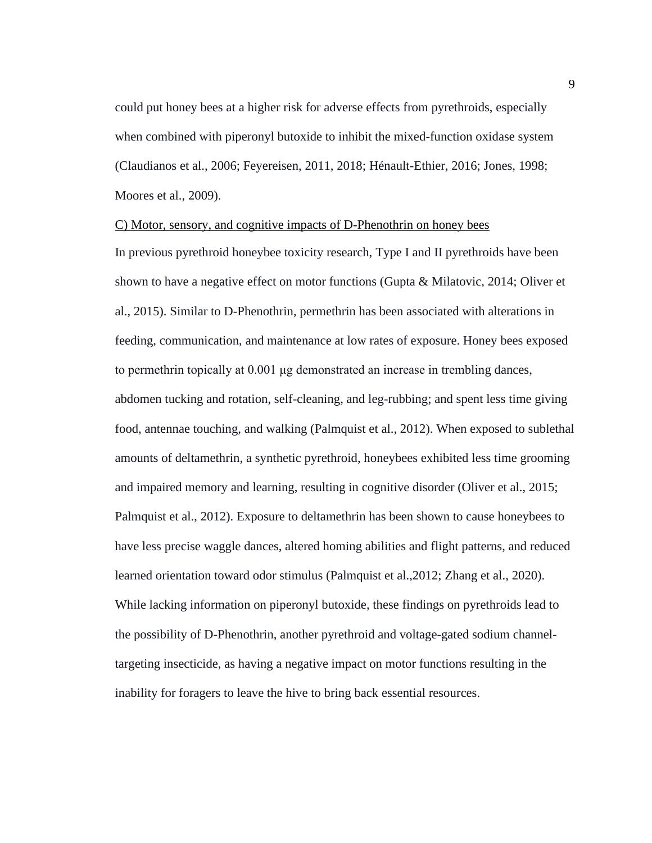could put honey bees at a higher risk for adverse effects from pyrethroids, especially when combined with piperonyl butoxide to inhibit the mixed-function oxidase system (Claudianos et al., 2006; Feyereisen, 2011, 2018; Hénault-Ethier, 2016; Jones, 1998; Moores et al., 2009).

#### <span id="page-18-0"></span>C) Motor, sensory, and cognitive impacts of D-Phenothrin on honey bees

In previous pyrethroid honeybee toxicity research, Type I and II pyrethroids have been shown to have a negative effect on motor functions (Gupta & Milatovic, 2014; Oliver et al., 2015). Similar to D-Phenothrin, permethrin has been associated with alterations in feeding, communication, and maintenance at low rates of exposure. Honey bees exposed to permethrin topically at 0.001 μg demonstrated an increase in trembling dances, abdomen tucking and rotation, self-cleaning, and leg-rubbing; and spent less time giving food, antennae touching, and walking (Palmquist et al., 2012). When exposed to sublethal amounts of deltamethrin, a synthetic pyrethroid, honeybees exhibited less time grooming and impaired memory and learning, resulting in cognitive disorder (Oliver et al., 2015; Palmquist et al., 2012). Exposure to deltamethrin has been shown to cause honeybees to have less precise waggle dances, altered homing abilities and flight patterns, and reduced learned orientation toward odor stimulus (Palmquist et al.,2012; Zhang et al., 2020). While lacking information on piperonyl butoxide, these findings on pyrethroids lead to the possibility of D-Phenothrin, another pyrethroid and voltage-gated sodium channeltargeting insecticide, as having a negative impact on motor functions resulting in the inability for foragers to leave the hive to bring back essential resources.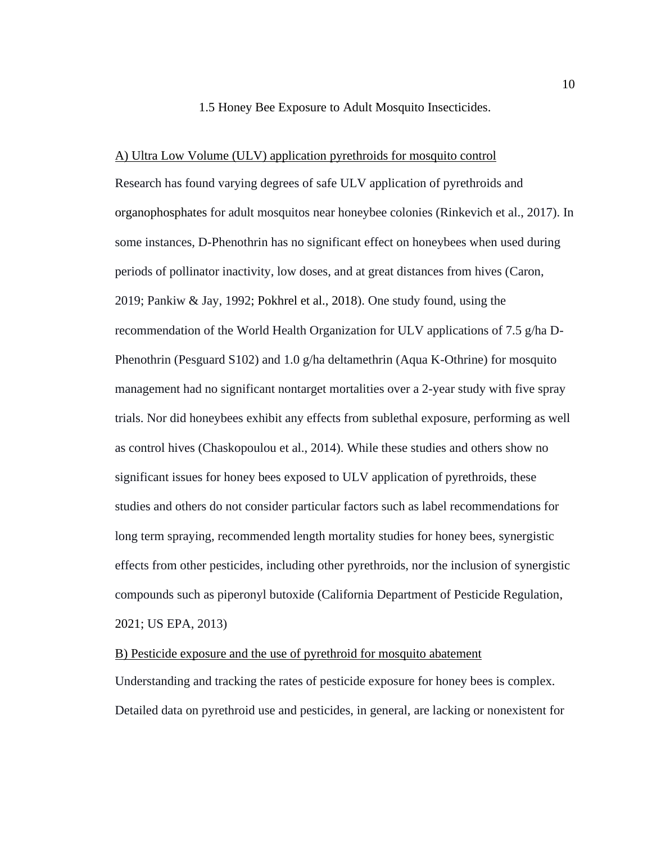#### 1.5 Honey Bee Exposure to Adult Mosquito Insecticides.

<span id="page-19-1"></span><span id="page-19-0"></span>A) Ultra Low Volume (ULV) application pyrethroids for mosquito control Research has found varying degrees of safe ULV application of pyrethroids and organophosphates for adult mosquitos near honeybee colonies (Rinkevich et al., 2017). In some instances, D-Phenothrin has no significant effect on honeybees when used during periods of pollinator inactivity, low doses, and at great distances from hives (Caron, 2019; Pankiw & Jay, 1992; Pokhrel et al., 2018). One study found, using the recommendation of the World Health Organization for ULV applications of 7.5 g/ha D-Phenothrin (Pesguard S102) and 1.0 g/ha deltamethrin (Aqua K-Othrine) for mosquito management had no significant nontarget mortalities over a 2-year study with five spray trials. Nor did honeybees exhibit any effects from sublethal exposure, performing as well as control hives (Chaskopoulou et al., 2014). While these studies and others show no significant issues for honey bees exposed to ULV application of pyrethroids, these studies and others do not consider particular factors such as label recommendations for long term spraying, recommended length mortality studies for honey bees, synergistic effects from other pesticides, including other pyrethroids, nor the inclusion of synergistic compounds such as piperonyl butoxide (California Department of Pesticide Regulation, 2021; US EPA, 2013)

# <span id="page-19-2"></span>B) Pesticide exposure and the use of pyrethroid for mosquito abatement

Understanding and tracking the rates of pesticide exposure for honey bees is complex. Detailed data on pyrethroid use and pesticides, in general, are lacking or nonexistent for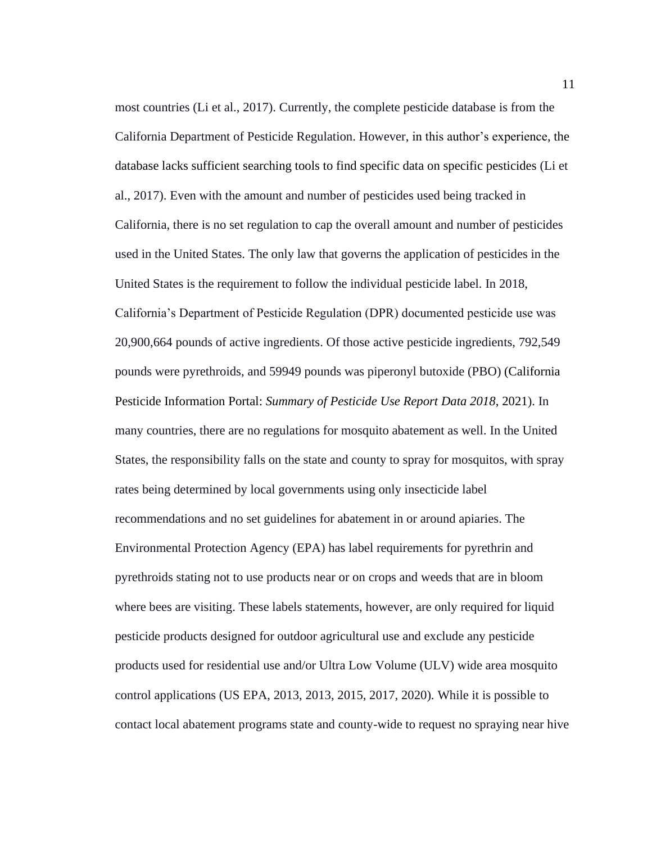most countries (Li et al., 2017). Currently, the complete pesticide database is from the California Department of Pesticide Regulation. However, in this author's experience, the database lacks sufficient searching tools to find specific data on specific pesticides (Li et al., 2017). Even with the amount and number of pesticides used being tracked in California, there is no set regulation to cap the overall amount and number of pesticides used in the United States. The only law that governs the application of pesticides in the United States is the requirement to follow the individual pesticide label. In 2018, California's Department of Pesticide Regulation (DPR) documented pesticide use was 20,900,664 pounds of active ingredients. Of those active pesticide ingredients, 792,549 pounds were pyrethroids, and 59949 pounds was piperonyl butoxide (PBO) (California Pesticide Information Portal: *Summary of Pesticide Use Report Data 2018*, 2021). In many countries, there are no regulations for mosquito abatement as well. In the United States, the responsibility falls on the state and county to spray for mosquitos, with spray rates being determined by local governments using only insecticide label recommendations and no set guidelines for abatement in or around apiaries. The Environmental Protection Agency (EPA) has label requirements for pyrethrin and pyrethroids stating not to use products near or on crops and weeds that are in bloom where bees are visiting. These labels statements, however, are only required for liquid pesticide products designed for outdoor agricultural use and exclude any pesticide products used for residential use and/or Ultra Low Volume (ULV) wide area mosquito control applications (US EPA, 2013, 2013, 2015, 2017, 2020). While it is possible to contact local abatement programs state and county-wide to request no spraying near hive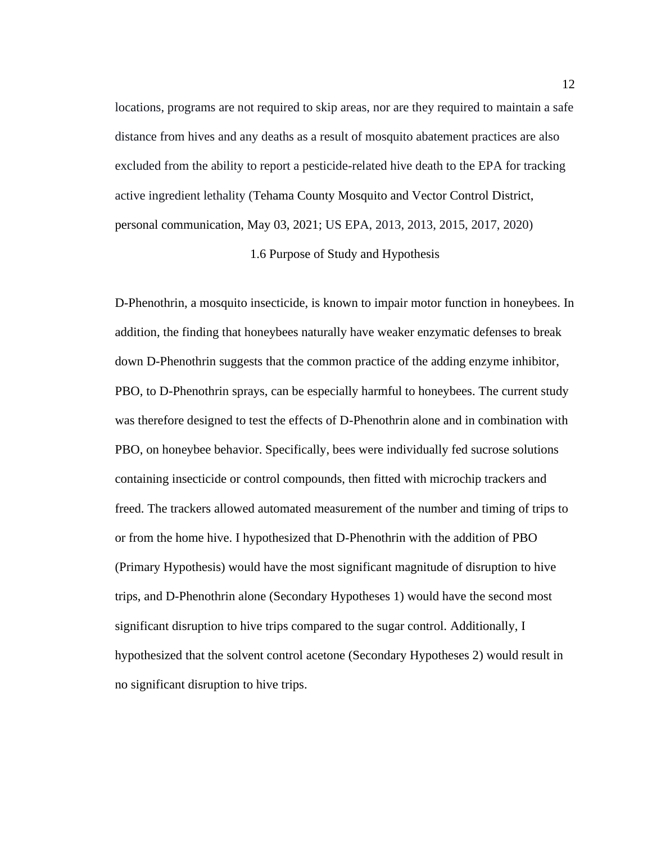locations, programs are not required to skip areas, nor are they required to maintain a safe distance from hives and any deaths as a result of mosquito abatement practices are also excluded from the ability to report a pesticide-related hive death to the EPA for tracking active ingredient lethality (Tehama County Mosquito and Vector Control District, personal communication, May 03, 2021; US EPA, 2013, 2013, 2015, 2017, 2020)

# 1.6 Purpose of Study and Hypothesis

<span id="page-21-0"></span>D-Phenothrin, a mosquito insecticide, is known to impair motor function in honeybees. In addition, the finding that honeybees naturally have weaker enzymatic defenses to break down D-Phenothrin suggests that the common practice of the adding enzyme inhibitor, PBO, to D-Phenothrin sprays, can be especially harmful to honeybees. The current study was therefore designed to test the effects of D-Phenothrin alone and in combination with PBO, on honeybee behavior. Specifically, bees were individually fed sucrose solutions containing insecticide or control compounds, then fitted with microchip trackers and freed. The trackers allowed automated measurement of the number and timing of trips to or from the home hive. I hypothesized that D-Phenothrin with the addition of PBO (Primary Hypothesis) would have the most significant magnitude of disruption to hive trips, and D-Phenothrin alone (Secondary Hypotheses 1) would have the second most significant disruption to hive trips compared to the sugar control. Additionally, I hypothesized that the solvent control acetone (Secondary Hypotheses 2) would result in no significant disruption to hive trips.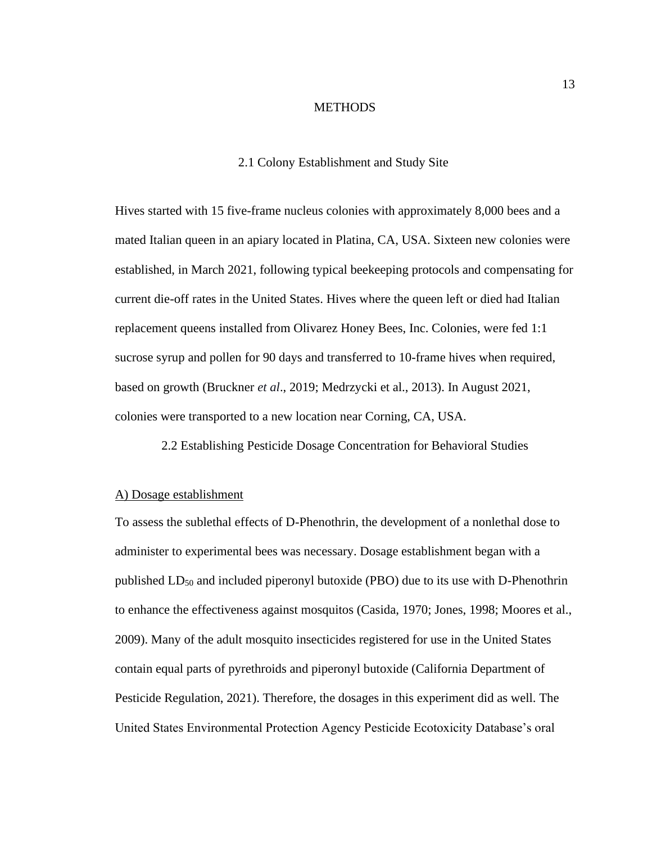#### **METHODS**

#### 2.1 Colony Establishment and Study Site

<span id="page-22-1"></span><span id="page-22-0"></span>Hives started with 15 five-frame nucleus colonies with approximately 8,000 bees and a mated Italian queen in an apiary located in Platina, CA, USA. Sixteen new colonies were established, in March 2021, following typical beekeeping protocols and compensating for current die-off rates in the United States. Hives where the queen left or died had Italian replacement queens installed from Olivarez Honey Bees, Inc. Colonies, were fed 1:1 sucrose syrup and pollen for 90 days and transferred to 10-frame hives when required, based on growth (Bruckner *et al*., 2019; Medrzycki et al., 2013). In August 2021, colonies were transported to a new location near Corning, CA, USA.

<span id="page-22-2"></span>2.2 Establishing Pesticide Dosage Concentration for Behavioral Studies

#### <span id="page-22-3"></span>A) Dosage establishment

To assess the sublethal effects of D-Phenothrin, the development of a nonlethal dose to administer to experimental bees was necessary. Dosage establishment began with a published  $LD_{50}$  and included piperonyl butoxide (PBO) due to its use with D-Phenothrin to enhance the effectiveness against mosquitos (Casida, 1970; Jones, 1998; Moores et al., 2009). Many of the adult mosquito insecticides registered for use in the United States contain equal parts of pyrethroids and piperonyl butoxide (California Department of Pesticide Regulation, 2021). Therefore, the dosages in this experiment did as well. The United States Environmental Protection Agency Pesticide Ecotoxicity Database's oral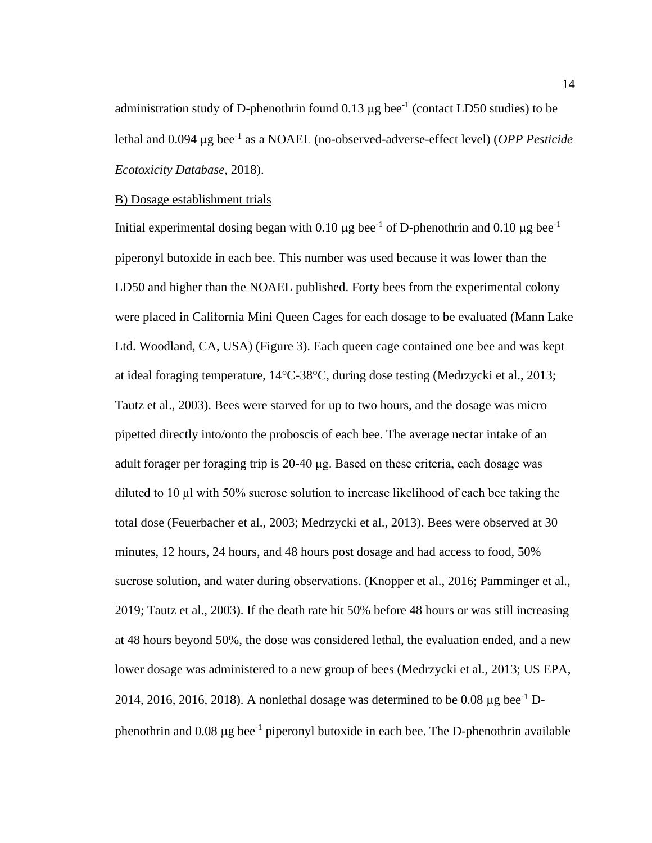administration study of D-phenothrin found  $0.13 \mu g$  bee<sup>-1</sup> (contact LD50 studies) to be lethal and 0.094 µg bee<sup>-1</sup> as a NOAEL (no-observed-adverse-effect level) (*OPP Pesticide Ecotoxicity Database*, 2018).

# <span id="page-23-0"></span>B) Dosage establishment trials

Initial experimental dosing began with 0.10  $\mu$ g bee<sup>-1</sup> of D-phenothrin and 0.10  $\mu$ g bee<sup>-1</sup> piperonyl butoxide in each bee. This number was used because it was lower than the LD50 and higher than the NOAEL published. Forty bees from the experimental colony were placed in California Mini Queen Cages for each dosage to be evaluated (Mann Lake Ltd. Woodland, CA, USA) (Figure 3). Each queen cage contained one bee and was kept at ideal foraging temperature, 14°C-38°C, during dose testing (Medrzycki et al., 2013; Tautz et al., 2003). Bees were starved for up to two hours, and the dosage was micro pipetted directly into/onto the proboscis of each bee. The average nectar intake of an adult forager per foraging trip is 20-40 μg. Based on these criteria, each dosage was diluted to 10 μl with 50% sucrose solution to increase likelihood of each bee taking the total dose (Feuerbacher et al., 2003; Medrzycki et al., 2013). Bees were observed at 30 minutes, 12 hours, 24 hours, and 48 hours post dosage and had access to food, 50% sucrose solution, and water during observations. (Knopper et al., 2016; Pamminger et al., 2019; Tautz et al., 2003). If the death rate hit 50% before 48 hours or was still increasing at 48 hours beyond 50%, the dose was considered lethal, the evaluation ended, and a new lower dosage was administered to a new group of bees (Medrzycki et al., 2013; US EPA, 2014, 2016, 2016, 2018). A nonlethal dosage was determined to be 0.08  $\mu$ g bee<sup>-1</sup> Dphenothrin and  $0.08 \mu g$  bee<sup>-1</sup> piperonyl butoxide in each bee. The D-phenothrin available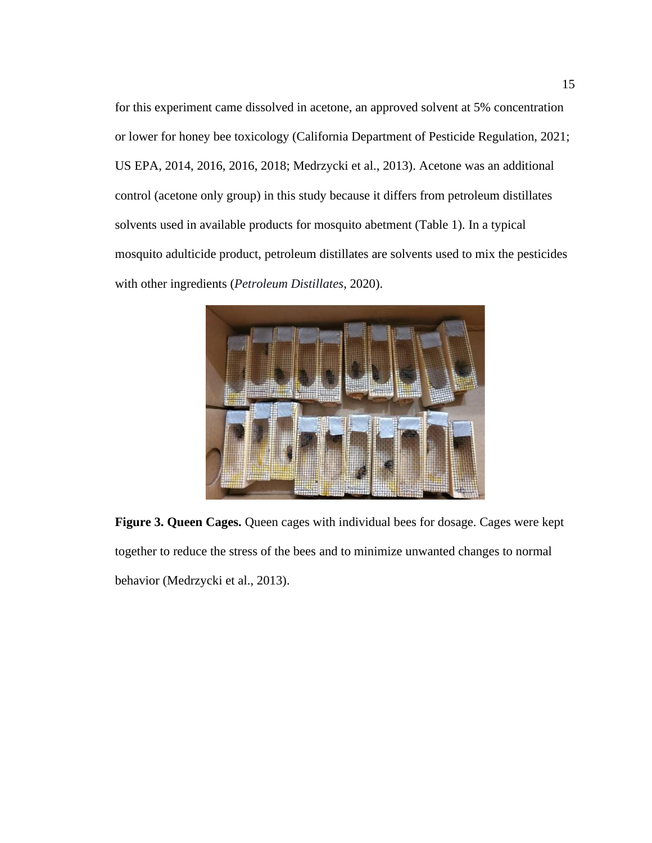for this experiment came dissolved in acetone, an approved solvent at 5% concentration or lower for honey bee toxicology (California Department of Pesticide Regulation, 2021; US EPA, 2014, 2016, 2016, 2018; Medrzycki et al., 2013). Acetone was an additional control (acetone only group) in this study because it differs from petroleum distillates solvents used in available products for mosquito abetment (Table 1). In a typical mosquito adulticide product, petroleum distillates are solvents used to mix the pesticides with other ingredients (*Petroleum Distillates*, 2020).

<span id="page-24-0"></span>

**Figure 3. Queen Cages.** Queen cages with individual bees for dosage. Cages were kept together to reduce the stress of the bees and to minimize unwanted changes to normal behavior (Medrzycki et al., 2013).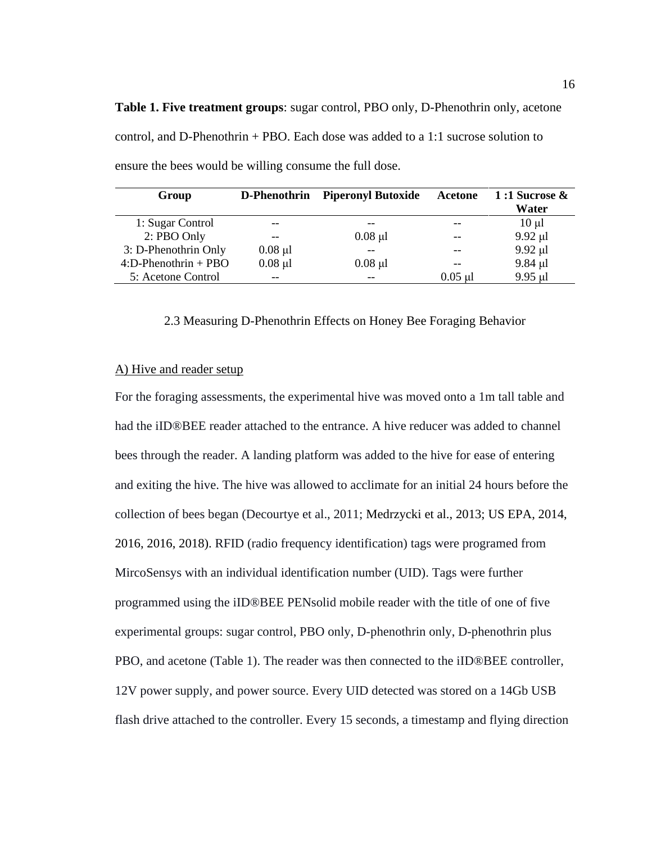| Group                   | D-Phenothrin | <b>Piperonyl Butoxide</b> | Acetone   | 1:1 Sucrose $\&$ |
|-------------------------|--------------|---------------------------|-----------|------------------|
|                         |              |                           |           | Water            |
| 1: Sugar Control        |              |                           |           | $10 \mu l$       |
| 2: PBO Only             |              | $0.08$ µl                 |           | $9.92 \mu l$     |
| 3: D-Phenothrin Only    | $0.08$ µl    |                           |           | $9.92$ µl        |
| $4:$ D-Phenothrin + PBO | $0.08$ µl    | $0.08$ µl                 |           | $9.84$ µl        |
| 5: Acetone Control      | $- -$        |                           | $0.05$ µl | 9.95 µl          |

<span id="page-25-2"></span>**Table 1. Five treatment groups**: sugar control, PBO only, D-Phenothrin only, acetone control, and D-Phenothrin + PBO. Each dose was added to a 1:1 sucrose solution to ensure the bees would be willing consume the full dose.

#### 2.3 Measuring D-Phenothrin Effects on Honey Bee Foraging Behavior

#### <span id="page-25-1"></span><span id="page-25-0"></span>A) Hive and reader setup

For the foraging assessments, the experimental hive was moved onto a 1m tall table and had the iID®BEE reader attached to the entrance. A hive reducer was added to channel bees through the reader. A landing platform was added to the hive for ease of entering and exiting the hive. The hive was allowed to acclimate for an initial 24 hours before the collection of bees began (Decourtye et al., 2011; Medrzycki et al., 2013; US EPA, 2014, 2016, 2016, 2018). RFID (radio frequency identification) tags were programed from MircoSensys with an individual identification number (UID). Tags were further programmed using the iID®BEE PENsolid mobile reader with the title of one of five experimental groups: sugar control, PBO only, D-phenothrin only, D-phenothrin plus PBO, and acetone (Table 1). The reader was then connected to the iID®BEE controller, 12V power supply, and power source. Every UID detected was stored on a 14Gb USB flash drive attached to the controller. Every 15 seconds, a timestamp and flying direction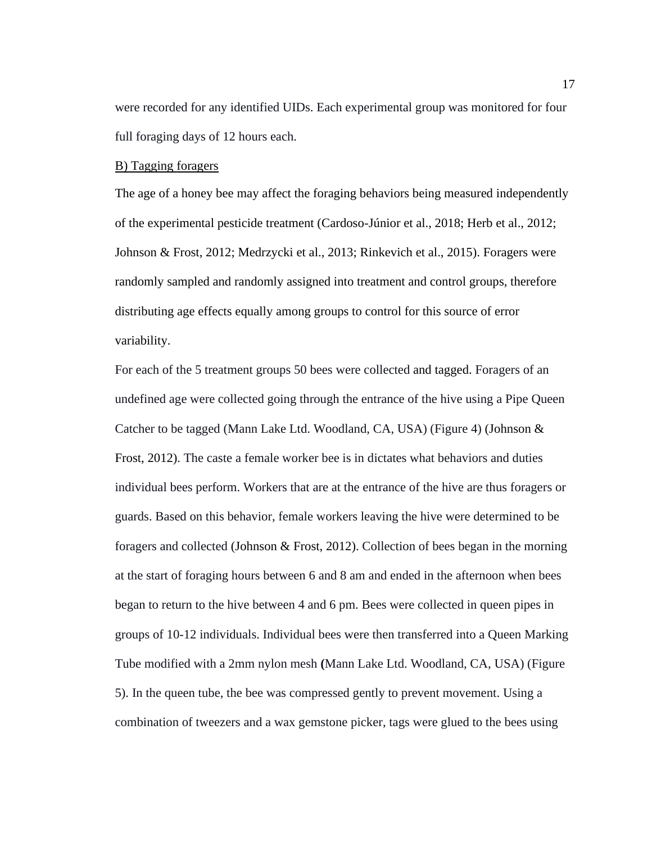were recorded for any identified UIDs. Each experimental group was monitored for four full foraging days of 12 hours each.

### <span id="page-26-0"></span>B) Tagging foragers

The age of a honey bee may affect the foraging behaviors being measured independently of the experimental pesticide treatment (Cardoso-Júnior et al., 2018; Herb et al., 2012; Johnson & Frost, 2012; Medrzycki et al., 2013; Rinkevich et al., 2015). Foragers were randomly sampled and randomly assigned into treatment and control groups, therefore distributing age effects equally among groups to control for this source of error variability.

For each of the 5 treatment groups 50 bees were collected and tagged. Foragers of an undefined age were collected going through the entrance of the hive using a Pipe Queen Catcher to be tagged (Mann Lake Ltd. Woodland, CA, USA) (Figure 4) (Johnson & Frost, 2012). The caste a female worker bee is in dictates what behaviors and duties individual bees perform. Workers that are at the entrance of the hive are thus foragers or guards. Based on this behavior, female workers leaving the hive were determined to be foragers and collected (Johnson & Frost, 2012). Collection of bees began in the morning at the start of foraging hours between 6 and 8 am and ended in the afternoon when bees began to return to the hive between 4 and 6 pm. Bees were collected in queen pipes in groups of 10-12 individuals. Individual bees were then transferred into a Queen Marking Tube modified with a 2mm nylon mesh **(**Mann Lake Ltd. Woodland, CA, USA) (Figure 5). In the queen tube, the bee was compressed gently to prevent movement. Using a combination of tweezers and a wax gemstone picker, tags were glued to the bees using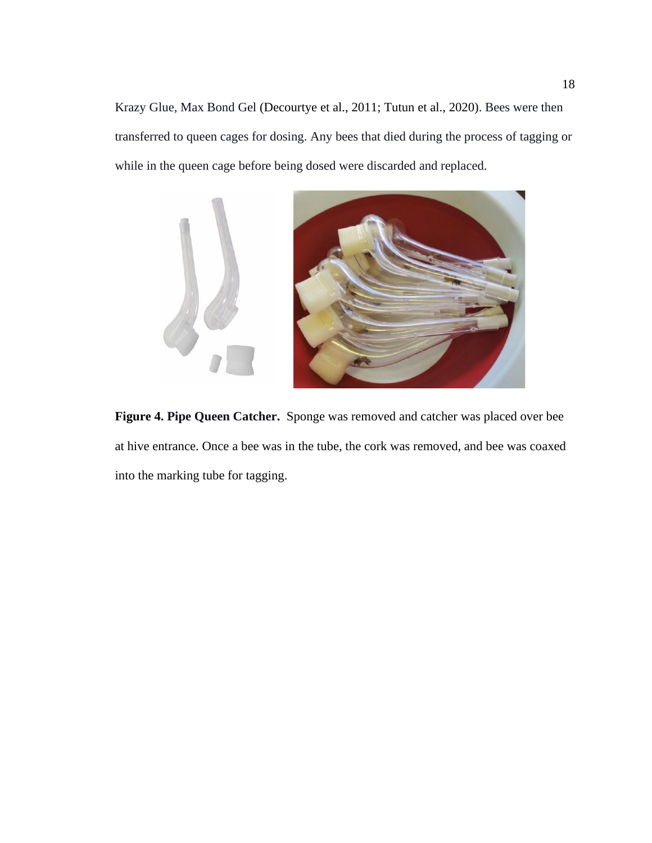Krazy Glue, Max Bond Gel (Decourtye et al., 2011; Tutun et al., 2020). Bees were then transferred to queen cages for dosing. Any bees that died during the process of tagging or while in the queen cage before being dosed were discarded and replaced.

<span id="page-27-0"></span>

**Figure 4. Pipe Queen Catcher.** Sponge was removed and catcher was placed over bee at hive entrance. Once a bee was in the tube, the cork was removed, and bee was coaxed into the marking tube for tagging.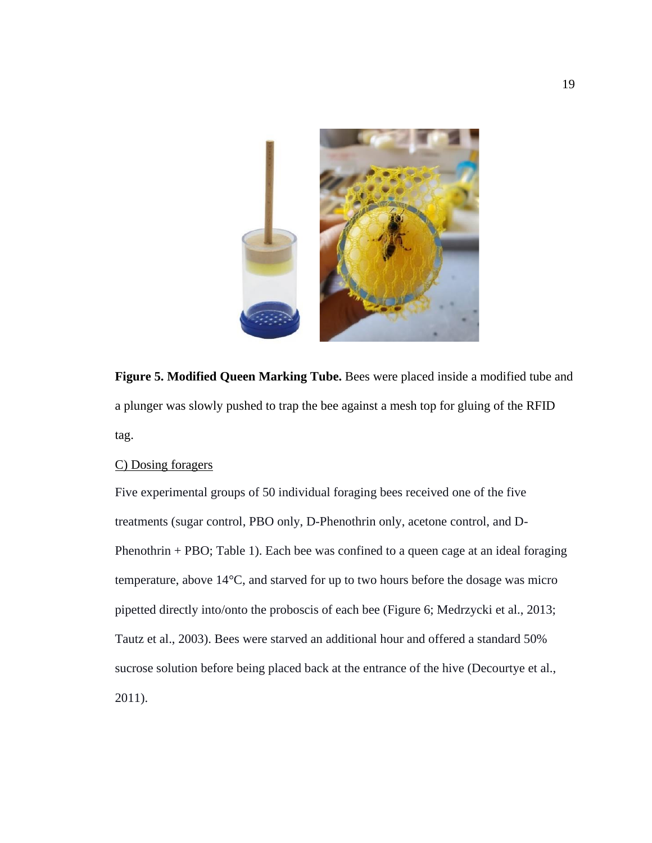

<span id="page-28-1"></span>**Figure 5. Modified Queen Marking Tube.** Bees were placed inside a modified tube and a plunger was slowly pushed to trap the bee against a mesh top for gluing of the RFID tag.

# <span id="page-28-0"></span>C) Dosing foragers

Five experimental groups of 50 individual foraging bees received one of the five treatments (sugar control, PBO only, D-Phenothrin only, acetone control, and D-Phenothrin  $+$  PBO; Table 1). Each bee was confined to a queen cage at an ideal foraging temperature, above 14°C, and starved for up to two hours before the dosage was micro pipetted directly into/onto the proboscis of each bee (Figure 6; Medrzycki et al., 2013; Tautz et al., 2003). Bees were starved an additional hour and offered a standard 50% sucrose solution before being placed back at the entrance of the hive (Decourtye et al., 2011).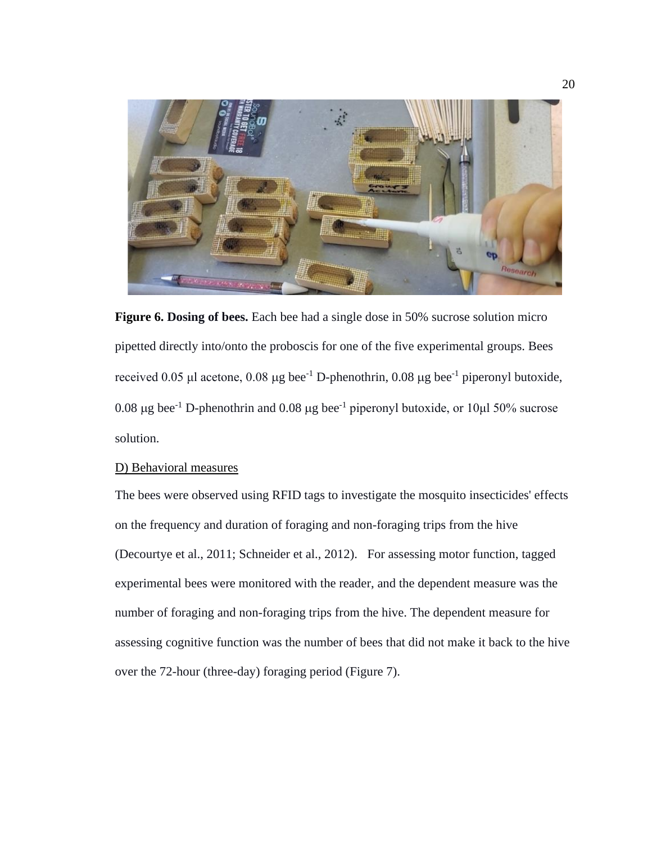

<span id="page-29-1"></span>**Figure 6. Dosing of bees.** Each bee had a single dose in 50% sucrose solution micro pipetted directly into/onto the proboscis for one of the five experimental groups. Bees received 0.05 μl acetone, 0.08 μg bee<sup>-1</sup> D-phenothrin, 0.08 μg bee<sup>-1</sup> piperonyl butoxide, 0.08  $\mu$ g bee<sup>-1</sup> D-phenothrin and 0.08  $\mu$ g bee<sup>-1</sup> piperonyl butoxide, or 10 $\mu$ l 50% sucrose solution.

#### <span id="page-29-0"></span>D) Behavioral measures

The bees were observed using RFID tags to investigate the mosquito insecticides' effects on the frequency and duration of foraging and non-foraging trips from the hive (Decourtye et al., 2011; Schneider et al., 2012). For assessing motor function, tagged experimental bees were monitored with the reader, and the dependent measure was the number of foraging and non-foraging trips from the hive. The dependent measure for assessing cognitive function was the number of bees that did not make it back to the hive over the 72-hour (three-day) foraging period (Figure 7).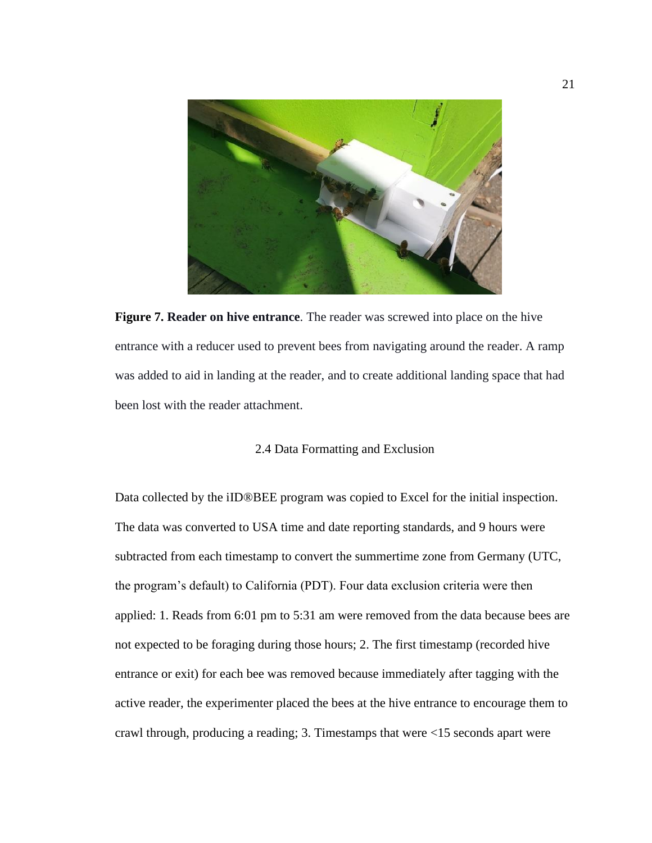

**Figure 7. Reader on hive entrance**. The reader was screwed into place on the hive entrance with a reducer used to prevent bees from navigating around the reader. A ramp was added to aid in landing at the reader, and to create additional landing space that had been lost with the reader attachment.

# 2.4 Data Formatting and Exclusion

<span id="page-30-1"></span><span id="page-30-0"></span>Data collected by the iID®BEE program was copied to Excel for the initial inspection. The data was converted to USA time and date reporting standards, and 9 hours were subtracted from each timestamp to convert the summertime zone from Germany (UTC, the program's default) to California (PDT). Four data exclusion criteria were then applied: 1. Reads from 6:01 pm to 5:31 am were removed from the data because bees are not expected to be foraging during those hours; 2. The first timestamp (recorded hive entrance or exit) for each bee was removed because immediately after tagging with the active reader, the experimenter placed the bees at the hive entrance to encourage them to crawl through, producing a reading; 3. Timestamps that were <15 seconds apart were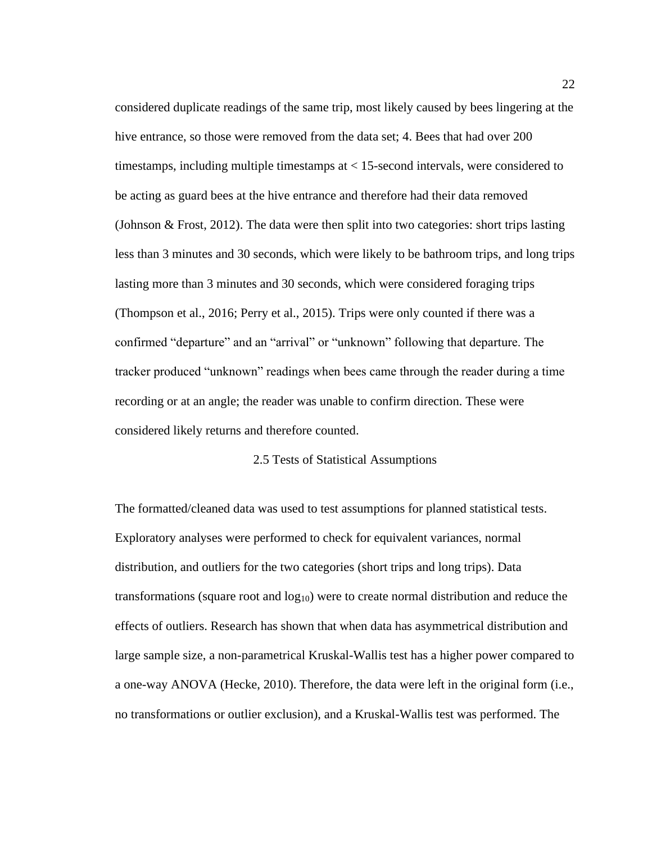considered duplicate readings of the same trip, most likely caused by bees lingering at the hive entrance, so those were removed from the data set; 4. Bees that had over 200 timestamps, including multiple timestamps at  $\lt 15$ -second intervals, were considered to be acting as guard bees at the hive entrance and therefore had their data removed (Johnson & Frost, 2012). The data were then split into two categories: short trips lasting less than 3 minutes and 30 seconds, which were likely to be bathroom trips, and long trips lasting more than 3 minutes and 30 seconds, which were considered foraging trips (Thompson et al., 2016; Perry et al., 2015). Trips were only counted if there was a confirmed "departure" and an "arrival" or "unknown" following that departure. The tracker produced "unknown" readings when bees came through the reader during a time recording or at an angle; the reader was unable to confirm direction. These were considered likely returns and therefore counted.

# 2.5 Tests of Statistical Assumptions

<span id="page-31-0"></span>The formatted/cleaned data was used to test assumptions for planned statistical tests. Exploratory analyses were performed to check for equivalent variances, normal distribution, and outliers for the two categories (short trips and long trips). Data transformations (square root and  $log_{10}$ ) were to create normal distribution and reduce the effects of outliers. Research has shown that when data has asymmetrical distribution and large sample size, a non-parametrical Kruskal-Wallis test has a higher power compared to a one-way ANOVA (Hecke, 2010). Therefore, the data were left in the original form (i.e., no transformations or outlier exclusion), and a Kruskal-Wallis test was performed. The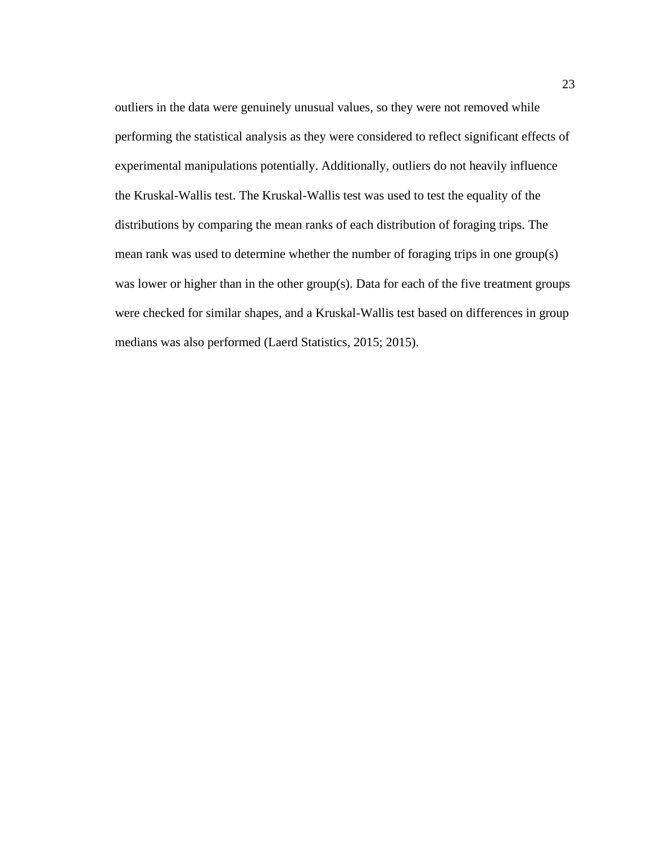outliers in the data were genuinely unusual values, so they were not removed while performing the statistical analysis as they were considered to reflect significant effects of experimental manipulations potentially. Additionally, outliers do not heavily influence the Kruskal-Wallis test. The Kruskal-Wallis test was used to test the equality of the distributions by comparing the mean ranks of each distribution of foraging trips. The mean rank was used to determine whether the number of foraging trips in one group(s) was lower or higher than in the other group(s). Data for each of the five treatment groups were checked for similar shapes, and a Kruskal-Wallis test based on differences in group medians was also performed (Laerd Statistics, 2015; 2015).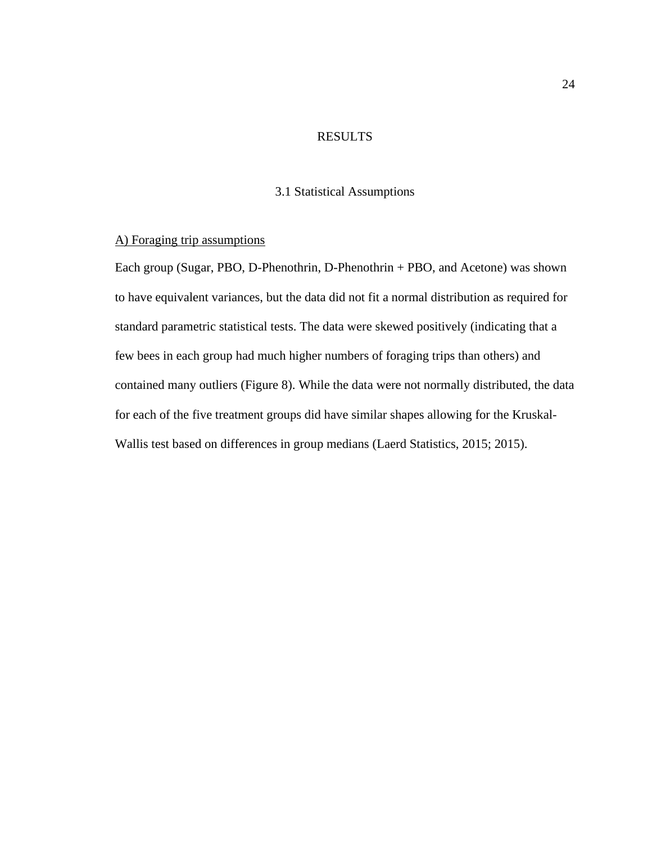# RESULTS

### 3.1 Statistical Assumptions

# <span id="page-33-2"></span><span id="page-33-1"></span><span id="page-33-0"></span>A) Foraging trip assumptions

Each group (Sugar, PBO, D-Phenothrin, D-Phenothrin + PBO, and Acetone) was shown to have equivalent variances, but the data did not fit a normal distribution as required for standard parametric statistical tests. The data were skewed positively (indicating that a few bees in each group had much higher numbers of foraging trips than others) and contained many outliers (Figure 8). While the data were not normally distributed, the data for each of the five treatment groups did have similar shapes allowing for the Kruskal-Wallis test based on differences in group medians (Laerd Statistics, 2015; 2015).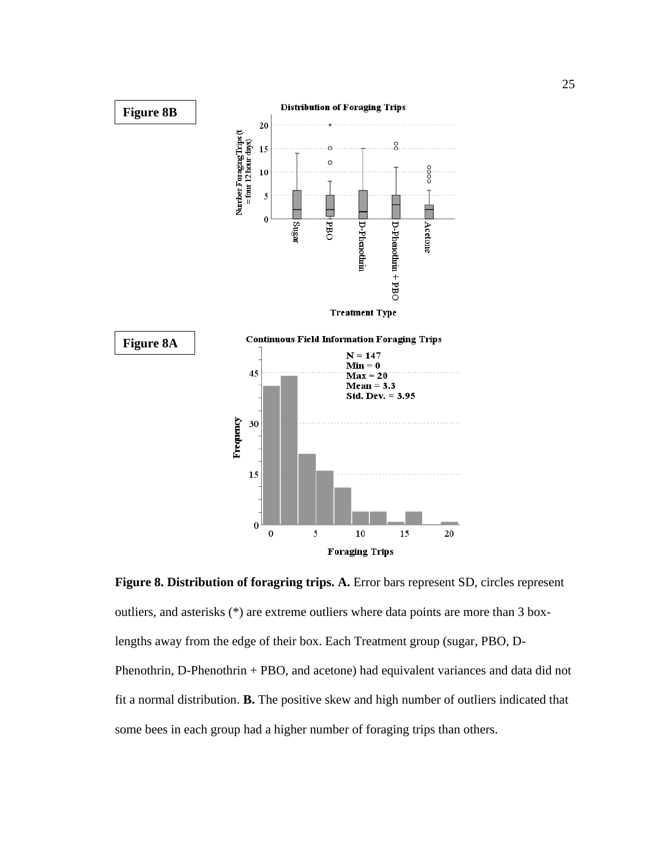

<span id="page-34-0"></span>**Figure 8. Distribution of foragring trips. A.** Error bars represent SD, circles represent outliers, and asterisks (\*) are extreme outliers where data points are more than 3 boxlengths away from the edge of their box. Each Treatment group (sugar, PBO, D-Phenothrin, D-Phenothrin + PBO, and acetone) had equivalent variances and data did not fit a normal distribution. **B.** The positive skew and high number of outliers indicated that some bees in each group had a higher number of foraging trips than others.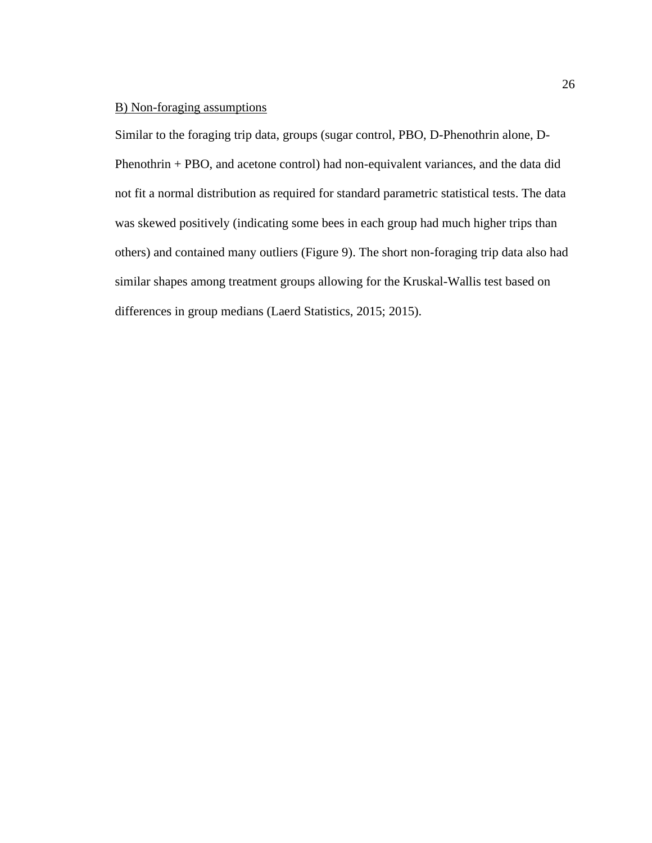# <span id="page-35-0"></span>B) Non-foraging assumptions

Similar to the foraging trip data, groups (sugar control, PBO, D-Phenothrin alone, D-Phenothrin + PBO, and acetone control) had non-equivalent variances, and the data did not fit a normal distribution as required for standard parametric statistical tests. The data was skewed positively (indicating some bees in each group had much higher trips than others) and contained many outliers (Figure 9). The short non-foraging trip data also had similar shapes among treatment groups allowing for the Kruskal-Wallis test based on differences in group medians (Laerd Statistics, 2015; 2015).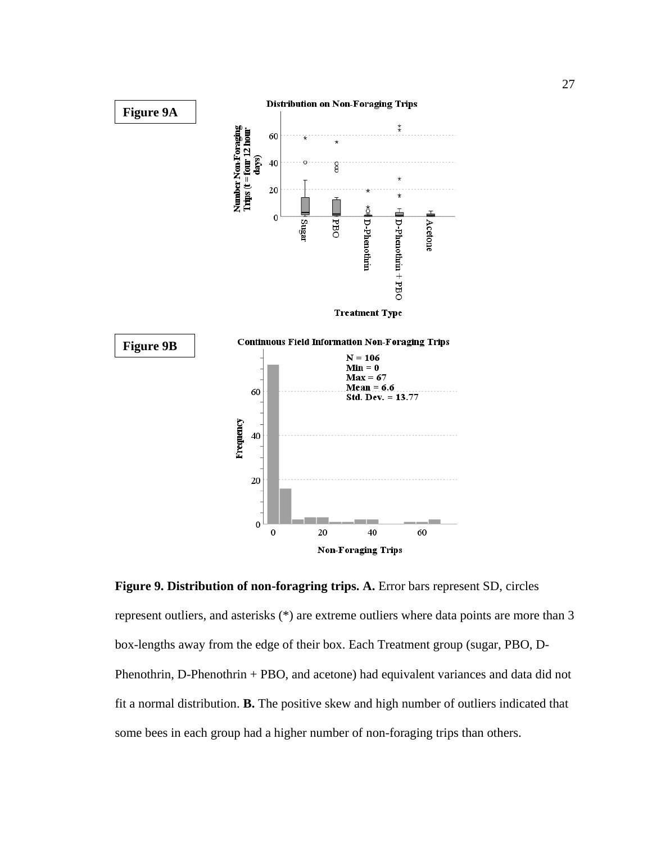

**Figure 9. Distribution of non-foragring trips. A.** Error bars represent SD, circles represent outliers, and asterisks (\*) are extreme outliers where data points are more than 3 box-lengths away from the edge of their box. Each Treatment group (sugar, PBO, D-Phenothrin, D-Phenothrin + PBO, and acetone) had equivalent variances and data did not fit a normal distribution. **B.** The positive skew and high number of outliers indicated that some bees in each group had a higher number of non-foraging trips than others.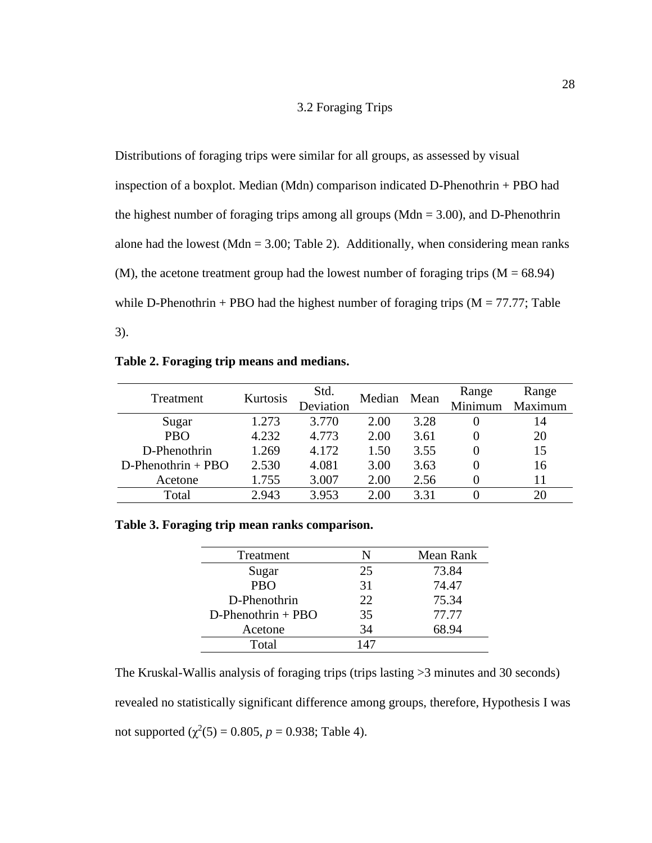# 3.2 Foraging Trips

Distributions of foraging trips were similar for all groups, as assessed by visual inspection of a boxplot. Median (Mdn) comparison indicated D-Phenothrin + PBO had the highest number of foraging trips among all groups (Mdn  $=$  3.00), and D-Phenothrin alone had the lowest (Mdn  $= 3.00$ ; Table 2). Additionally, when considering mean ranks (M), the acetone treatment group had the lowest number of foraging trips  $(M = 68.94)$ while D-Phenothrin + PBO had the highest number of foraging trips  $(M = 77.77;$  Table 3).

|  | Table 2. Foraging trip means and medians. |  |  |  |  |
|--|-------------------------------------------|--|--|--|--|
|--|-------------------------------------------|--|--|--|--|

| Treatment             | Kurtosis | Std.<br>Deviation | Median | Mean  | Range<br>Minimum | Range<br>Maximum |
|-----------------------|----------|-------------------|--------|-------|------------------|------------------|
| Sugar                 | 1.273    | 3.770             | 2.00   | 3.28  |                  | 14               |
| <b>PBO</b>            | 4.232    | 4.773             | 2.00   | 3.61  |                  | 20               |
| D-Phenothrin          | 1.269    | 4.172             | 1.50   | 3.55  |                  | 15               |
| $D$ -Phenothrin + PBO | 2.530    | 4.081             | 3.00   | 3.63  |                  | 16               |
| Acetone               | 1.755    | 3.007             | 2.00   | 2.56  |                  | 11               |
| Total                 | 2.943    | 3.953             | 2.00   | 3 3 1 |                  |                  |

## **Table 3. Foraging trip mean ranks comparison.**

| Treatment             | N   | Mean Rank |
|-----------------------|-----|-----------|
| Sugar                 | 25  | 73.84     |
| <b>PBO</b>            | 31  | 74.47     |
| D-Phenothrin          | 22  | 75.34     |
| $D$ -Phenothrin + PBO | 35  | 77.77     |
| Acetone               | 34  | 68.94     |
| Total                 | 147 |           |

The Kruskal-Wallis analysis of foraging trips (trips lasting >3 minutes and 30 seconds) revealed no statistically significant difference among groups, therefore, Hypothesis I was not supported  $(\chi^2(5) = 0.805, p = 0.938;$  Table 4).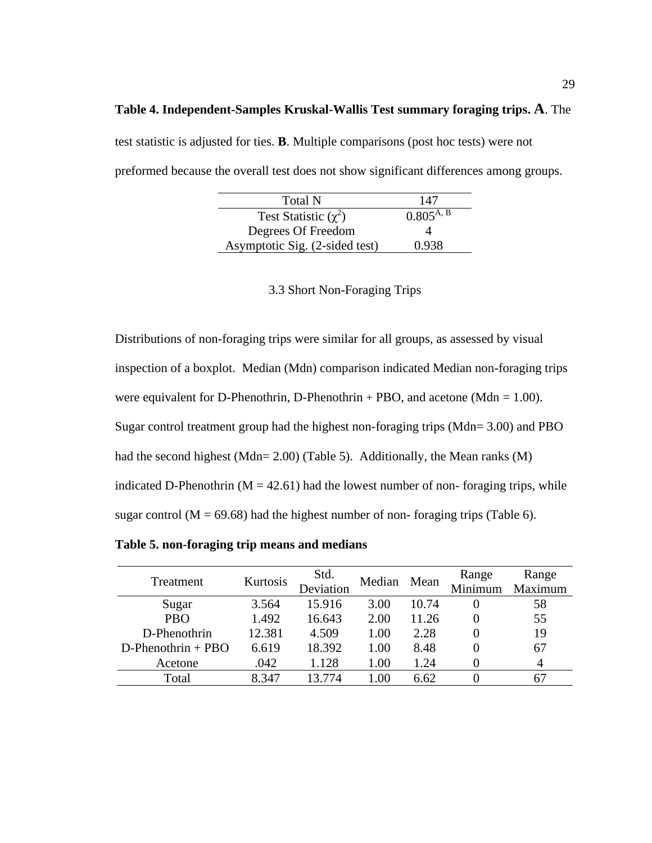### **Table 4. Independent-Samples Kruskal-Wallis Test summary foraging trips. A**. The

test statistic is adjusted for ties. **B**. Multiple comparisons (post hoc tests) were not preformed because the overall test does not show significant differences among groups.

| Total N                        | 147            |
|--------------------------------|----------------|
| Test Statistic $(\chi^2)$      | $0.805^{A, B}$ |
| Degrees Of Freedom             |                |
| Asymptotic Sig. (2-sided test) | 0.938          |

3.3 Short Non-Foraging Trips

Distributions of non-foraging trips were similar for all groups, as assessed by visual inspection of a boxplot. Median (Mdn) comparison indicated Median non-foraging trips were equivalent for D-Phenothrin, D-Phenothrin + PBO, and acetone (Mdn =  $1.00$ ). Sugar control treatment group had the highest non-foraging trips (Mdn= 3.00) and PBO had the second highest (Mdn= 2.00) (Table 5). Additionally, the Mean ranks (M) indicated D-Phenothrin ( $M = 42.61$ ) had the lowest number of non-foraging trips, while sugar control ( $M = 69.68$ ) had the highest number of non-foraging trips (Table 6).

**Table 5. non-foraging trip means and medians**

| Treatment             | Kurtosis | Std.<br>Deviation | Median | Mean  | Range<br>Minimum | Range<br>Maximum |
|-----------------------|----------|-------------------|--------|-------|------------------|------------------|
| Sugar                 | 3.564    | 15.916            | 3.00   | 10.74 |                  | 58               |
| <b>PBO</b>            | 1.492    | 16.643            | 2.00   | 11.26 |                  | 55               |
| D-Phenothrin          | 12.381   | 4.509             | 1.00   | 2.28  |                  | 19               |
| $D$ -Phenothrin + PBO | 6.619    | 18.392            | 1.00   | 8.48  |                  | 67               |
| Acetone               | .042     | 1.128             | 1.00   | 1.24  |                  |                  |
| Total                 | 8.347    | 13.774            | -00    | 6.62  |                  |                  |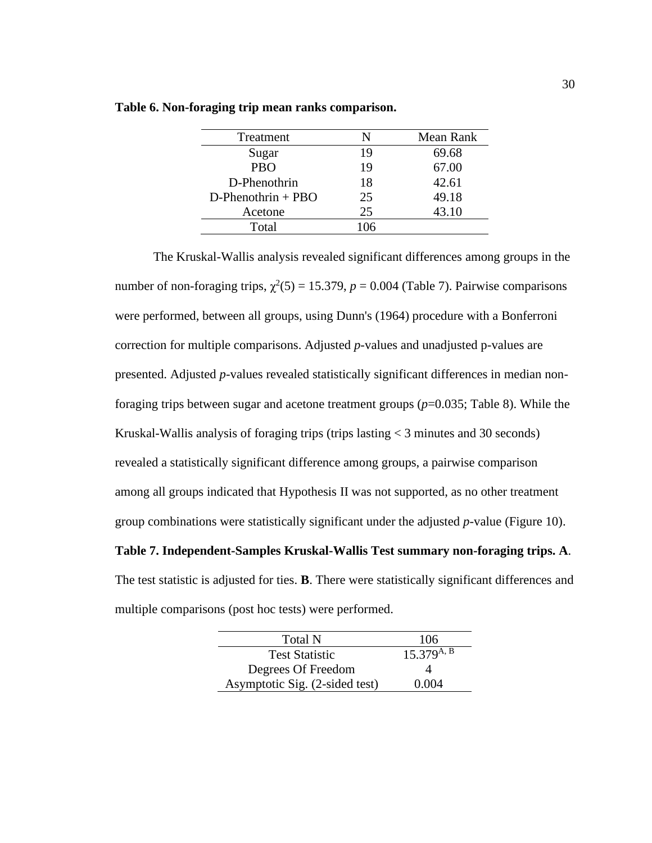| Treatment             | N   | Mean Rank |
|-----------------------|-----|-----------|
| Sugar                 | 19  | 69.68     |
| <b>PBO</b>            | 19  | 67.00     |
| D-Phenothrin          | 18  | 42.61     |
| $D$ -Phenothrin + PBO | 25  | 49.18     |
| Acetone               | 25  | 43.10     |
| Total                 | 106 |           |

|  |  |  | Table 6. Non-foraging trip mean ranks comparison. |
|--|--|--|---------------------------------------------------|

The Kruskal-Wallis analysis revealed significant differences among groups in the number of non-foraging trips,  $\chi^2(5) = 15.379$ ,  $p = 0.004$  (Table 7). Pairwise comparisons were performed, between all groups, using Dunn's (1964) procedure with a Bonferroni correction for multiple comparisons. Adjusted *p*-values and unadjusted p-values are presented. Adjusted *p*-values revealed statistically significant differences in median nonforaging trips between sugar and acetone treatment groups (*p*=0.035; Table 8). While the Kruskal-Wallis analysis of foraging trips (trips lasting < 3 minutes and 30 seconds) revealed a statistically significant difference among groups, a pairwise comparison among all groups indicated that Hypothesis II was not supported, as no other treatment group combinations were statistically significant under the adjusted *p*-value (Figure 10).

# **Table 7. Independent-Samples Kruskal-Wallis Test summary non-foraging trips. A**.

The test statistic is adjusted for ties. **B**. There were statistically significant differences and multiple comparisons (post hoc tests) were performed.

| Total N                        | 106             |
|--------------------------------|-----------------|
| <b>Test Statistic</b>          | $15.379^{A, B}$ |
| Degrees Of Freedom             |                 |
| Asymptotic Sig. (2-sided test) | 0.004           |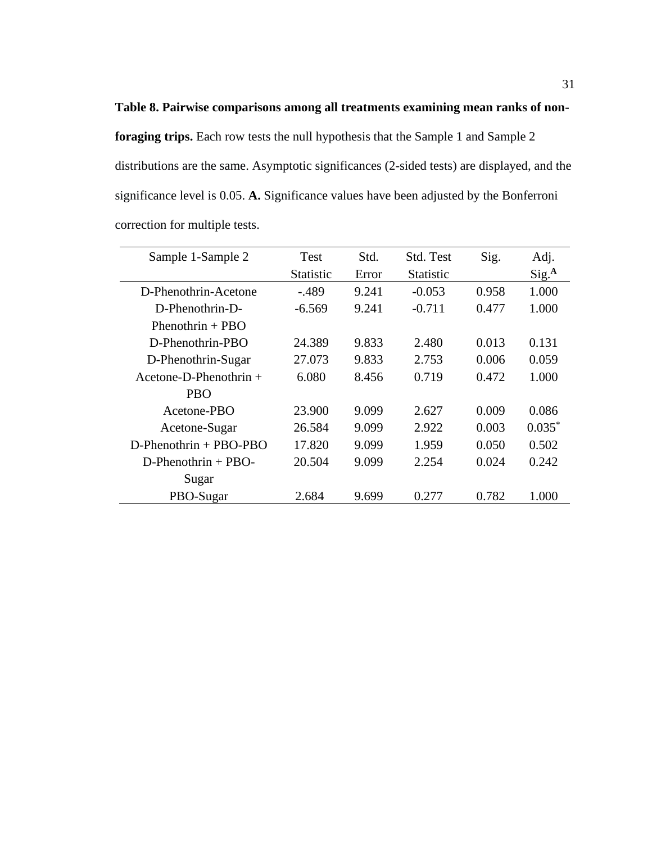**foraging trips.** Each row tests the null hypothesis that the Sample 1 and Sample 2 distributions are the same. Asymptotic significances (2-sided tests) are displayed, and the significance level is 0.05. **A.** Significance values have been adjusted by the Bonferroni correction for multiple tests.

**Table 8. Pairwise comparisons among all treatments examining mean ranks of non-**

| Sample 1-Sample 2        | <b>Test</b>      | Std.  | Std. Test        | Sig.  | Adj.              |
|--------------------------|------------------|-------|------------------|-------|-------------------|
|                          | <b>Statistic</b> | Error | <b>Statistic</b> |       | Sig. <sup>A</sup> |
| D-Phenothrin-Acetone     | $-.489$          | 9.241 | $-0.053$         | 0.958 | 1.000             |
| D-Phenothrin-D-          | $-6.569$         | 9.241 | $-0.711$         | 0.477 | 1.000             |
| Phenothrin $+$ PBO       |                  |       |                  |       |                   |
| D-Phenothrin-PBO         | 24.389           | 9.833 | 2.480            | 0.013 | 0.131             |
| D-Phenothrin-Sugar       | 27.073           | 9.833 | 2.753            | 0.006 | 0.059             |
| Acetone-D-Phenothrin $+$ | 6.080            | 8.456 | 0.719            | 0.472 | 1.000             |
| <b>PBO</b>               |                  |       |                  |       |                   |
| Acetone-PBO              | 23.900           | 9.099 | 2.627            | 0.009 | 0.086             |
| Acetone-Sugar            | 26.584           | 9.099 | 2.922            | 0.003 | $0.035*$          |
| $D-Phenothrin + PBO-PBO$ | 17.820           | 9.099 | 1.959            | 0.050 | 0.502             |
| $D-Phenothrin + PBO-$    | 20.504           | 9.099 | 2.254            | 0.024 | 0.242             |
| Sugar                    |                  |       |                  |       |                   |
| PBO-Sugar                | 2.684            | 9.699 | 0.277            | 0.782 | 1.000             |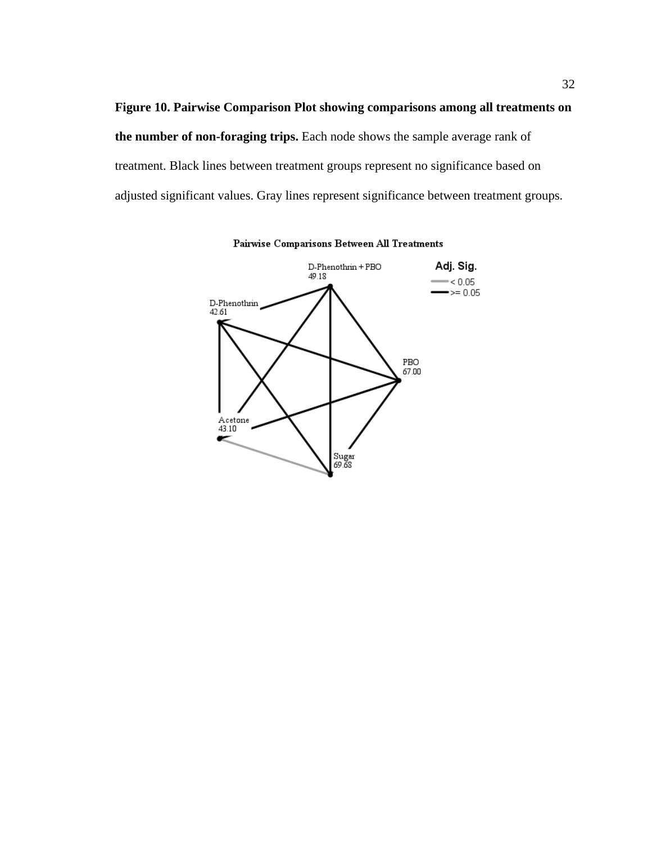**Figure 10. Pairwise Comparison Plot showing comparisons among all treatments on the number of non-foraging trips.** Each node shows the sample average rank of treatment. Black lines between treatment groups represent no significance based on adjusted significant values. Gray lines represent significance between treatment groups.



Pairwise Comparisons Between All Treatments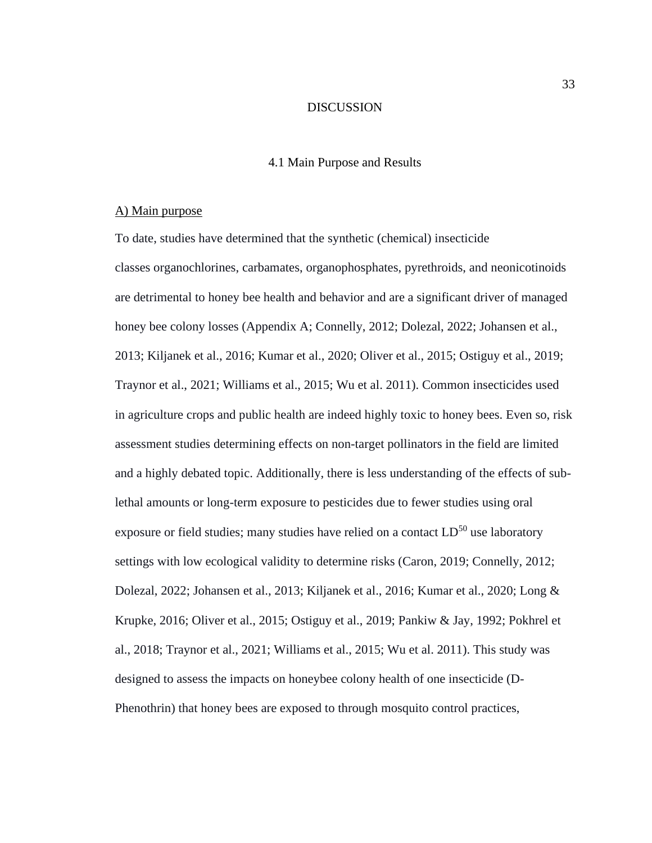### DISCUSSION

### 4.1 Main Purpose and Results

## A) Main purpose

To date, studies have determined that the synthetic (chemical) insecticide classes organochlorines, carbamates, organophosphates, pyrethroids, and neonicotinoids are detrimental to honey bee health and behavior and are a significant driver of managed honey bee colony losses (Appendix A; Connelly, 2012; Dolezal, 2022; Johansen et al., 2013; Kiljanek et al., 2016; Kumar et al., 2020; Oliver et al., 2015; Ostiguy et al., 2019; Traynor et al., 2021; Williams et al., 2015; Wu et al. 2011). Common insecticides used in agriculture crops and public health are indeed highly toxic to honey bees. Even so, risk assessment studies determining effects on non-target pollinators in the field are limited and a highly debated topic. Additionally, there is less understanding of the effects of sublethal amounts or long-term exposure to pesticides due to fewer studies using oral exposure or field studies; many studies have relied on a contact  $LD^{50}$  use laboratory settings with low ecological validity to determine risks (Caron, 2019; Connelly, 2012; Dolezal, 2022; Johansen et al., 2013; Kiljanek et al., 2016; Kumar et al., 2020; Long & Krupke, 2016; Oliver et al., 2015; Ostiguy et al., 2019; Pankiw & Jay, 1992; Pokhrel et al., 2018; Traynor et al., 2021; Williams et al., 2015; Wu et al. 2011). This study was designed to assess the impacts on honeybee colony health of one insecticide (D-Phenothrin) that honey bees are exposed to through mosquito control practices,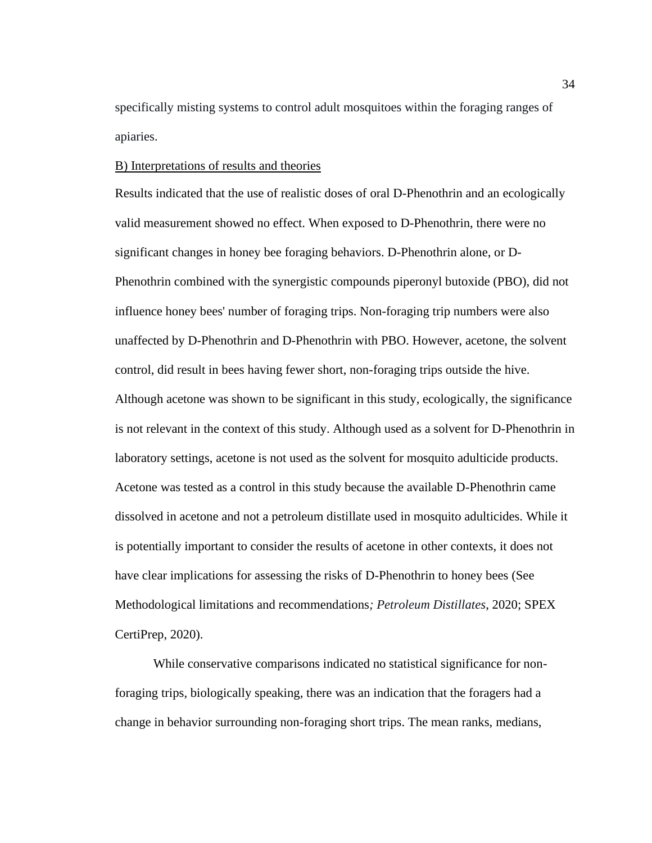specifically misting systems to control adult mosquitoes within the foraging ranges of apiaries.

# B) Interpretations of results and theories

Results indicated that the use of realistic doses of oral D-Phenothrin and an ecologically valid measurement showed no effect. When exposed to D-Phenothrin, there were no significant changes in honey bee foraging behaviors. D-Phenothrin alone, or D-Phenothrin combined with the synergistic compounds piperonyl butoxide (PBO), did not influence honey bees' number of foraging trips. Non-foraging trip numbers were also unaffected by D-Phenothrin and D-Phenothrin with PBO. However, acetone, the solvent control, did result in bees having fewer short, non-foraging trips outside the hive. Although acetone was shown to be significant in this study, ecologically, the significance is not relevant in the context of this study. Although used as a solvent for D-Phenothrin in laboratory settings, acetone is not used as the solvent for mosquito adulticide products. Acetone was tested as a control in this study because the available D-Phenothrin came dissolved in acetone and not a petroleum distillate used in mosquito adulticides. While it is potentially important to consider the results of acetone in other contexts, it does not have clear implications for assessing the risks of D-Phenothrin to honey bees (See Methodological limitations and recommendations*; Petroleum Distillates*, 2020; SPEX CertiPrep, 2020).

While conservative comparisons indicated no statistical significance for nonforaging trips, biologically speaking, there was an indication that the foragers had a change in behavior surrounding non-foraging short trips. The mean ranks, medians,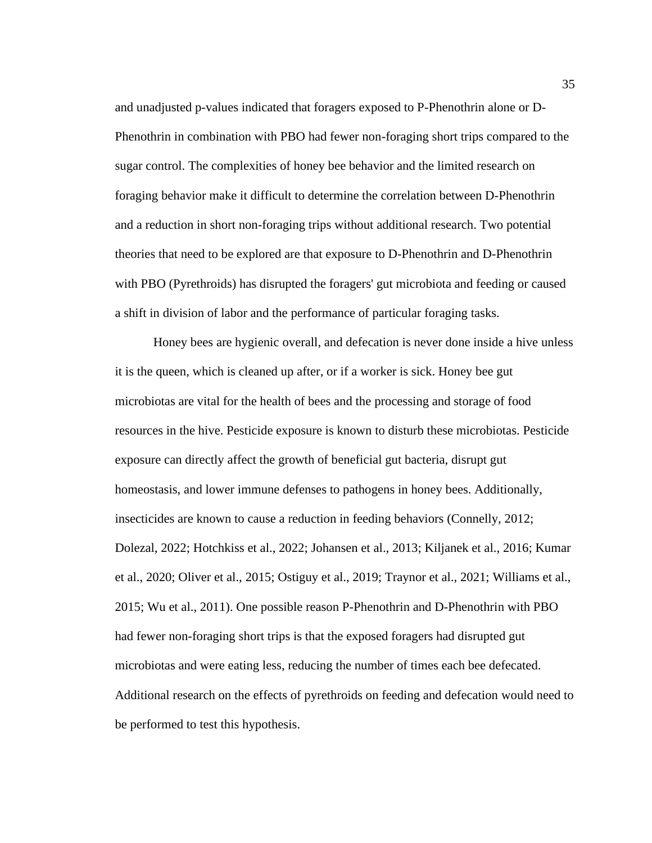and unadjusted p-values indicated that foragers exposed to P-Phenothrin alone or D-Phenothrin in combination with PBO had fewer non-foraging short trips compared to the sugar control. The complexities of honey bee behavior and the limited research on foraging behavior make it difficult to determine the correlation between D-Phenothrin and a reduction in short non-foraging trips without additional research. Two potential theories that need to be explored are that exposure to D-Phenothrin and D-Phenothrin with PBO (Pyrethroids) has disrupted the foragers' gut microbiota and feeding or caused a shift in division of labor and the performance of particular foraging tasks.

Honey bees are hygienic overall, and defecation is never done inside a hive unless it is the queen, which is cleaned up after, or if a worker is sick. Honey bee gut microbiotas are vital for the health of bees and the processing and storage of food resources in the hive. Pesticide exposure is known to disturb these microbiotas. Pesticide exposure can directly affect the growth of beneficial gut bacteria, disrupt gut homeostasis, and lower immune defenses to pathogens in honey bees. Additionally, insecticides are known to cause a reduction in feeding behaviors (Connelly, 2012; Dolezal, 2022; Hotchkiss et al., 2022; Johansen et al., 2013; Kiljanek et al., 2016; Kumar et al., 2020; Oliver et al., 2015; Ostiguy et al., 2019; Traynor et al., 2021; Williams et al., 2015; Wu et al., 2011). One possible reason P-Phenothrin and D-Phenothrin with PBO had fewer non-foraging short trips is that the exposed foragers had disrupted gut microbiotas and were eating less, reducing the number of times each bee defecated. Additional research on the effects of pyrethroids on feeding and defecation would need to be performed to test this hypothesis.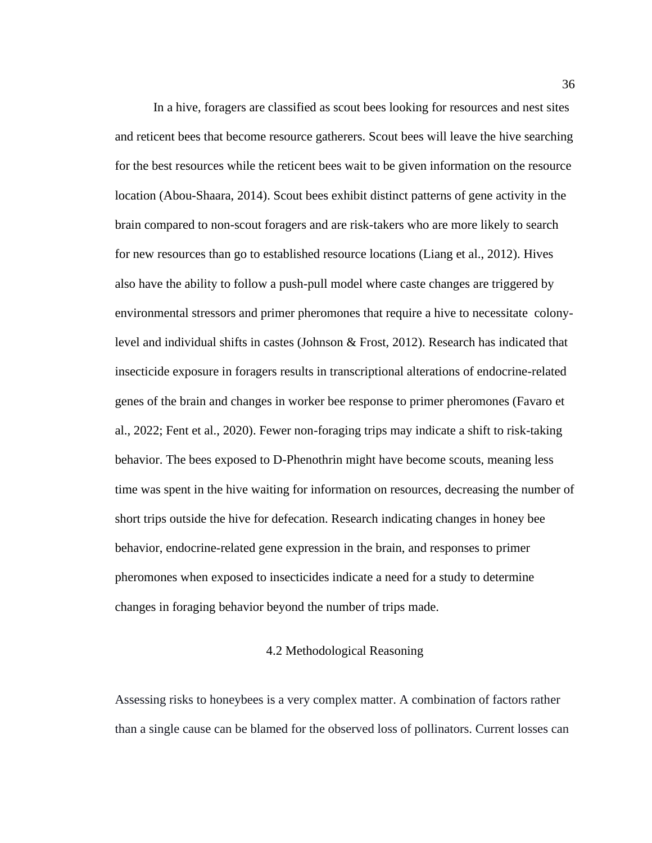In a hive, foragers are classified as scout bees looking for resources and nest sites and reticent bees that become resource gatherers. Scout bees will leave the hive searching for the best resources while the reticent bees wait to be given information on the resource location (Abou-Shaara, 2014). Scout bees exhibit distinct patterns of gene activity in the brain compared to non-scout foragers and are risk-takers who are more likely to search for new resources than go to established resource locations (Liang et al., 2012). Hives also have the ability to follow a push-pull model where caste changes are triggered by environmental stressors and primer pheromones that require a hive to necessitate colonylevel and individual shifts in castes (Johnson & Frost, 2012). Research has indicated that insecticide exposure in foragers results in transcriptional alterations of endocrine-related genes of the brain and changes in worker bee response to primer pheromones (Favaro et al., 2022; Fent et al., 2020). Fewer non-foraging trips may indicate a shift to risk-taking behavior. The bees exposed to D-Phenothrin might have become scouts, meaning less time was spent in the hive waiting for information on resources, decreasing the number of short trips outside the hive for defecation. Research indicating changes in honey bee behavior, endocrine-related gene expression in the brain, and responses to primer pheromones when exposed to insecticides indicate a need for a study to determine changes in foraging behavior beyond the number of trips made.

#### 4.2 Methodological Reasoning

Assessing risks to honeybees is a very complex matter. A combination of factors rather than a single cause can be blamed for the observed loss of pollinators. Current losses can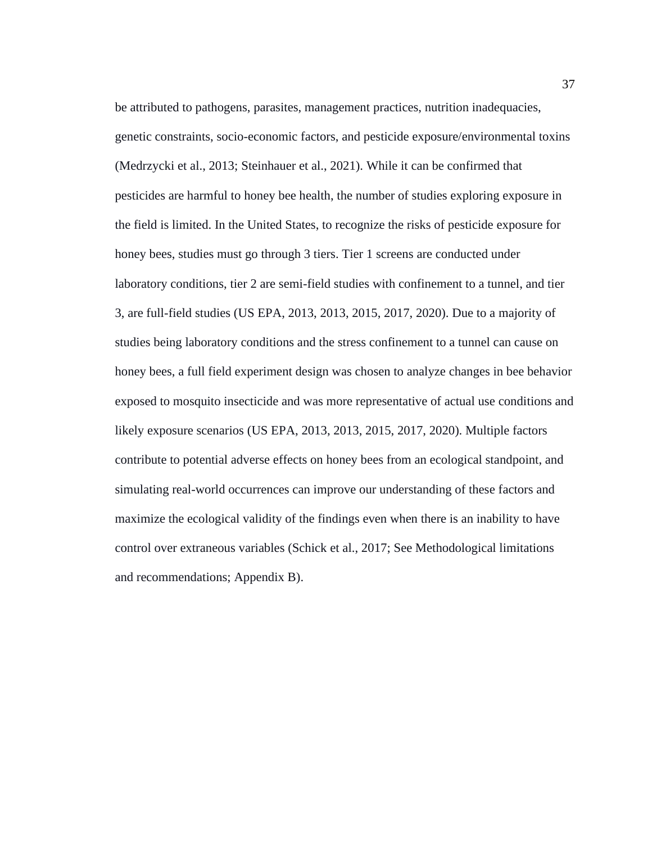be attributed to pathogens, parasites, management practices, nutrition inadequacies, genetic constraints, socio-economic factors, and pesticide exposure/environmental toxins (Medrzycki et al., 2013; Steinhauer et al., 2021). While it can be confirmed that pesticides are harmful to honey bee health, the number of studies exploring exposure in the field is limited. In the United States, to recognize the risks of pesticide exposure for honey bees, studies must go through 3 tiers. Tier 1 screens are conducted under laboratory conditions, tier 2 are semi-field studies with confinement to a tunnel, and tier 3, are full-field studies (US EPA, 2013, 2013, 2015, 2017, 2020). Due to a majority of studies being laboratory conditions and the stress confinement to a tunnel can cause on honey bees, a full field experiment design was chosen to analyze changes in bee behavior exposed to mosquito insecticide and was more representative of actual use conditions and likely exposure scenarios (US EPA, 2013, 2013, 2015, 2017, 2020). Multiple factors contribute to potential adverse effects on honey bees from an ecological standpoint, and simulating real-world occurrences can improve our understanding of these factors and maximize the ecological validity of the findings even when there is an inability to have control over extraneous variables (Schick et al., 2017; See Methodological limitations and recommendations; Appendix B).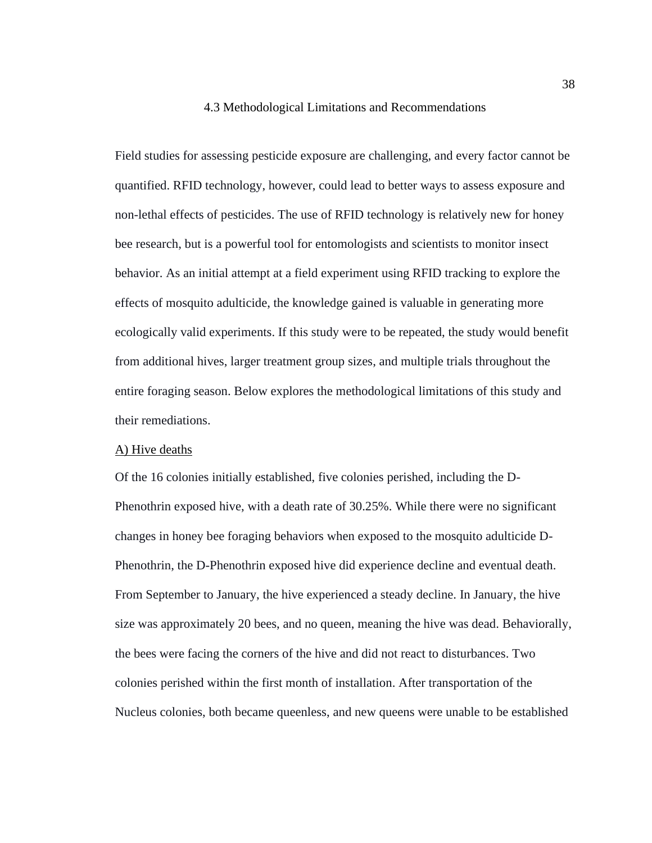### 4.3 Methodological Limitations and Recommendations

Field studies for assessing pesticide exposure are challenging, and every factor cannot be quantified. RFID technology, however, could lead to better ways to assess exposure and non-lethal effects of pesticides. The use of RFID technology is relatively new for honey bee research, but is a powerful tool for entomologists and scientists to monitor insect behavior. As an initial attempt at a field experiment using RFID tracking to explore the effects of mosquito adulticide, the knowledge gained is valuable in generating more ecologically valid experiments. If this study were to be repeated, the study would benefit from additional hives, larger treatment group sizes, and multiple trials throughout the entire foraging season. Below explores the methodological limitations of this study and their remediations.

### A) Hive deaths

Of the 16 colonies initially established, five colonies perished, including the D-Phenothrin exposed hive, with a death rate of 30.25%. While there were no significant changes in honey bee foraging behaviors when exposed to the mosquito adulticide D-Phenothrin, the D-Phenothrin exposed hive did experience decline and eventual death. From September to January, the hive experienced a steady decline. In January, the hive size was approximately 20 bees, and no queen, meaning the hive was dead. Behaviorally, the bees were facing the corners of the hive and did not react to disturbances. Two colonies perished within the first month of installation. After transportation of the Nucleus colonies, both became queenless, and new queens were unable to be established

38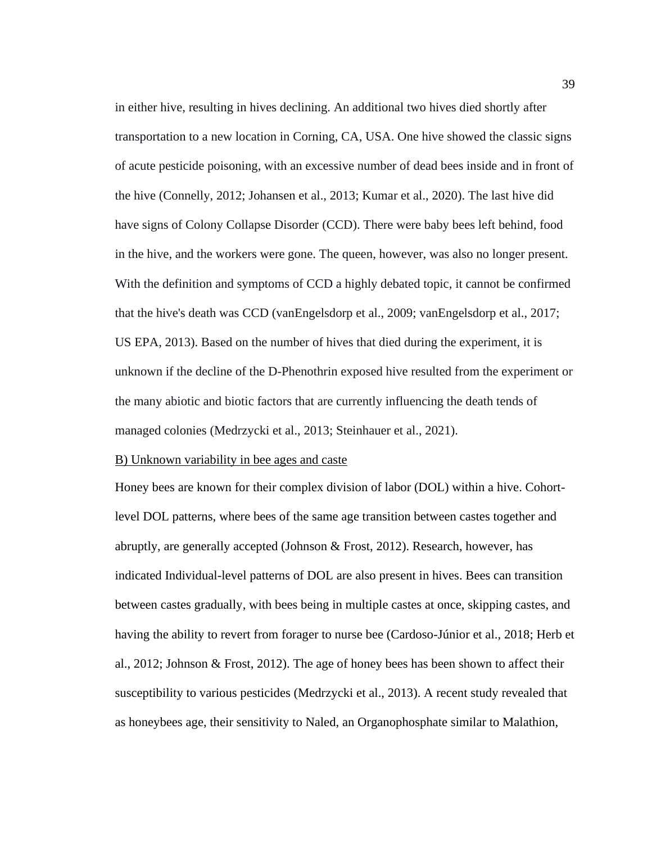in either hive, resulting in hives declining. An additional two hives died shortly after transportation to a new location in Corning, CA, USA. One hive showed the classic signs of acute pesticide poisoning, with an excessive number of dead bees inside and in front of the hive (Connelly, 2012; Johansen et al., 2013; Kumar et al., 2020). The last hive did have signs of Colony Collapse Disorder (CCD). There were baby bees left behind, food in the hive, and the workers were gone. The queen, however, was also no longer present. With the definition and symptoms of CCD a highly debated topic, it cannot be confirmed that the hive's death was CCD (vanEngelsdorp et al., 2009; vanEngelsdorp et al., 2017; US EPA, 2013). Based on the number of hives that died during the experiment, it is unknown if the decline of the D-Phenothrin exposed hive resulted from the experiment or the many abiotic and biotic factors that are currently influencing the death tends of managed colonies (Medrzycki et al., 2013; Steinhauer et al., 2021).

## B) Unknown variability in bee ages and caste

Honey bees are known for their complex division of labor (DOL) within a hive. Cohortlevel DOL patterns, where bees of the same age transition between castes together and abruptly, are generally accepted (Johnson & Frost, 2012). Research, however, has indicated Individual-level patterns of DOL are also present in hives. Bees can transition between castes gradually, with bees being in multiple castes at once, skipping castes, and having the ability to revert from forager to nurse bee (Cardoso-Júnior et al., 2018; Herb et al., 2012; Johnson & Frost, 2012). The age of honey bees has been shown to affect their susceptibility to various pesticides (Medrzycki et al., 2013). A recent study revealed that as honeybees age, their sensitivity to Naled, an Organophosphate similar to Malathion,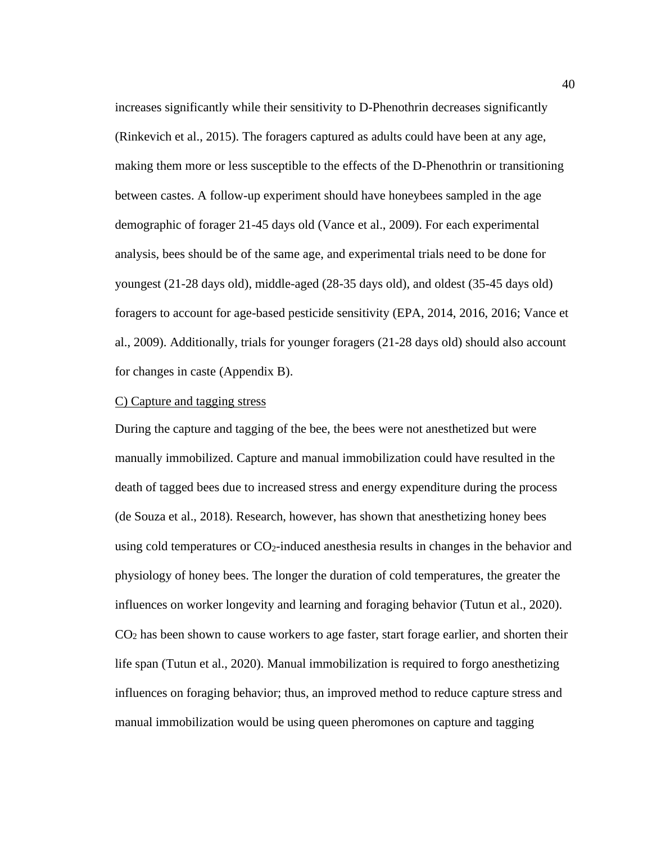increases significantly while their sensitivity to D-Phenothrin decreases significantly (Rinkevich et al., 2015). The foragers captured as adults could have been at any age, making them more or less susceptible to the effects of the D-Phenothrin or transitioning between castes. A follow-up experiment should have honeybees sampled in the age demographic of forager 21-45 days old (Vance et al., 2009). For each experimental analysis, bees should be of the same age, and experimental trials need to be done for youngest (21-28 days old), middle-aged (28-35 days old), and oldest (35-45 days old) foragers to account for age-based pesticide sensitivity (EPA, 2014, 2016, 2016; Vance et al., 2009). Additionally, trials for younger foragers (21-28 days old) should also account for changes in caste (Appendix B).

## C) Capture and tagging stress

During the capture and tagging of the bee, the bees were not anesthetized but were manually immobilized. Capture and manual immobilization could have resulted in the death of tagged bees due to increased stress and energy expenditure during the process (de Souza et al., 2018). Research, however, has shown that anesthetizing honey bees using cold temperatures or CO<sub>2</sub>-induced anesthesia results in changes in the behavior and physiology of honey bees. The longer the duration of cold temperatures, the greater the influences on worker longevity and learning and foraging behavior (Tutun et al., 2020). CO<sup>2</sup> has been shown to cause workers to age faster, start forage earlier, and shorten their life span (Tutun et al., 2020). Manual immobilization is required to forgo anesthetizing influences on foraging behavior; thus, an improved method to reduce capture stress and manual immobilization would be using queen pheromones on capture and tagging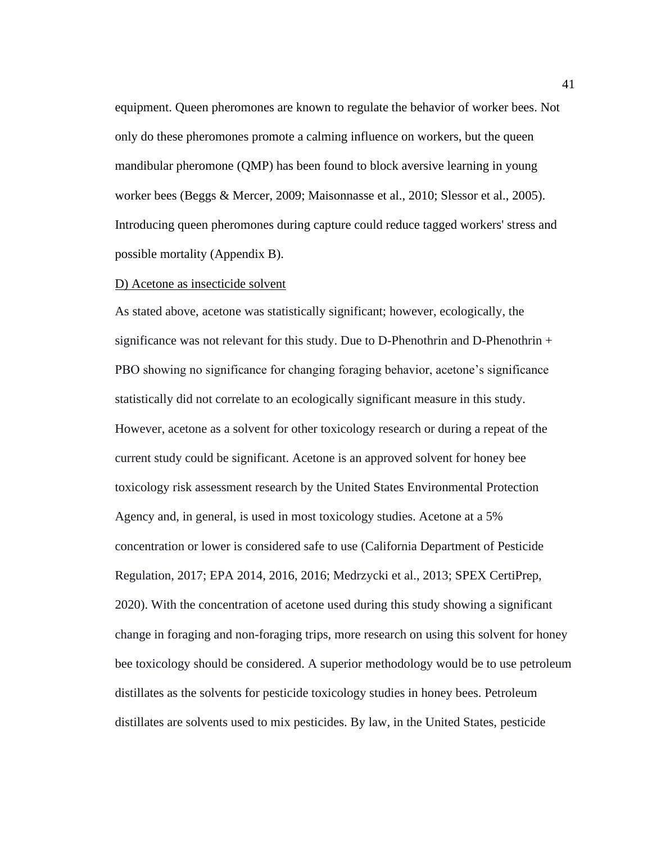equipment. Queen pheromones are known to regulate the behavior of worker bees. Not only do these pheromones promote a calming influence on workers, but the queen mandibular pheromone (QMP) has been found to block aversive learning in young worker bees (Beggs & Mercer, 2009; Maisonnasse et al., 2010; Slessor et al., 2005). Introducing queen pheromones during capture could reduce tagged workers' stress and possible mortality (Appendix B).

### D) Acetone as insecticide solvent

As stated above, acetone was statistically significant; however, ecologically, the significance was not relevant for this study. Due to D-Phenothrin and D-Phenothrin  $+$ PBO showing no significance for changing foraging behavior, acetone's significance statistically did not correlate to an ecologically significant measure in this study. However, acetone as a solvent for other toxicology research or during a repeat of the current study could be significant. Acetone is an approved solvent for honey bee toxicology risk assessment research by the United States Environmental Protection Agency and, in general, is used in most toxicology studies. Acetone at a 5% concentration or lower is considered safe to use (California Department of Pesticide Regulation, 2017; EPA 2014, 2016, 2016; Medrzycki et al., 2013; SPEX CertiPrep, 2020). With the concentration of acetone used during this study showing a significant change in foraging and non-foraging trips, more research on using this solvent for honey bee toxicology should be considered. A superior methodology would be to use petroleum distillates as the solvents for pesticide toxicology studies in honey bees. Petroleum distillates are solvents used to mix pesticides. By law, in the United States, pesticide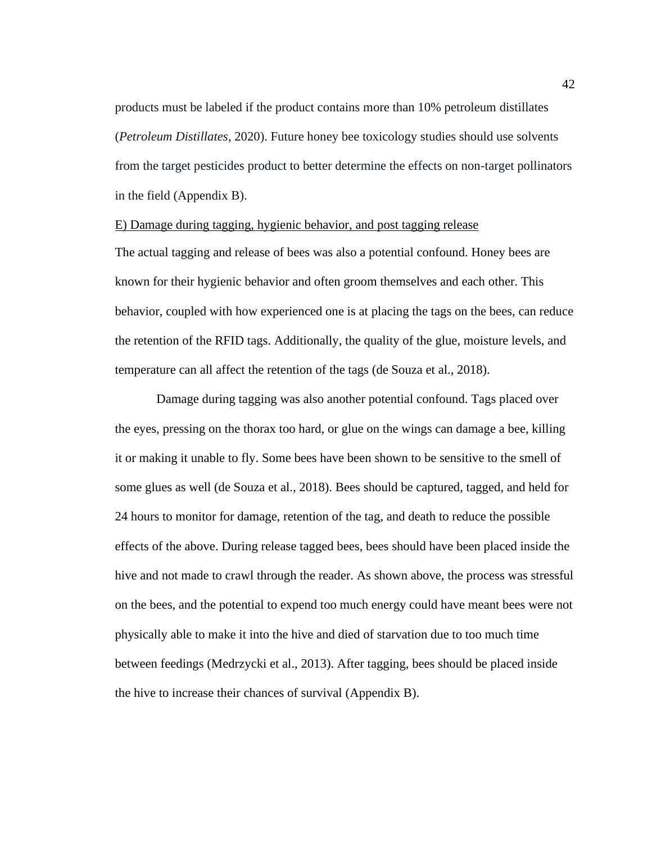products must be labeled if the product contains more than 10% petroleum distillates (*Petroleum Distillates*, 2020). Future honey bee toxicology studies should use solvents from the target pesticides product to better determine the effects on non-target pollinators in the field (Appendix B).

# E) Damage during tagging, hygienic behavior, and post tagging release

The actual tagging and release of bees was also a potential confound. Honey bees are known for their hygienic behavior and often groom themselves and each other. This behavior, coupled with how experienced one is at placing the tags on the bees, can reduce the retention of the RFID tags. Additionally, the quality of the glue, moisture levels, and temperature can all affect the retention of the tags (de Souza et al., 2018).

Damage during tagging was also another potential confound. Tags placed over the eyes, pressing on the thorax too hard, or glue on the wings can damage a bee, killing it or making it unable to fly. Some bees have been shown to be sensitive to the smell of some glues as well (de Souza et al., 2018). Bees should be captured, tagged, and held for 24 hours to monitor for damage, retention of the tag, and death to reduce the possible effects of the above. During release tagged bees, bees should have been placed inside the hive and not made to crawl through the reader. As shown above, the process was stressful on the bees, and the potential to expend too much energy could have meant bees were not physically able to make it into the hive and died of starvation due to too much time between feedings (Medrzycki et al., 2013). After tagging, bees should be placed inside the hive to increase their chances of survival (Appendix B).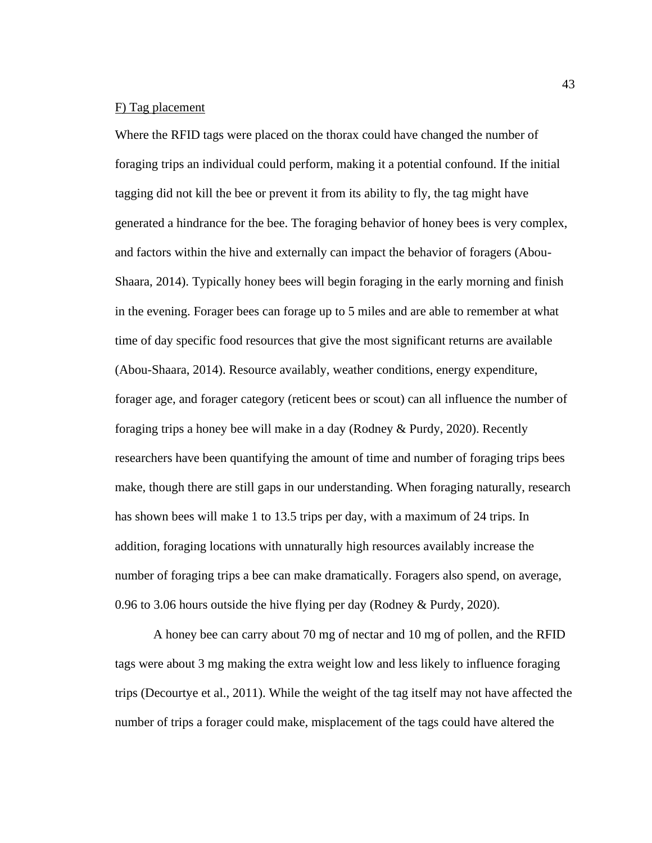## F) Tag placement

Where the RFID tags were placed on the thorax could have changed the number of foraging trips an individual could perform, making it a potential confound. If the initial tagging did not kill the bee or prevent it from its ability to fly, the tag might have generated a hindrance for the bee. The foraging behavior of honey bees is very complex, and factors within the hive and externally can impact the behavior of foragers (Abou-Shaara, 2014). Typically honey bees will begin foraging in the early morning and finish in the evening. Forager bees can forage up to 5 miles and are able to remember at what time of day specific food resources that give the most significant returns are available (Abou-Shaara, 2014). Resource availably, weather conditions, energy expenditure, forager age, and forager category (reticent bees or scout) can all influence the number of foraging trips a honey bee will make in a day (Rodney & Purdy, 2020). Recently researchers have been quantifying the amount of time and number of foraging trips bees make, though there are still gaps in our understanding. When foraging naturally, research has shown bees will make 1 to 13.5 trips per day, with a maximum of 24 trips. In addition, foraging locations with unnaturally high resources availably increase the number of foraging trips a bee can make dramatically. Foragers also spend, on average, 0.96 to 3.06 hours outside the hive flying per day (Rodney & Purdy, 2020).

A honey bee can carry about 70 mg of nectar and 10 mg of pollen, and the RFID tags were about 3 mg making the extra weight low and less likely to influence foraging trips (Decourtye et al., 2011). While the weight of the tag itself may not have affected the number of trips a forager could make, misplacement of the tags could have altered the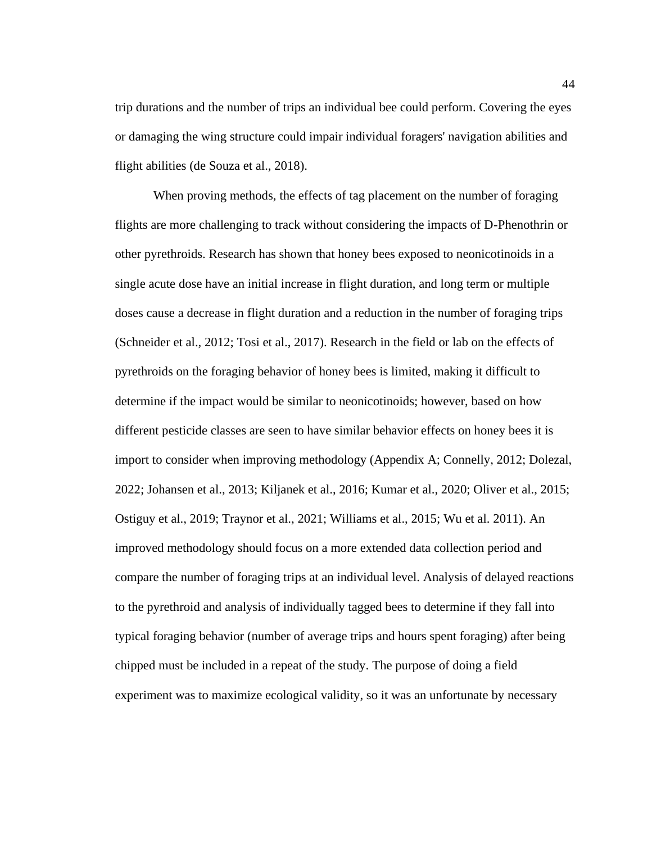trip durations and the number of trips an individual bee could perform. Covering the eyes or damaging the wing structure could impair individual foragers' navigation abilities and flight abilities (de Souza et al., 2018).

When proving methods, the effects of tag placement on the number of foraging flights are more challenging to track without considering the impacts of D-Phenothrin or other pyrethroids. Research has shown that honey bees exposed to neonicotinoids in a single acute dose have an initial increase in flight duration, and long term or multiple doses cause a decrease in flight duration and a reduction in the number of foraging trips (Schneider et al., 2012; Tosi et al., 2017). Research in the field or lab on the effects of pyrethroids on the foraging behavior of honey bees is limited, making it difficult to determine if the impact would be similar to neonicotinoids; however, based on how different pesticide classes are seen to have similar behavior effects on honey bees it is import to consider when improving methodology (Appendix A; Connelly, 2012; Dolezal, 2022; Johansen et al., 2013; Kiljanek et al., 2016; Kumar et al., 2020; Oliver et al., 2015; Ostiguy et al., 2019; Traynor et al., 2021; Williams et al., 2015; Wu et al. 2011). An improved methodology should focus on a more extended data collection period and compare the number of foraging trips at an individual level. Analysis of delayed reactions to the pyrethroid and analysis of individually tagged bees to determine if they fall into typical foraging behavior (number of average trips and hours spent foraging) after being chipped must be included in a repeat of the study. The purpose of doing a field experiment was to maximize ecological validity, so it was an unfortunate by necessary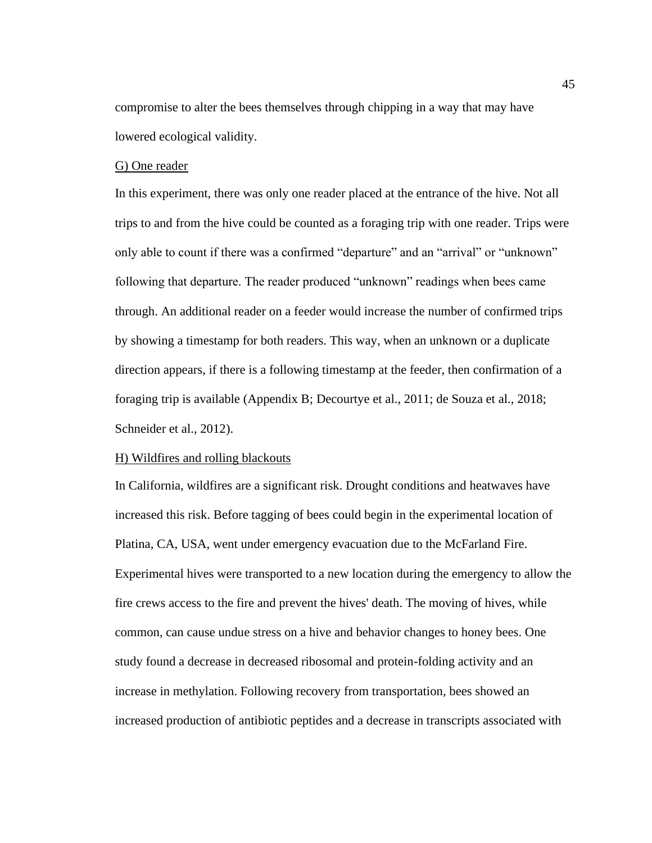compromise to alter the bees themselves through chipping in a way that may have lowered ecological validity.

## G) One reader

In this experiment, there was only one reader placed at the entrance of the hive. Not all trips to and from the hive could be counted as a foraging trip with one reader. Trips were only able to count if there was a confirmed "departure" and an "arrival" or "unknown" following that departure. The reader produced "unknown" readings when bees came through. An additional reader on a feeder would increase the number of confirmed trips by showing a timestamp for both readers. This way, when an unknown or a duplicate direction appears, if there is a following timestamp at the feeder, then confirmation of a foraging trip is available (Appendix B; Decourtye et al., 2011; de Souza et al., 2018; Schneider et al., 2012).

### H) Wildfires and rolling blackouts

In California, wildfires are a significant risk. Drought conditions and heatwaves have increased this risk. Before tagging of bees could begin in the experimental location of Platina, CA, USA, went under emergency evacuation due to the McFarland Fire. Experimental hives were transported to a new location during the emergency to allow the fire crews access to the fire and prevent the hives' death. The moving of hives, while common, can cause undue stress on a hive and behavior changes to honey bees. One study found a decrease in decreased ribosomal and protein-folding activity and an increase in methylation. Following recovery from transportation, bees showed an increased production of antibiotic peptides and a decrease in transcripts associated with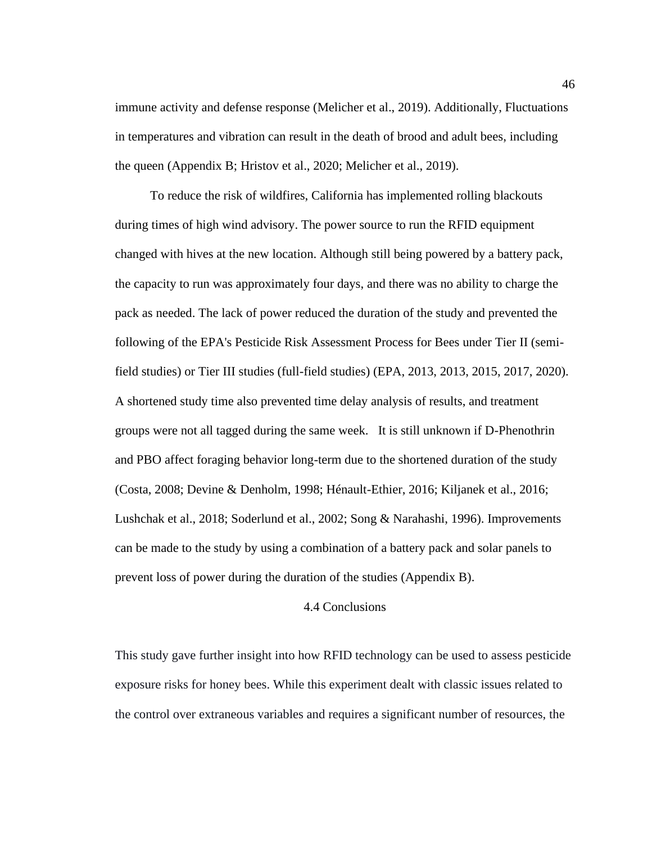immune activity and defense response (Melicher et al., 2019). Additionally, Fluctuations in temperatures and vibration can result in the death of brood and adult bees, including the queen (Appendix B; Hristov et al., 2020; Melicher et al., 2019).

 To reduce the risk of wildfires, California has implemented rolling blackouts during times of high wind advisory. The power source to run the RFID equipment changed with hives at the new location. Although still being powered by a battery pack, the capacity to run was approximately four days, and there was no ability to charge the pack as needed. The lack of power reduced the duration of the study and prevented the following of the EPA's Pesticide Risk Assessment Process for Bees under Tier II (semifield studies) or Tier III studies (full-field studies) (EPA, 2013, 2013, 2015, 2017, 2020). A shortened study time also prevented time delay analysis of results, and treatment groups were not all tagged during the same week. It is still unknown if D-Phenothrin and PBO affect foraging behavior long-term due to the shortened duration of the study (Costa, 2008; Devine & Denholm, 1998; Hénault-Ethier, 2016; Kiljanek et al., 2016; Lushchak et al., 2018; Soderlund et al., 2002; Song & Narahashi, 1996). Improvements can be made to the study by using a combination of a battery pack and solar panels to prevent loss of power during the duration of the studies (Appendix B).

## 4.4 Conclusions

This study gave further insight into how RFID technology can be used to assess pesticide exposure risks for honey bees. While this experiment dealt with classic issues related to the control over extraneous variables and requires a significant number of resources, the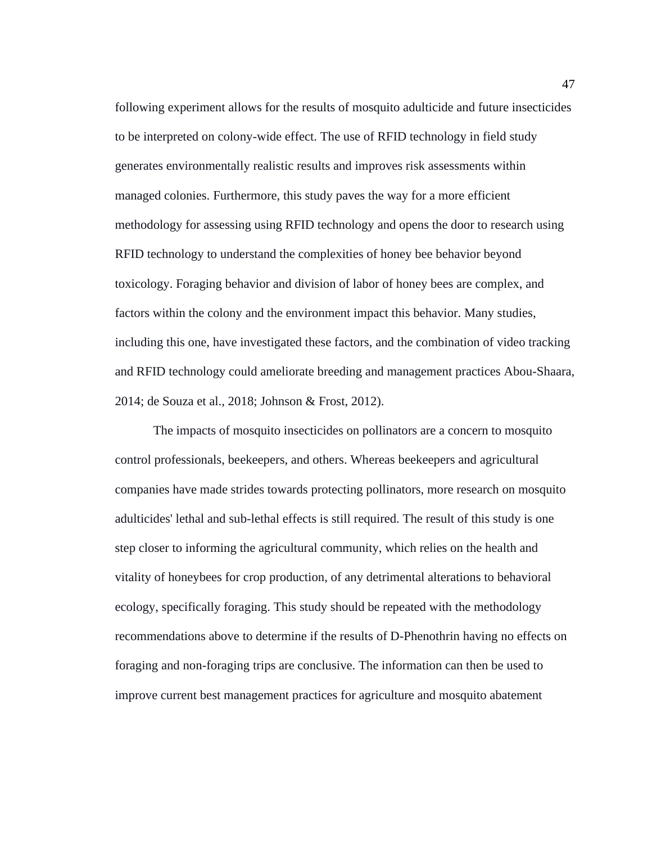following experiment allows for the results of mosquito adulticide and future insecticides to be interpreted on colony-wide effect. The use of RFID technology in field study generates environmentally realistic results and improves risk assessments within managed colonies. Furthermore, this study paves the way for a more efficient methodology for assessing using RFID technology and opens the door to research using RFID technology to understand the complexities of honey bee behavior beyond toxicology. Foraging behavior and division of labor of honey bees are complex, and factors within the colony and the environment impact this behavior. Many studies, including this one, have investigated these factors, and the combination of video tracking and RFID technology could ameliorate breeding and management practices Abou-Shaara, 2014; de Souza et al., 2018; Johnson & Frost, 2012).

The impacts of mosquito insecticides on pollinators are a concern to mosquito control professionals, beekeepers, and others. Whereas beekeepers and agricultural companies have made strides towards protecting pollinators, more research on mosquito adulticides' lethal and sub-lethal effects is still required. The result of this study is one step closer to informing the agricultural community, which relies on the health and vitality of honeybees for crop production, of any detrimental alterations to behavioral ecology, specifically foraging. This study should be repeated with the methodology recommendations above to determine if the results of D-Phenothrin having no effects on foraging and non-foraging trips are conclusive. The information can then be used to improve current best management practices for agriculture and mosquito abatement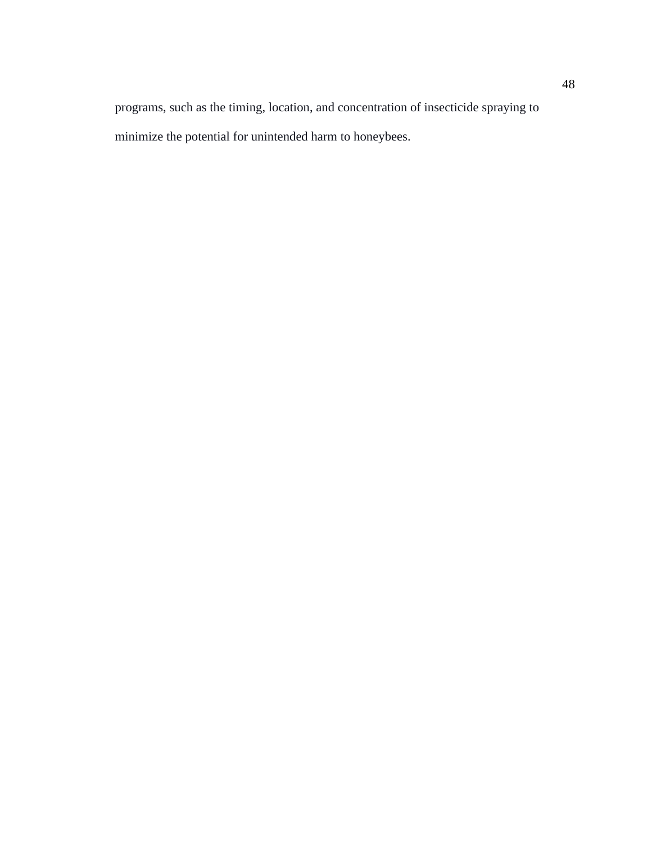programs, such as the timing, location, and concentration of insecticide spraying to minimize the potential for unintended harm to honeybees.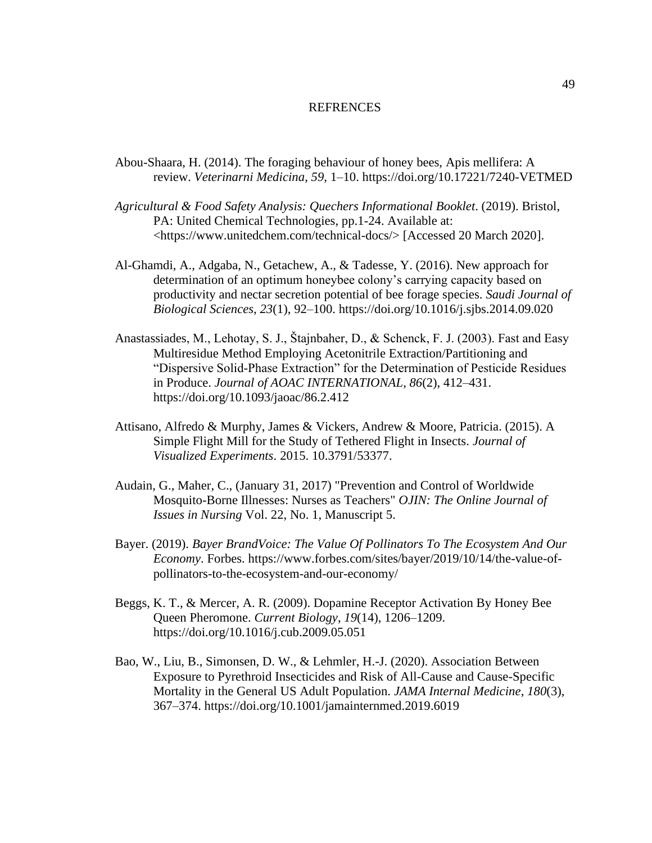### REFRENCES

- Abou-Shaara, H. (2014). The foraging behaviour of honey bees, Apis mellifera: A review. *Veterinarni Medicina*, *59*, 1–10. https://doi.org/10.17221/7240-VETMED
- *Agricultural & Food Safety Analysis: Quechers Informational Booklet*. (2019). Bristol, PA: United Chemical Technologies, pp.1-24. Available at: <https://www.unitedchem.com/technical-docs/> [Accessed 20 March 2020].
- Al-Ghamdi, A., Adgaba, N., Getachew, A., & Tadesse, Y. (2016). New approach for determination of an optimum honeybee colony's carrying capacity based on productivity and nectar secretion potential of bee forage species. *Saudi Journal of Biological Sciences*, *23*(1), 92–100. https://doi.org/10.1016/j.sjbs.2014.09.020
- Anastassiades, M., Lehotay, S. J., Štajnbaher, D., & Schenck, F. J. (2003). Fast and Easy Multiresidue Method Employing Acetonitrile Extraction/Partitioning and "Dispersive Solid-Phase Extraction" for the Determination of Pesticide Residues in Produce. *Journal of AOAC INTERNATIONAL*, *86*(2), 412–431. https://doi.org/10.1093/jaoac/86.2.412
- Attisano, Alfredo & Murphy, James & Vickers, Andrew & Moore, Patricia. (2015). A Simple Flight Mill for the Study of Tethered Flight in Insects. *Journal of Visualized Experiments*. 2015. 10.3791/53377.
- Audain, G., Maher, C., (January 31, 2017) "Prevention and Control of Worldwide Mosquito-Borne Illnesses: Nurses as Teachers" *OJIN: The Online Journal of Issues in Nursing* Vol. 22, No. 1, Manuscript 5.
- Bayer. (2019). *Bayer BrandVoice: The Value Of Pollinators To The Ecosystem And Our Economy*. Forbes. [https://www.forbes.com/sites/bayer/2019/10/14/the-value-of](https://www.forbes.com/sites/bayer/2019/10/14/the-value-of-pollinators-to-the-ecosystem-and-our-economy/)[pollinators-to-the-ecosystem-and-our-economy/](https://www.forbes.com/sites/bayer/2019/10/14/the-value-of-pollinators-to-the-ecosystem-and-our-economy/)
- Beggs, K. T., & Mercer, A. R. (2009). Dopamine Receptor Activation By Honey Bee Queen Pheromone. *Current Biology*, *19*(14), 1206–1209. https://doi.org/10.1016/j.cub.2009.05.051
- Bao, W., Liu, B., Simonsen, D. W., & Lehmler, H.-J. (2020). Association Between Exposure to Pyrethroid Insecticides and Risk of All-Cause and Cause-Specific Mortality in the General US Adult Population. *JAMA Internal Medicine*, *180*(3), 367–374. https://doi.org/10.1001/jamainternmed.2019.6019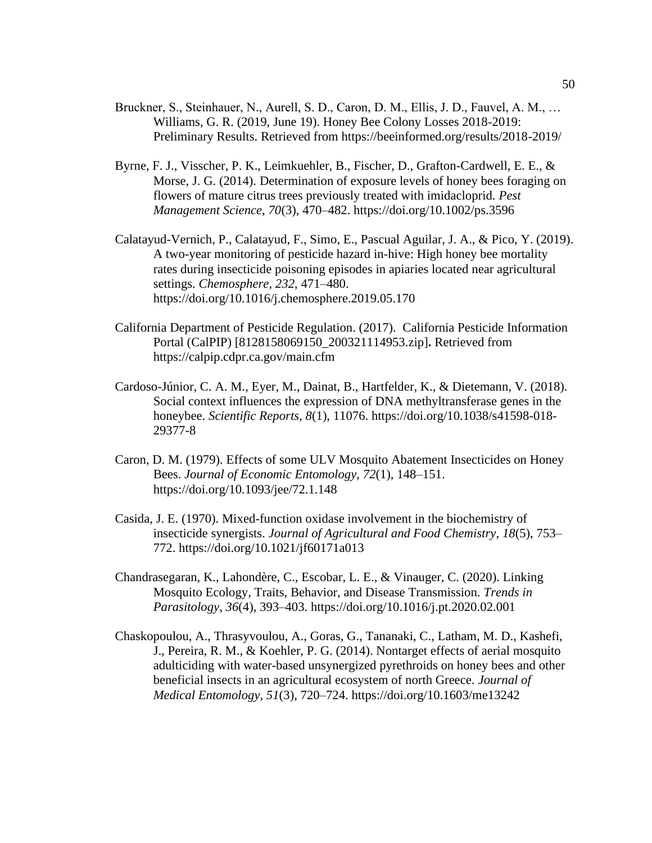- Bruckner, S., Steinhauer, N., Aurell, S. D., Caron, D. M., Ellis, J. D., Fauvel, A. M., … Williams, G. R. (2019, June 19). Honey Bee Colony Losses 2018-2019: Preliminary Results. Retrieved from https://beeinformed.org/results/2018-2019/
- Byrne, F. J., Visscher, P. K., Leimkuehler, B., Fischer, D., Grafton-Cardwell, E. E., & Morse, J. G. (2014). Determination of exposure levels of honey bees foraging on flowers of mature citrus trees previously treated with imidacloprid. *Pest Management Science*, *70*(3), 470–482. https://doi.org/10.1002/ps.3596
- Calatayud-Vernich, P., Calatayud, F., Simo, E., Pascual Aguilar, J. A., & Pico, Y. (2019). A two-year monitoring of pesticide hazard in-hive: High honey bee mortality rates during insecticide poisoning episodes in apiaries located near agricultural settings. *Chemosphere*, *232*, 471–480[.](https://doi.org/10.1016/j.chemosphere.2019.05.170) <https://doi.org/10.1016/j.chemosphere.2019.05.170>
- California Department of Pesticide Regulation. (2017). California Pesticide Information Portal (CalPIP) [8128158069150\_200321114953.zip]**.** Retrieved from https://calpip.cdpr.ca.gov/main.cfm
- Cardoso-Júnior, C. A. M., Eyer, M., Dainat, B., Hartfelder, K., & Dietemann, V. (2018). Social context influences the expression of DNA methyltransferase genes in the honeybee. *Scientific Reports*, *8*(1), 11076. https://doi.org/10.1038/s41598-018- 29377-8
- Caron, D. M. (1979). Effects of some ULV Mosquito Abatement Insecticides on Honey Bees. *Journal of Economic Entomology*, *72*(1), 148–151. https://doi.org/10.1093/jee/72.1.148
- Casida, J. E. (1970). Mixed-function oxidase involvement in the biochemistry of insecticide synergists. *Journal of Agricultural and Food Chemistry*, *18*(5), 753– 772. https://doi.org/10.1021/jf60171a013
- Chandrasegaran, K., Lahondère, C., Escobar, L. E., & Vinauger, C. (2020). Linking Mosquito Ecology, Traits, Behavior, and Disease Transmission. *Trends in Parasitology*, *36*(4), 393–403. https://doi.org/10.1016/j.pt.2020.02.001
- Chaskopoulou, A., Thrasyvoulou, A., Goras, G., Tananaki, C., Latham, M. D., Kashefi, J., Pereira, R. M., & Koehler, P. G. (2014). Nontarget effects of aerial mosquito adulticiding with water-based unsynergized pyrethroids on honey bees and other beneficial insects in an agricultural ecosystem of north Greece. *Journal of Medical Entomology*, *51*(3), 720–724. https://doi.org/10.1603/me13242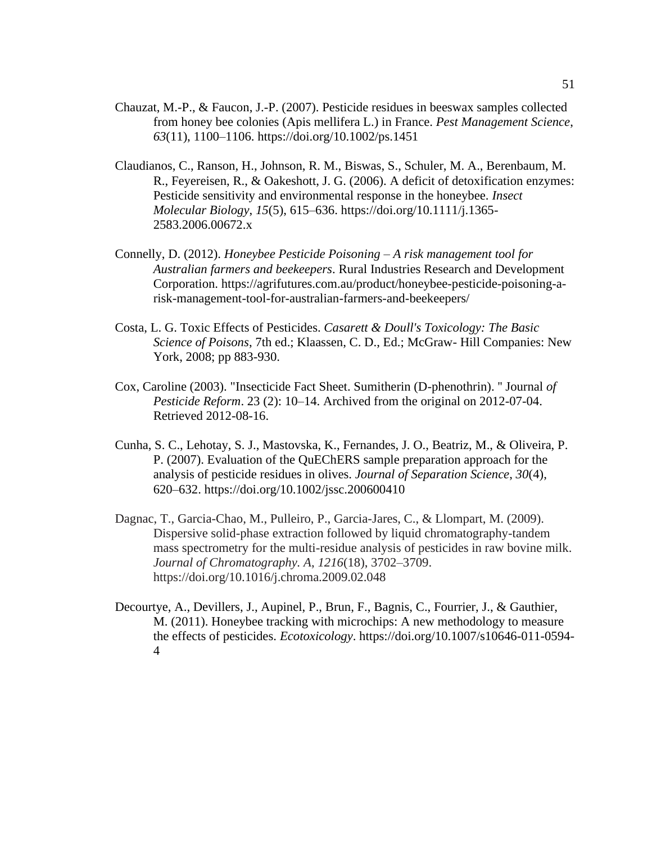- Chauzat, M.-P., & Faucon, J.-P. (2007). Pesticide residues in beeswax samples collected from honey bee colonies (Apis mellifera L.) in France. *Pest Management Science*, *63*(11), 1100–1106. https://doi.org/10.1002/ps.1451
- Claudianos, C., Ranson, H., Johnson, R. M., Biswas, S., Schuler, M. A., Berenbaum, M. R., Feyereisen, R., & Oakeshott, J. G. (2006). A deficit of detoxification enzymes: Pesticide sensitivity and environmental response in the honeybee. *Insect Molecular Biology*, *15*(5), 615–636. https://doi.org/10.1111/j.1365- 2583.2006.00672.x
- Connelly, D. (2012). *Honeybee Pesticide Poisoning – A risk management tool for Australian farmers and beekeepers*. Rural Industries Research and Development Corporation. https://agrifutures.com.au/product/honeybee-pesticide-poisoning-arisk-management-tool-for-australian-farmers-and-beekeepers/
- Costa, L. G. Toxic Effects of Pesticides. *Casarett & Doull's Toxicology: The Basic Science of Poisons*, 7th ed.; Klaassen, C. D., Ed.; McGraw- Hill Companies: New York, 2008; pp 883-930.
- Cox, Caroline (2003). "Insecticide Fact Sheet. Sumitherin (D-phenothrin). '' Journal *of Pesticide Reform*. 23 (2): 10–14. Archived from the original on 2012-07-04. Retrieved 2012-08-16.
- Cunha, S. C., Lehotay, S. J., Mastovska, K., Fernandes, J. O., Beatriz, M., & Oliveira, P. P. (2007). Evaluation of the QuEChERS sample preparation approach for the analysis of pesticide residues in olives. *Journal of Separation Science*, *30*(4), 620–632. https://doi.org/10.1002/jssc.200600410
- Dagnac, T., Garcia-Chao, M., Pulleiro, P., Garcia-Jares, C., & Llompart, M. (2009). Dispersive solid-phase extraction followed by liquid chromatography-tandem mass spectrometry for the multi-residue analysis of pesticides in raw bovine milk. *Journal of Chromatography. A*, *1216*(18), 3702–3709. https://doi.org/10.1016/j.chroma.2009.02.048
- Decourtye, A., Devillers, J., Aupinel, P., Brun, F., Bagnis, C., Fourrier, J., & Gauthier, M. (2011). Honeybee tracking with microchips: A new methodology to measure the effects of pesticides. *Ecotoxicology*. https://doi.org/10.1007/s10646-011-0594- 4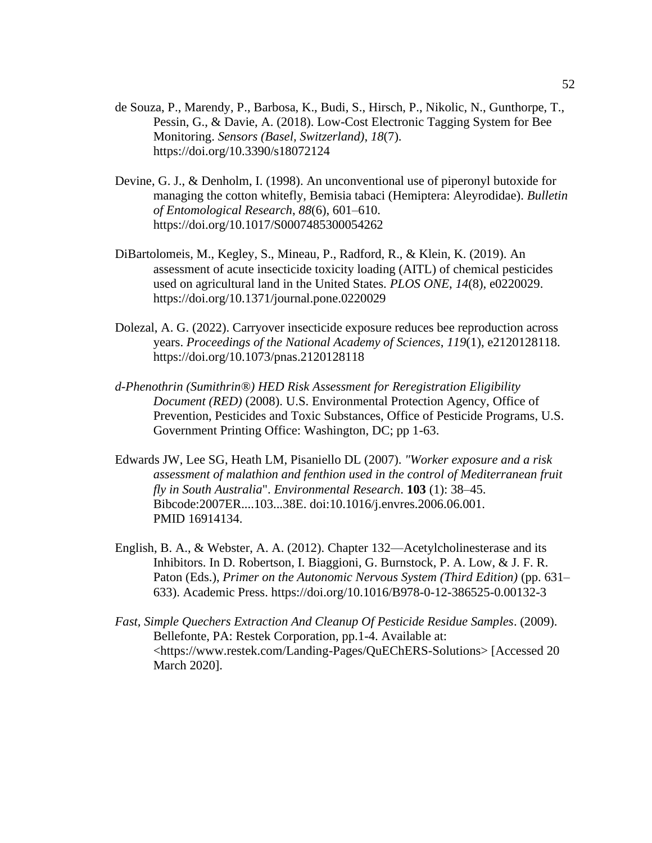- de Souza, P., Marendy, P., Barbosa, K., Budi, S., Hirsch, P., Nikolic, N., Gunthorpe, T., Pessin, G., & Davie, A. (2018). Low-Cost Electronic Tagging System for Bee Monitoring. *Sensors (Basel, Switzerland)*, *18*(7). https://doi.org/10.3390/s18072124
- Devine, G. J., & Denholm, I. (1998). An unconventional use of piperonyl butoxide for managing the cotton whitefly, Bemisia tabaci (Hemiptera: Aleyrodidae). *Bulletin of Entomological Research*, *88*(6), 601–610. https://doi.org/10.1017/S0007485300054262
- DiBartolomeis, M., Kegley, S., Mineau, P., Radford, R., & Klein, K. (2019). An assessment of acute insecticide toxicity loading (AITL) of chemical pesticides used on agricultural land in the United States. *PLOS ONE*, *14*(8), e0220029. https://doi.org/10.1371/journal.pone.0220029
- Dolezal, A. G. (2022). Carryover insecticide exposure reduces bee reproduction across years. *Proceedings of the National Academy of Sciences*, *119*(1), e2120128118. https://doi.org/10.1073/pnas.2120128118
- *d-Phenothrin (Sumithrin®) HED Risk Assessment for Reregistration Eligibility Document (RED)* (2008). U.S. Environmental Protection Agency, Office of Prevention, Pesticides and Toxic Substances, Office of Pesticide Programs, U.S. Government Printing Office: Washington, DC; pp 1-63.
- Edwards JW, Lee SG, Heath LM, Pisaniello DL (2007). *"Worker exposure and a risk assessment of malathion and fenthion used in the control of Mediterranean fruit fly in South Australia*". *Environmental Research*. **103** (1): 38–45. Bibcode:2007ER....103...38E. doi:10.1016/j.envres.2006.06.001. PMID 16914134.
- English, B. A., & Webster, A. A. (2012). Chapter 132—Acetylcholinesterase and its Inhibitors. In D. Robertson, I. Biaggioni, G. Burnstock, P. A. Low, & J. F. R. Paton (Eds.), *Primer on the Autonomic Nervous System (Third Edition)* (pp. 631– 633). Academic Press. https://doi.org/10.1016/B978-0-12-386525-0.00132-3
- *Fast, Simple Quechers Extraction And Cleanup Of Pesticide Residue Samples*. (2009). Bellefonte, PA: Restek Corporation, pp.1-4. Available at: <https://www.restek.com/Landing-Pages/QuEChERS-Solutions> [Accessed 20 March 2020].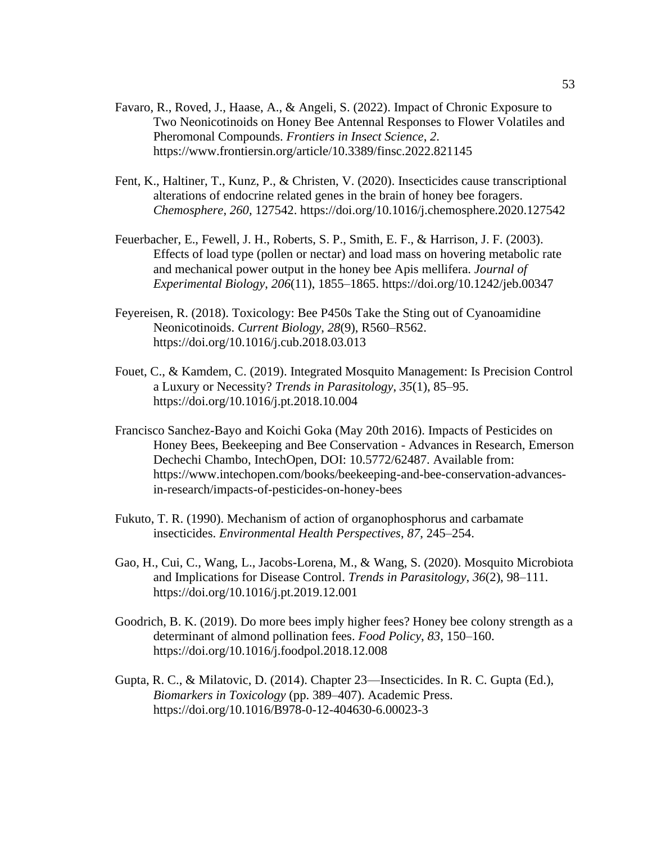- Favaro, R., Roved, J., Haase, A., & Angeli, S. (2022). Impact of Chronic Exposure to Two Neonicotinoids on Honey Bee Antennal Responses to Flower Volatiles and Pheromonal Compounds. *Frontiers in Insect Science*, *2*. https://www.frontiersin.org/article/10.3389/finsc.2022.821145
- Fent, K., Haltiner, T., Kunz, P., & Christen, V. (2020). Insecticides cause transcriptional alterations of endocrine related genes in the brain of honey bee foragers. *Chemosphere*, *260*, 127542. https://doi.org/10.1016/j.chemosphere.2020.127542
- Feuerbacher, E., Fewell, J. H., Roberts, S. P., Smith, E. F., & Harrison, J. F. (2003). Effects of load type (pollen or nectar) and load mass on hovering metabolic rate and mechanical power output in the honey bee Apis mellifera. *Journal of Experimental Biology*, *206*(11), 1855–1865. https://doi.org/10.1242/jeb.00347
- Feyereisen, R. (2018). Toxicology: Bee P450s Take the Sting out of Cyanoamidine Neonicotinoids. *Current Biology*, *28*(9), R560–R562. https://doi.org/10.1016/j.cub.2018.03.013
- Fouet, C., & Kamdem, C. (2019). Integrated Mosquito Management: Is Precision Control a Luxury or Necessity? *Trends in Parasitology*, *35*(1), 85–95. https://doi.org/10.1016/j.pt.2018.10.004
- Francisco Sanchez-Bayo and Koichi Goka (May 20th 2016). Impacts of Pesticides on Honey Bees, Beekeeping and Bee Conservation - Advances in Research, Emerson Dechechi Chambo, IntechOpen, DOI: 10.5772/62487. Available from: https://www.intechopen.com/books/beekeeping-and-bee-conservation-advancesin-research/impacts-of-pesticides-on-honey-bees
- Fukuto, T. R. (1990). Mechanism of action of organophosphorus and carbamate insecticides. *Environmental Health Perspectives*, *87*, 245–254.
- Gao, H., Cui, C., Wang, L., Jacobs-Lorena, M., & Wang, S. (2020). Mosquito Microbiota and Implications for Disease Control. *Trends in Parasitology*, *36*(2), 98–111. https://doi.org/10.1016/j.pt.2019.12.001
- Goodrich, B. K. (2019). Do more bees imply higher fees? Honey bee colony strength as a determinant of almond pollination fees. *Food Policy*, *83*, 150–160. https://doi.org/10.1016/j.foodpol.2018.12.008
- Gupta, R. C., & Milatovic, D. (2014). Chapter 23—Insecticides. In R. C. Gupta (Ed.), *Biomarkers in Toxicology* (pp. 389–407). Academic Press. https://doi.org/10.1016/B978-0-12-404630-6.00023-3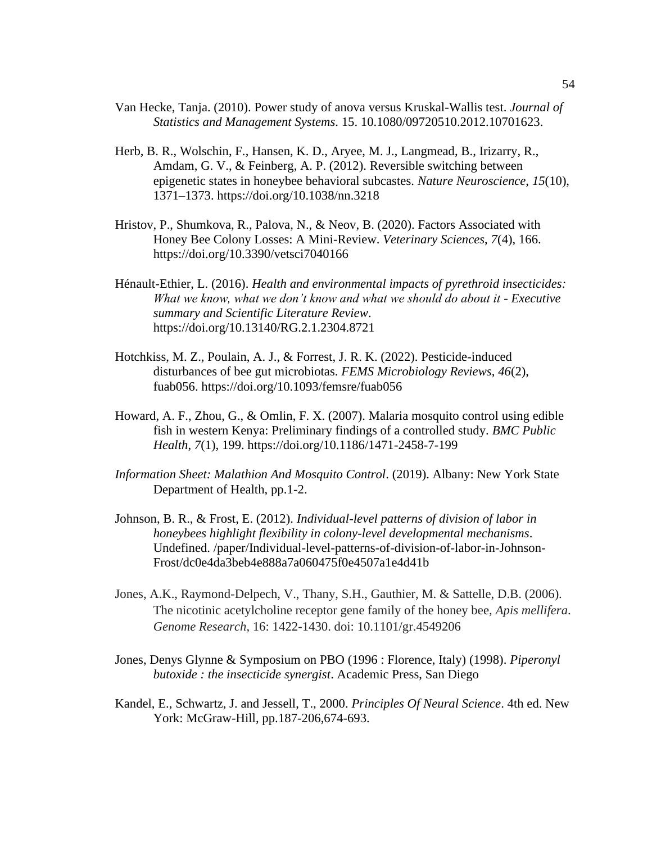- Van Hecke, Tanja. (2010). Power study of anova versus Kruskal-Wallis test. *Journal of Statistics and Management Systems*. 15. 10.1080/09720510.2012.10701623.
- Herb, B. R., Wolschin, F., Hansen, K. D., Aryee, M. J., Langmead, B., Irizarry, R., Amdam, G. V., & Feinberg, A. P. (2012). Reversible switching between epigenetic states in honeybee behavioral subcastes. *Nature Neuroscience*, *15*(10), 1371–1373. https://doi.org/10.1038/nn.3218
- Hristov, P., Shumkova, R., Palova, N., & Neov, B. (2020). Factors Associated with Honey Bee Colony Losses: A Mini-Review. *Veterinary Sciences*, *7*(4), 166. https://doi.org/10.3390/vetsci7040166
- Hénault-Ethier, L. (2016). *Health and environmental impacts of pyrethroid insecticides: What we know, what we don't know and what we should do about it - Executive summary and Scientific Literature Review*. https://doi.org/10.13140/RG.2.1.2304.8721
- Hotchkiss, M. Z., Poulain, A. J., & Forrest, J. R. K. (2022). Pesticide-induced disturbances of bee gut microbiotas. *FEMS Microbiology Reviews*, *46*(2), fuab056. https://doi.org/10.1093/femsre/fuab056
- Howard, A. F., Zhou, G., & Omlin, F. X. (2007). Malaria mosquito control using edible fish in western Kenya: Preliminary findings of a controlled study. *BMC Public Health*, *7*(1), 199. https://doi.org/10.1186/1471-2458-7-199
- *Information Sheet: Malathion And Mosquito Control*. (2019). Albany: New York State Department of Health, pp.1-2.
- Johnson, B. R., & Frost, E. (2012). *Individual-level patterns of division of labor in honeybees highlight flexibility in colony-level developmental mechanisms*. Undefined. /paper/Individual-level-patterns-of-division-of-labor-in-Johnson-Frost/dc0e4da3beb4e888a7a060475f0e4507a1e4d41b
- Jones, A.K., Raymond-Delpech, V., Thany, S.H., Gauthier, M. & Sattelle, D.B. (2006). The nicotinic acetylcholine receptor gene family of the honey bee, *Apis mellifera*. *Genome Research*, 16: 1422-1430. doi: 10.1101/gr.4549206
- Jones, Denys Glynne & Symposium on PBO (1996 : Florence, Italy) (1998). *Piperonyl butoxide : the insecticide synergist*. Academic Press, San Diego
- Kandel, E., Schwartz, J. and Jessell, T., 2000. *Principles Of Neural Science*. 4th ed. New York: McGraw-Hill, pp.187-206,674-693.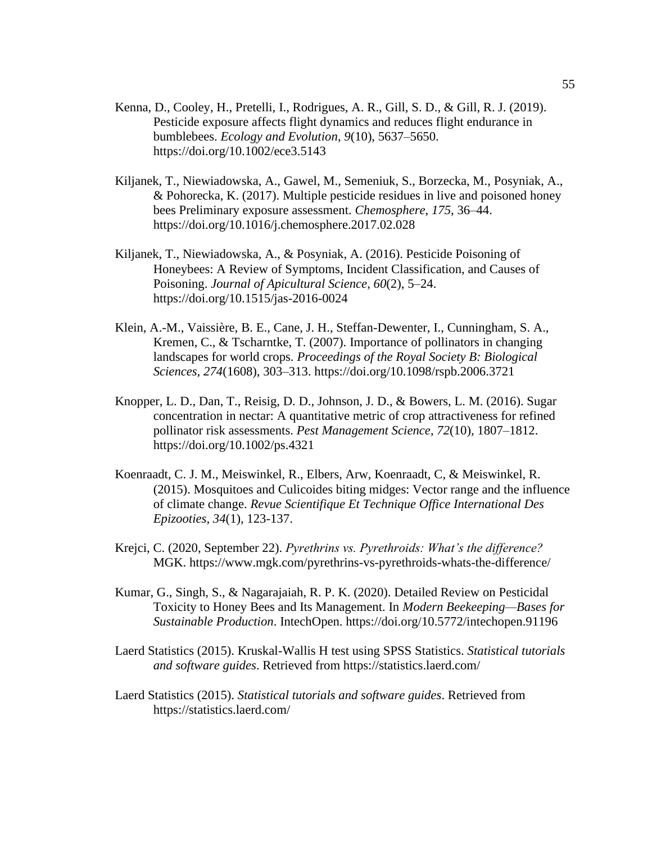- Kenna, D., Cooley, H., Pretelli, I., Rodrigues, A. R., Gill, S. D., & Gill, R. J. (2019). Pesticide exposure affects flight dynamics and reduces flight endurance in bumblebees. *Ecology and Evolution*, *9*(10), 5637–5650. https://doi.org/10.1002/ece3.5143
- Kiljanek, T., Niewiadowska, A., Gawel, M., Semeniuk, S., Borzecka, M., Posyniak, A., & Pohorecka, K. (2017). Multiple pesticide residues in live and poisoned honey bees Preliminary exposure assessment. *Chemosphere*, *175*, 36–44. https://doi.org/10.1016/j.chemosphere.2017.02.028
- Kiljanek, T., Niewiadowska, A., & Posyniak, A. (2016). Pesticide Poisoning of Honeybees: A Review of Symptoms, Incident Classification, and Causes of Poisoning. *Journal of Apicultural Science*, *60*(2), 5–24. https://doi.org/10.1515/jas-2016-0024
- Klein, A.-M., Vaissière, B. E., Cane, J. H., Steffan-Dewenter, I., Cunningham, S. A., Kremen, C., & Tscharntke, T. (2007). Importance of pollinators in changing landscapes for world crops. *Proceedings of the Royal Society B: Biological Sciences*, *274*(1608), 303–313. https://doi.org/10.1098/rspb.2006.3721
- Knopper, L. D., Dan, T., Reisig, D. D., Johnson, J. D., & Bowers, L. M. (2016). Sugar concentration in nectar: A quantitative metric of crop attractiveness for refined pollinator risk assessments. *Pest Management Science*, *72*(10), 1807–1812. https://doi.org/10.1002/ps.4321
- Koenraadt, C. J. M., Meiswinkel, R., Elbers, Arw, Koenraadt, C, & Meiswinkel, R. (2015). Mosquitoes and Culicoides biting midges: Vector range and the influence of climate change. *Revue Scientifique Et Technique Office International Des Epizooties, 34*(1), 123-137.
- Krejci, C. (2020, September 22). *Pyrethrins vs. Pyrethroids: What's the difference?* MGK. https://www.mgk.com/pyrethrins-vs-pyrethroids-whats-the-difference/
- Kumar, G., Singh, S., & Nagarajaiah, R. P. K. (2020). Detailed Review on Pesticidal Toxicity to Honey Bees and Its Management. In *Modern Beekeeping—Bases for Sustainable Production*. IntechOpen. https://doi.org/10.5772/intechopen.91196
- Laerd Statistics (2015). Kruskal-Wallis H test using SPSS Statistics. *Statistical tutorials and software guides*. Retrieved from https://statistics.laerd.com/
- Laerd Statistics (2015). *Statistical tutorials and software guides*. Retrieved from https://statistics.laerd.com/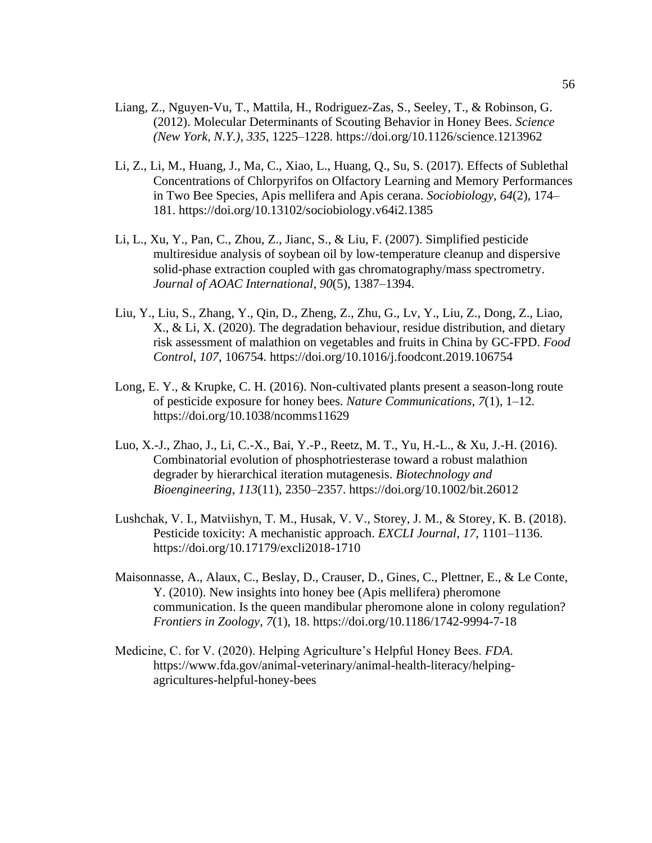- Liang, Z., Nguyen-Vu, T., Mattila, H., Rodriguez-Zas, S., Seeley, T., & Robinson, G. (2012). Molecular Determinants of Scouting Behavior in Honey Bees. *Science (New York, N.Y.)*, *335*, 1225–1228. https://doi.org/10.1126/science.1213962
- Li, Z., Li, M., Huang, J., Ma, C., Xiao, L., Huang, Q., Su, S. (2017). Effects of Sublethal Concentrations of Chlorpyrifos on Olfactory Learning and Memory Performances in Two Bee Species, Apis mellifera and Apis cerana. *Sociobiology*, *64*(2), 174– 181. https://doi.org/10.13102/sociobiology.v64i2.1385
- Li, L., Xu, Y., Pan, C., Zhou, Z., Jianc, S., & Liu, F. (2007). Simplified pesticide multiresidue analysis of soybean oil by low-temperature cleanup and dispersive solid-phase extraction coupled with gas chromatography/mass spectrometry. *Journal of AOAC International*, *90*(5), 1387–1394.
- Liu, Y., Liu, S., Zhang, Y., Qin, D., Zheng, Z., Zhu, G., Lv, Y., Liu, Z., Dong, Z., Liao, X., & Li, X. (2020). The degradation behaviour, residue distribution, and dietary risk assessment of malathion on vegetables and fruits in China by GC-FPD. *Food Control*, *107*, 106754. https://doi.org/10.1016/j.foodcont.2019.106754
- Long, E. Y., & Krupke, C. H. (2016). Non-cultivated plants present a season-long route of pesticide exposure for honey bees. *Nature Communications*, *7*(1), 1–12. https://doi.org/10.1038/ncomms11629
- Luo, X.-J., Zhao, J., Li, C.-X., Bai, Y.-P., Reetz, M. T., Yu, H.-L., & Xu, J.-H. (2016). Combinatorial evolution of phosphotriesterase toward a robust malathion degrader by hierarchical iteration mutagenesis. *Biotechnology and Bioengineering*, *113*(11), 2350–2357. https://doi.org/10.1002/bit.26012
- Lushchak, V. I., Matviishyn, T. M., Husak, V. V., Storey, J. M., & Storey, K. B. (2018). Pesticide toxicity: A mechanistic approach. *EXCLI Journal*, *17*, 1101–1136. https://doi.org/10.17179/excli2018-1710
- Maisonnasse, A., Alaux, C., Beslay, D., Crauser, D., Gines, C., Plettner, E., & Le Conte, Y. (2010). New insights into honey bee (Apis mellifera) pheromone communication. Is the queen mandibular pheromone alone in colony regulation? *Frontiers in Zoology*, *7*(1), 18. https://doi.org/10.1186/1742-9994-7-18
- Medicine, C. for V. (2020). Helping Agriculture's Helpful Honey Bees. *FDA*. https://www.fda.gov/animal-veterinary/animal-health-literacy/helpingagricultures-helpful-honey-bees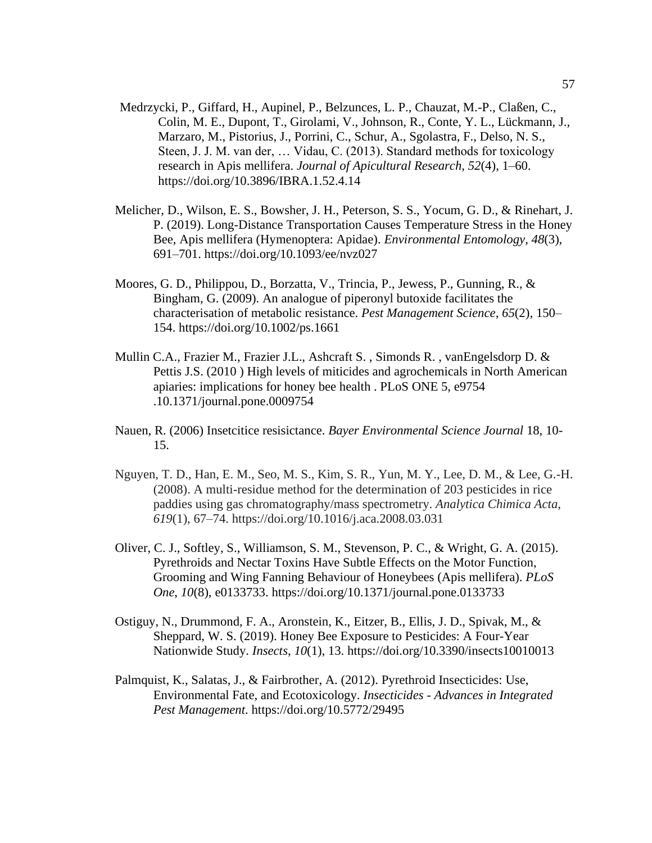- Medrzycki, P., Giffard, H., Aupinel, P., Belzunces, L. P., Chauzat, M.-P., Claßen, C., Colin, M. E., Dupont, T., Girolami, V., Johnson, R., Conte, Y. L., Lückmann, J., Marzaro, M., Pistorius, J., Porrini, C., Schur, A., Sgolastra, F., Delso, N. S., Steen, J. J. M. van der, … Vidau, C. (2013). Standard methods for toxicology research in Apis mellifera. *Journal of Apicultural Research*, *52*(4), 1–60. https://doi.org/10.3896/IBRA.1.52.4.14
- Melicher, D., Wilson, E. S., Bowsher, J. H., Peterson, S. S., Yocum, G. D., & Rinehart, J. P. (2019). Long-Distance Transportation Causes Temperature Stress in the Honey Bee, Apis mellifera (Hymenoptera: Apidae). *Environmental Entomology*, *48*(3), 691–701. https://doi.org/10.1093/ee/nvz027
- Moores, G. D., Philippou, D., Borzatta, V., Trincia, P., Jewess, P., Gunning, R., & Bingham, G. (2009). An analogue of piperonyl butoxide facilitates the characterisation of metabolic resistance. *Pest Management Science*, *65*(2), 150– 154. https://doi.org/10.1002/ps.1661
- Mullin C.A., Frazier M., Frazier J.L., Ashcraft S. , Simonds R. , vanEngelsdorp D. & Pettis J.S. (2010 ) High levels of miticides and agrochemicals in North American apiaries: implications for honey bee health . PLoS ONE 5, e9754 .10.1371/journal.pone.0009754
- Nauen, R. (2006) Insetcitice resisictance. *Bayer Environmental Science Journal* 18, 10- 15.
- Nguyen, T. D., Han, E. M., Seo, M. S., Kim, S. R., Yun, M. Y., Lee, D. M., & Lee, G.-H. (2008). A multi-residue method for the determination of 203 pesticides in rice paddies using gas chromatography/mass spectrometry. *Analytica Chimica Acta*, *619*(1), 67–74. https://doi.org/10.1016/j.aca.2008.03.031
- Oliver, C. J., Softley, S., Williamson, S. M., Stevenson, P. C., & Wright, G. A. (2015). Pyrethroids and Nectar Toxins Have Subtle Effects on the Motor Function, Grooming and Wing Fanning Behaviour of Honeybees (Apis mellifera). *PLoS One*, *10*(8), e0133733. https://doi.org/10.1371/journal.pone.0133733
- Ostiguy, N., Drummond, F. A., Aronstein, K., Eitzer, B., Ellis, J. D., Spivak, M., & Sheppard, W. S. (2019). Honey Bee Exposure to Pesticides: A Four-Year Nationwide Study. *Insects*, *10*(1), 13. https://doi.org/10.3390/insects10010013
- Palmquist, K., Salatas, J., & Fairbrother, A. (2012). Pyrethroid Insecticides: Use, Environmental Fate, and Ecotoxicology. *Insecticides - Advances in Integrated Pest Management*. https://doi.org/10.5772/29495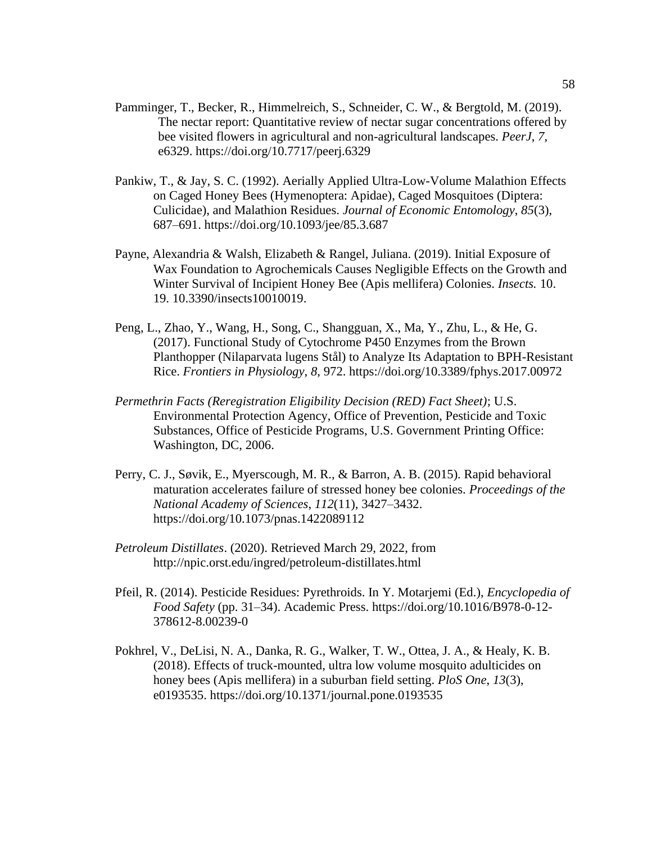- Pamminger, T., Becker, R., Himmelreich, S., Schneider, C. W., & Bergtold, M. (2019). The nectar report: Quantitative review of nectar sugar concentrations offered by bee visited flowers in agricultural and non-agricultural landscapes. *PeerJ*, *7*, e6329. https://doi.org/10.7717/peerj.6329
- Pankiw, T., & Jay, S. C. (1992). Aerially Applied Ultra-Low-Volume Malathion Effects on Caged Honey Bees (Hymenoptera: Apidae), Caged Mosquitoes (Diptera: Culicidae), and Malathion Residues. *Journal of Economic Entomology*, *85*(3), 687–691. https://doi.org/10.1093/jee/85.3.687
- Payne, Alexandria & Walsh, Elizabeth & Rangel, Juliana. (2019). Initial Exposure of Wax Foundation to Agrochemicals Causes Negligible Effects on the Growth and Winter Survival of Incipient Honey Bee (Apis mellifera) Colonies. *Insects.* 10. 19. 10.3390/insects10010019.
- Peng, L., Zhao, Y., Wang, H., Song, C., Shangguan, X., Ma, Y., Zhu, L., & He, G. (2017). Functional Study of Cytochrome P450 Enzymes from the Brown Planthopper (Nilaparvata lugens Stål) to Analyze Its Adaptation to BPH-Resistant Rice. *Frontiers in Physiology*, *8*, 972. https://doi.org/10.3389/fphys.2017.00972
- *Permethrin Facts (Reregistration Eligibility Decision (RED) Fact Sheet)*; U.S. Environmental Protection Agency, Office of Prevention, Pesticide and Toxic Substances, Office of Pesticide Programs, U.S. Government Printing Office: Washington, DC, 2006.
- Perry, C. J., Søvik, E., Myerscough, M. R., & Barron, A. B. (2015). Rapid behavioral maturation accelerates failure of stressed honey bee colonies. *Proceedings of the National Academy of Sciences*, *112*(11), 3427–3432. https://doi.org/10.1073/pnas.1422089112
- *Petroleum Distillates*. (2020). Retrieved March 29, 2022, from http://npic.orst.edu/ingred/petroleum-distillates.html
- Pfeil, R. (2014). Pesticide Residues: Pyrethroids. In Y. Motarjemi (Ed.), *Encyclopedia of Food Safety* (pp. 31–34). Academic Press. https://doi.org/10.1016/B978-0-12- 378612-8.00239-0
- Pokhrel, V., DeLisi, N. A., Danka, R. G., Walker, T. W., Ottea, J. A., & Healy, K. B. (2018). Effects of truck-mounted, ultra low volume mosquito adulticides on honey bees (Apis mellifera) in a suburban field setting. *PloS One*, *13*(3), e0193535. https://doi.org/10.1371/journal.pone.0193535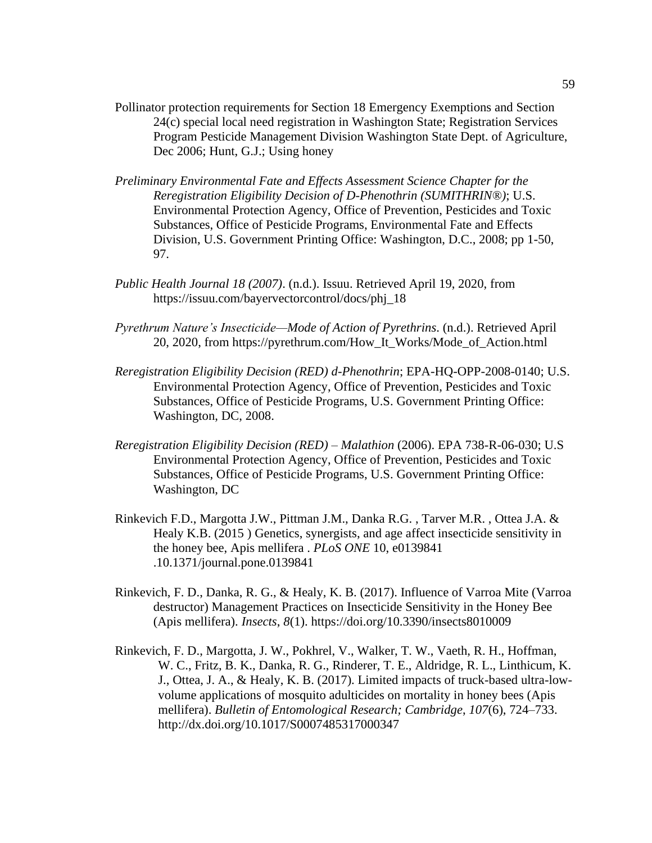- Pollinator protection requirements for Section 18 Emergency Exemptions and Section 24(c) special local need registration in Washington State; Registration Services Program Pesticide Management Division Washington State Dept. of Agriculture, Dec 2006; Hunt, G.J.; Using honey
- *Preliminary Environmental Fate and Effects Assessment Science Chapter for the Reregistration Eligibility Decision of D-Phenothrin (SUMITHRIN®)*; U.S. Environmental Protection Agency, Office of Prevention, Pesticides and Toxic Substances, Office of Pesticide Programs, Environmental Fate and Effects Division, U.S. Government Printing Office: Washington, D.C., 2008; pp 1-50, 97.
- *Public Health Journal 18 (2007)*. (n.d.). Issuu. Retrieved April 19, 2020, from https://issuu.com/bayervectorcontrol/docs/phj\_18
- *Pyrethrum Nature's Insecticide—Mode of Action of Pyrethrins*. (n.d.). Retrieved April 20, 2020, from https://pyrethrum.com/How\_It\_Works/Mode\_of\_Action.html
- *Reregistration Eligibility Decision (RED) d-Phenothrin*; EPA-HQ-OPP-2008-0140; U.S. Environmental Protection Agency, Office of Prevention, Pesticides and Toxic Substances, Office of Pesticide Programs, U.S. Government Printing Office: Washington, DC, 2008.
- *Reregistration Eligibility Decision (RED) – Malathion* (2006). EPA 738-R-06-030; U.S Environmental Protection Agency, Office of Prevention, Pesticides and Toxic Substances, Office of Pesticide Programs, U.S. Government Printing Office: Washington, DC
- Rinkevich F.D., Margotta J.W., Pittman J.M., Danka R.G. , Tarver M.R. , Ottea J.A. & Healy K.B. (2015 ) Genetics, synergists, and age affect insecticide sensitivity in the honey bee, Apis mellifera . *PLoS ONE* 10, e0139841 .10.1371/journal.pone.0139841
- Rinkevich, F. D., Danka, R. G., & Healy, K. B. (2017). Influence of Varroa Mite (Varroa destructor) Management Practices on Insecticide Sensitivity in the Honey Bee (Apis mellifera). *Insects*, *8*(1). https://doi.org/10.3390/insects8010009
- Rinkevich, F. D., Margotta, J. W., Pokhrel, V., Walker, T. W., Vaeth, R. H., Hoffman, W. C., Fritz, B. K., Danka, R. G., Rinderer, T. E., Aldridge, R. L., Linthicum, K. J., Ottea, J. A., & Healy, K. B. (2017). Limited impacts of truck-based ultra-lowvolume applications of mosquito adulticides on mortality in honey bees (Apis mellifera). *Bulletin of Entomological Research; Cambridge*, *107*(6), 724–733. http://dx.doi.org/10.1017/S0007485317000347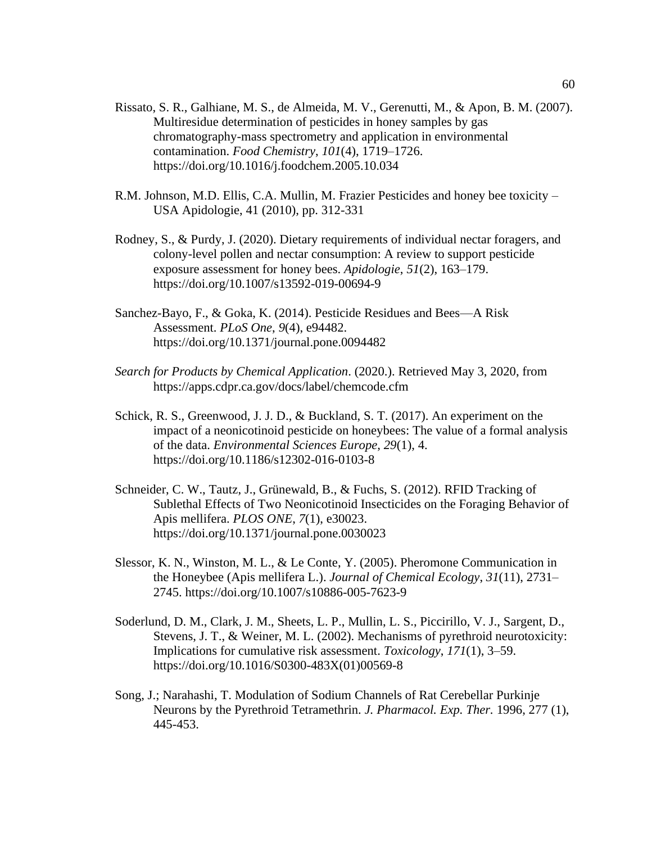- Rissato, S. R., Galhiane, M. S., de Almeida, M. V., Gerenutti, M., & Apon, B. M. (2007). Multiresidue determination of pesticides in honey samples by gas chromatography-mass spectrometry and application in environmental contamination. *Food Chemistry*, *101*(4), 1719–1726. https://doi.org/10.1016/j.foodchem.2005.10.034
- R.M. Johnson, M.D. Ellis, C.A. Mullin, M. Frazier Pesticides and honey bee toxicity USA Apidologie, 41 (2010), pp. 312-331
- Rodney, S., & Purdy, J. (2020). Dietary requirements of individual nectar foragers, and colony-level pollen and nectar consumption: A review to support pesticide exposure assessment for honey bees. *Apidologie*, *51*(2), 163–179. https://doi.org/10.1007/s13592-019-00694-9
- Sanchez-Bayo, F., & Goka, K. (2014). Pesticide Residues and Bees—A Risk Assessment. *PLoS One*, *9*(4), e94482. https://doi.org/10.1371/journal.pone.0094482
- *Search for Products by Chemical Application*. (2020.). Retrieved May 3, 2020, from https://apps.cdpr.ca.gov/docs/label/chemcode.cfm
- Schick, R. S., Greenwood, J. J. D., & Buckland, S. T. (2017). An experiment on the impact of a neonicotinoid pesticide on honeybees: The value of a formal analysis of the data. *Environmental Sciences Europe*, *29*(1), 4. https://doi.org/10.1186/s12302-016-0103-8
- Schneider, C. W., Tautz, J., Grünewald, B., & Fuchs, S. (2012). RFID Tracking of Sublethal Effects of Two Neonicotinoid Insecticides on the Foraging Behavior of Apis mellifera. *PLOS ONE*, *7*(1), e30023. https://doi.org/10.1371/journal.pone.0030023
- Slessor, K. N., Winston, M. L., & Le Conte, Y. (2005). Pheromone Communication in the Honeybee (Apis mellifera L.). *Journal of Chemical Ecology*, *31*(11), 2731– 2745. https://doi.org/10.1007/s10886-005-7623-9
- Soderlund, D. M., Clark, J. M., Sheets, L. P., Mullin, L. S., Piccirillo, V. J., Sargent, D., Stevens, J. T., & Weiner, M. L. (2002). Mechanisms of pyrethroid neurotoxicity: Implications for cumulative risk assessment. *Toxicology*, *171*(1), 3–59. https://doi.org/10.1016/S0300-483X(01)00569-8
- Song, J.; Narahashi, T. Modulation of Sodium Channels of Rat Cerebellar Purkinje Neurons by the Pyrethroid Tetramethrin. *J. Pharmacol. Exp. Ther.* 1996, 277 (1), 445-453.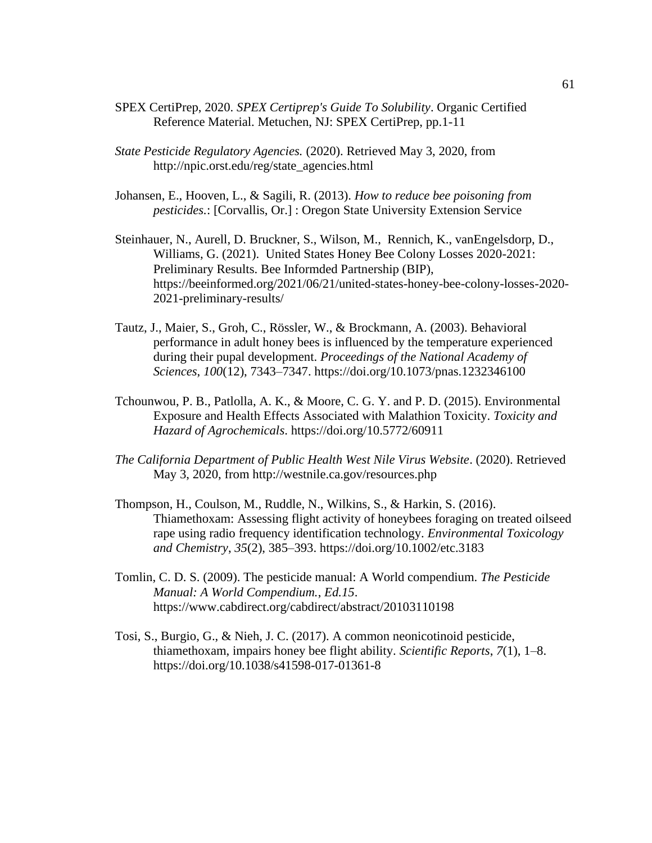- SPEX CertiPrep, 2020. *SPEX Certiprep's Guide To Solubility*. Organic Certified Reference Material. Metuchen, NJ: SPEX CertiPrep, pp.1-11
- *State Pesticide Regulatory Agencies.* (2020). Retrieved May 3, 2020, from http://npic.orst.edu/reg/state\_agencies.html
- Johansen, E., Hooven, L., & Sagili, R. (2013). *How to reduce bee poisoning from pesticides.*: [Corvallis, Or.] : Oregon State University Extension Service
- Steinhauer, N., Aurell, D. Bruckner, S., Wilson, M., Rennich, K., vanEngelsdorp, D., Williams, G. (2021). United States Honey Bee Colony Losses 2020-2021: Preliminary Results. Bee Informded Partnership (BIP), https://beeinformed.org/2021/06/21/united-states-honey-bee-colony-losses-2020- 2021-preliminary-results/
- Tautz, J., Maier, S., Groh, C., Rössler, W., & Brockmann, A. (2003). Behavioral performance in adult honey bees is influenced by the temperature experienced during their pupal development. *Proceedings of the National Academy of Sciences*, *100*(12), 7343–7347. https://doi.org/10.1073/pnas.1232346100
- Tchounwou, P. B., Patlolla, A. K., & Moore, C. G. Y. and P. D. (2015). Environmental Exposure and Health Effects Associated with Malathion Toxicity. *Toxicity and Hazard of Agrochemicals*. https://doi.org/10.5772/60911
- *The California Department of Public Health West Nile Virus Website*. (2020). Retrieved May 3, 2020, from http://westnile.ca.gov/resources.php
- Thompson, H., Coulson, M., Ruddle, N., Wilkins, S., & Harkin, S. (2016). Thiamethoxam: Assessing flight activity of honeybees foraging on treated oilseed rape using radio frequency identification technology. *Environmental Toxicology and Chemistry*, *35*(2), 385–393. https://doi.org/10.1002/etc.3183
- Tomlin, C. D. S. (2009). The pesticide manual: A World compendium. *The Pesticide Manual: A World Compendium.*, *Ed.15*. https://www.cabdirect.org/cabdirect/abstract/20103110198
- Tosi, S., Burgio, G., & Nieh, J. C. (2017). A common neonicotinoid pesticide, thiamethoxam, impairs honey bee flight ability. *Scientific Reports*, *7*(1), 1–8. https://doi.org/10.1038/s41598-017-01361-8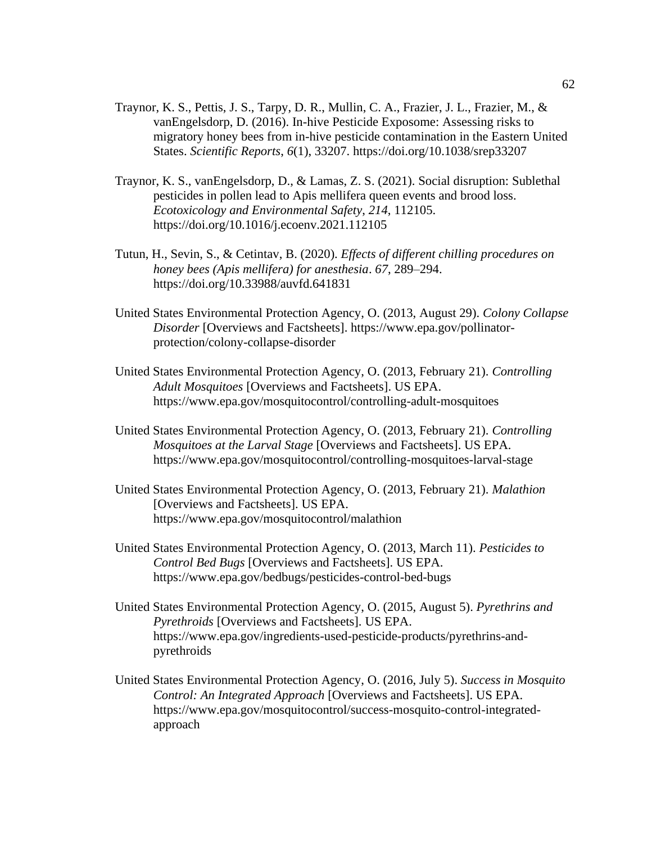- Traynor, K. S., Pettis, J. S., Tarpy, D. R., Mullin, C. A., Frazier, J. L., Frazier, M., & vanEngelsdorp, D. (2016). In-hive Pesticide Exposome: Assessing risks to migratory honey bees from in-hive pesticide contamination in the Eastern United States. *Scientific Reports*, *6*(1), 33207. https://doi.org/10.1038/srep33207
- Traynor, K. S., vanEngelsdorp, D., & Lamas, Z. S. (2021). Social disruption: Sublethal pesticides in pollen lead to Apis mellifera queen events and brood loss. *Ecotoxicology and Environmental Safety*, *214*, 112105. https://doi.org/10.1016/j.ecoenv.2021.112105
- Tutun, H., Sevin, S., & Cetintav, B. (2020). *Effects of different chilling procedures on honey bees (Apis mellifera) for anesthesia*. *67*, 289–294. https://doi.org/10.33988/auvfd.641831
- United States Environmental Protection Agency, O. (2013, August 29). *Colony Collapse Disorder* [Overviews and Factsheets]. https://www.epa.gov/pollinatorprotection/colony-collapse-disorder
- United States Environmental Protection Agency, O. (2013, February 21). *Controlling Adult Mosquitoes* [Overviews and Factsheets]. US EPA. https://www.epa.gov/mosquitocontrol/controlling-adult-mosquitoes
- United States Environmental Protection Agency, O. (2013, February 21). *Controlling Mosquitoes at the Larval Stage* [Overviews and Factsheets]. US EPA. https://www.epa.gov/mosquitocontrol/controlling-mosquitoes-larval-stage
- United States Environmental Protection Agency, O. (2013, February 21). *Malathion* [Overviews and Factsheets]. US EPA. https://www.epa.gov/mosquitocontrol/malathion
- United States Environmental Protection Agency, O. (2013, March 11). *Pesticides to Control Bed Bugs* [Overviews and Factsheets]. US EPA. https://www.epa.gov/bedbugs/pesticides-control-bed-bugs
- United States Environmental Protection Agency, O. (2015, August 5). *Pyrethrins and Pyrethroids* [Overviews and Factsheets]. US EPA. https://www.epa.gov/ingredients-used-pesticide-products/pyrethrins-andpyrethroids
- United States Environmental Protection Agency, O. (2016, July 5). *Success in Mosquito Control: An Integrated Approach* [Overviews and Factsheets]. US EPA. https://www.epa.gov/mosquitocontrol/success-mosquito-control-integratedapproach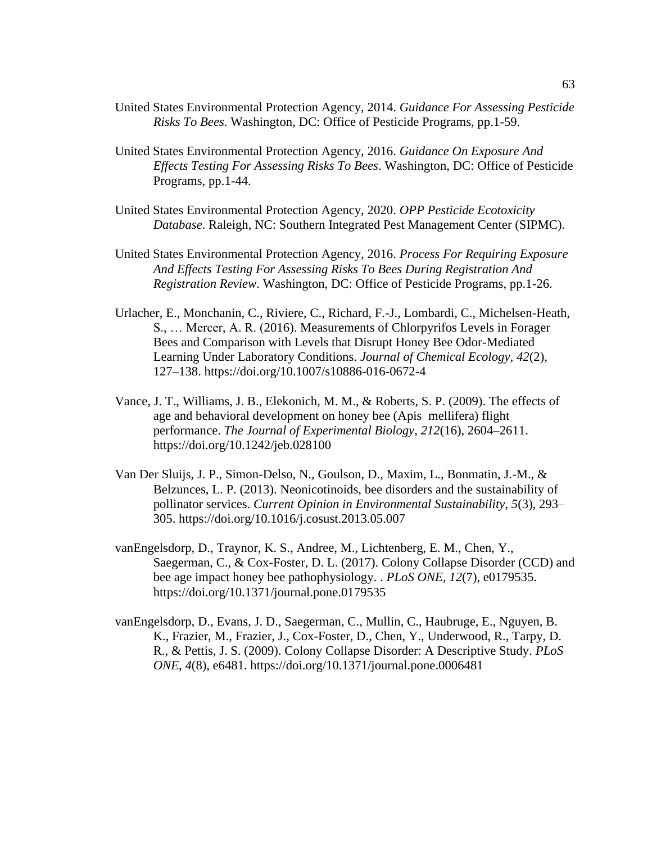- United States Environmental Protection Agency, 2014. *Guidance For Assessing Pesticide Risks To Bees*. Washington, DC: Office of Pesticide Programs, pp.1-59.
- United States Environmental Protection Agency, 2016. *Guidance On Exposure And Effects Testing For Assessing Risks To Bees*. Washington, DC: Office of Pesticide Programs, pp.1-44.
- United States Environmental Protection Agency, 2020. *OPP Pesticide Ecotoxicity Database*. Raleigh, NC: Southern Integrated Pest Management Center (SIPMC).
- United States Environmental Protection Agency, 2016. *Process For Requiring Exposure And Effects Testing For Assessing Risks To Bees During Registration And Registration Review*. Washington, DC: Office of Pesticide Programs, pp.1-26.
- Urlacher, E., Monchanin, C., Riviere, C., Richard, F.-J., Lombardi, C., Michelsen-Heath, S., … Mercer, A. R. (2016). Measurements of Chlorpyrifos Levels in Forager Bees and Comparison with Levels that Disrupt Honey Bee Odor-Mediated Learning Under Laboratory Conditions. *Journal of Chemical Ecology*, *42*(2), 127–138. https://doi.org/10.1007/s10886-016-0672-4
- Vance, J. T., Williams, J. B., Elekonich, M. M., & Roberts, S. P. (2009). The effects of age and behavioral development on honey bee (Apis mellifera) flight performance. *The Journal of Experimental Biology*, *212*(16), 2604–2611. https://doi.org/10.1242/jeb.028100
- Van Der Sluijs, J. P., Simon-Delso, N., Goulson, D., Maxim, L., Bonmatin, J.-M., & Belzunces, L. P. (2013). Neonicotinoids, bee disorders and the sustainability of pollinator services. *Current Opinion in Environmental Sustainability*, *5*(3), 293– 305. https://doi.org/10.1016/j.cosust.2013.05.007
- vanEngelsdorp, D., Traynor, K. S., Andree, M., Lichtenberg, E. M., Chen, Y., Saegerman, C., & Cox-Foster, D. L. (2017). Colony Collapse Disorder (CCD) and bee age impact honey bee pathophysiology. . *PLoS ONE*, *12*(7), e0179535. https://doi.org/10.1371/journal.pone.0179535
- vanEngelsdorp, D., Evans, J. D., Saegerman, C., Mullin, C., Haubruge, E., Nguyen, B. K., Frazier, M., Frazier, J., Cox-Foster, D., Chen, Y., Underwood, R., Tarpy, D. R., & Pettis, J. S. (2009). Colony Collapse Disorder: A Descriptive Study. *PLoS ONE*, *4*(8), e6481. https://doi.org/10.1371/journal.pone.0006481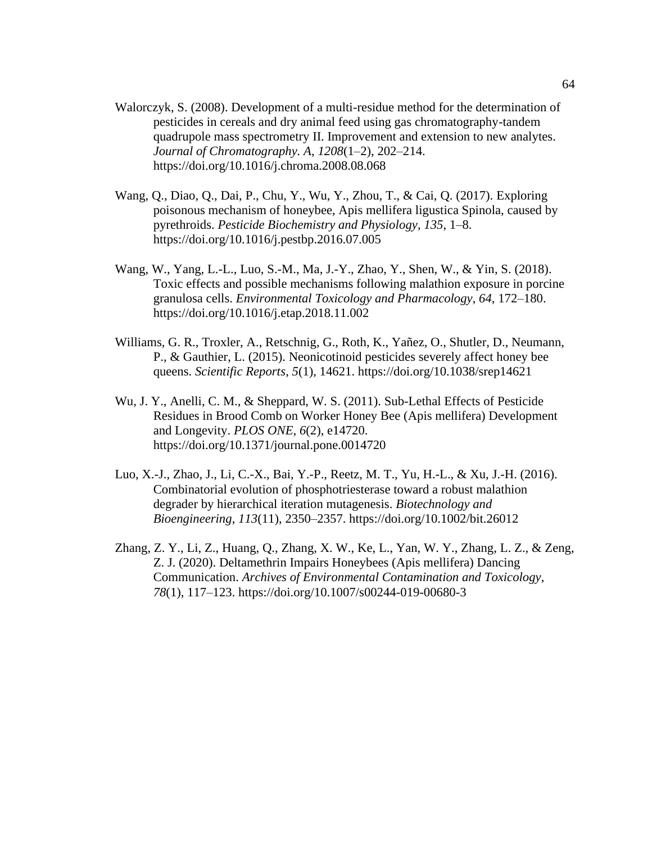- Walorczyk, S. (2008). Development of a multi-residue method for the determination of pesticides in cereals and dry animal feed using gas chromatography-tandem quadrupole mass spectrometry II. Improvement and extension to new analytes. *Journal of Chromatography. A*, *1208*(1–2), 202–214. https://doi.org/10.1016/j.chroma.2008.08.068
- Wang, Q., Diao, Q., Dai, P., Chu, Y., Wu, Y., Zhou, T., & Cai, Q. (2017). Exploring poisonous mechanism of honeybee, Apis mellifera ligustica Spinola, caused by pyrethroids. *Pesticide Biochemistry and Physiology*, *135*, 1–8. https://doi.org/10.1016/j.pestbp.2016.07.005
- Wang, W., Yang, L.-L., Luo, S.-M., Ma, J.-Y., Zhao, Y., Shen, W., & Yin, S. (2018). Toxic effects and possible mechanisms following malathion exposure in porcine granulosa cells. *Environmental Toxicology and Pharmacology*, *64*, 172–180. https://doi.org/10.1016/j.etap.2018.11.002
- Williams, G. R., Troxler, A., Retschnig, G., Roth, K., Yañez, O., Shutler, D., Neumann, P., & Gauthier, L. (2015). Neonicotinoid pesticides severely affect honey bee queens. *Scientific Reports*, *5*(1), 14621. https://doi.org/10.1038/srep14621
- Wu, J. Y., Anelli, C. M., & Sheppard, W. S. (2011). Sub-Lethal Effects of Pesticide Residues in Brood Comb on Worker Honey Bee (Apis mellifera) Development and Longevity. *PLOS ONE*, *6*(2), e14720. https://doi.org/10.1371/journal.pone.0014720
- Luo, X.-J., Zhao, J., Li, C.-X., Bai, Y.-P., Reetz, M. T., Yu, H.-L., & Xu, J.-H. (2016). Combinatorial evolution of phosphotriesterase toward a robust malathion degrader by hierarchical iteration mutagenesis. *Biotechnology and Bioengineering*, *113*(11), 2350–2357. https://doi.org/10.1002/bit.26012
- Zhang, Z. Y., Li, Z., Huang, Q., Zhang, X. W., Ke, L., Yan, W. Y., Zhang, L. Z., & Zeng, Z. J. (2020). Deltamethrin Impairs Honeybees (Apis mellifera) Dancing Communication. *Archives of Environmental Contamination and Toxicology*, *78*(1), 117–123. https://doi.org/10.1007/s00244-019-00680-3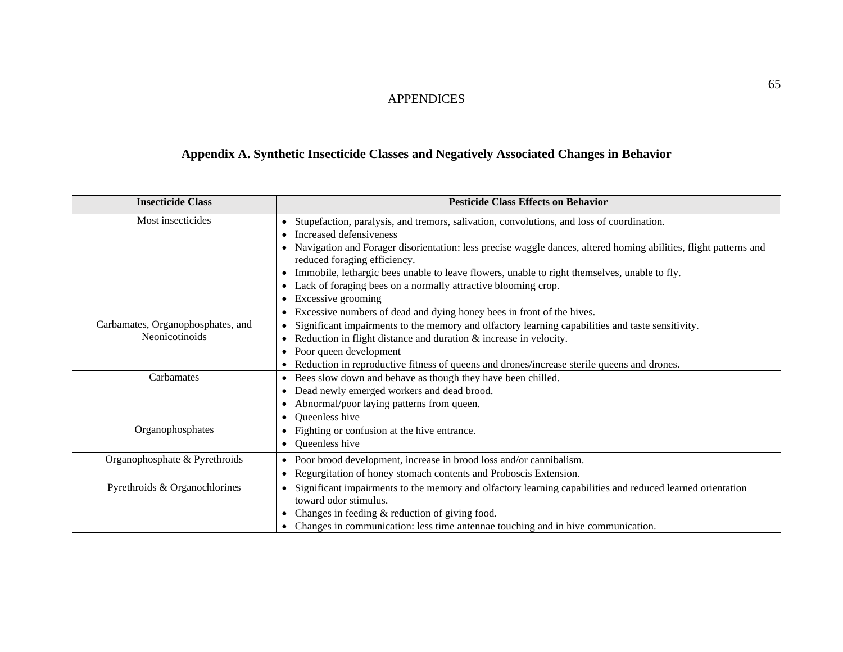## APPENDICES

## **Appendix A. Synthetic Insecticide Classes and Negatively Associated Changes in Behavior**

| <b>Insecticide Class</b>                            | <b>Pesticide Class Effects on Behavior</b>                                                                                                                                                                                                                                                                                                                                                                                                                                                                                                                                                                |  |  |
|-----------------------------------------------------|-----------------------------------------------------------------------------------------------------------------------------------------------------------------------------------------------------------------------------------------------------------------------------------------------------------------------------------------------------------------------------------------------------------------------------------------------------------------------------------------------------------------------------------------------------------------------------------------------------------|--|--|
| Most insecticides                                   | Stupefaction, paralysis, and tremors, salivation, convolutions, and loss of coordination.<br>$\bullet$<br>Increased defensiveness<br>$\bullet$<br>Navigation and Forager disorientation: less precise waggle dances, altered homing abilities, flight patterns and<br>$\bullet$<br>reduced foraging efficiency.<br>Immobile, lethargic bees unable to leave flowers, unable to right themselves, unable to fly.<br>Lack of foraging bees on a normally attractive blooming crop.<br>$\bullet$<br>Excessive grooming<br>$\bullet$<br>Excessive numbers of dead and dying honey bees in front of the hives. |  |  |
| Carbamates, Organophosphates, and<br>Neonicotinoids | Significant impairments to the memory and olfactory learning capabilities and taste sensitivity.<br>$\bullet$<br>Reduction in flight distance and duration & increase in velocity.<br>Poor queen development<br>$\bullet$<br>Reduction in reproductive fitness of queens and drones/increase sterile queens and drones.                                                                                                                                                                                                                                                                                   |  |  |
| Carbamates                                          | Bees slow down and behave as though they have been chilled.<br>$\bullet$<br>Dead newly emerged workers and dead brood.<br>$\bullet$<br>Abnormal/poor laying patterns from queen.<br>Queenless hive                                                                                                                                                                                                                                                                                                                                                                                                        |  |  |
| Organophosphates                                    | Fighting or confusion at the hive entrance.<br>$\bullet$<br>Queenless hive<br>$\bullet$                                                                                                                                                                                                                                                                                                                                                                                                                                                                                                                   |  |  |
| Organophosphate & Pyrethroids                       | Poor brood development, increase in brood loss and/or cannibalism.<br>$\bullet$<br>Regurgitation of honey stomach contents and Proboscis Extension.<br>$\bullet$                                                                                                                                                                                                                                                                                                                                                                                                                                          |  |  |
| Pyrethroids & Organochlorines                       | Significant impairments to the memory and olfactory learning capabilities and reduced learned orientation<br>$\bullet$<br>toward odor stimulus.<br>Changes in feeding $&$ reduction of giving food.<br>$\bullet$<br>Changes in communication: less time antennae touching and in hive communication.                                                                                                                                                                                                                                                                                                      |  |  |